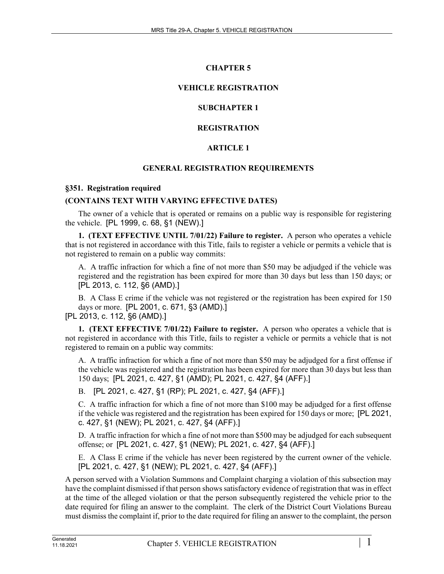# **CHAPTER 5**

# **VEHICLE REGISTRATION**

# **SUBCHAPTER 1**

# **REGISTRATION**

# **ARTICLE 1**

#### **GENERAL REGISTRATION REQUIREMENTS**

#### **§351. Registration required**

#### **(CONTAINS TEXT WITH VARYING EFFECTIVE DATES)**

The owner of a vehicle that is operated or remains on a public way is responsible for registering the vehicle. [PL 1999, c. 68, §1 (NEW).]

**1. (TEXT EFFECTIVE UNTIL 7/01/22) Failure to register.** A person who operates a vehicle that is not registered in accordance with this Title, fails to register a vehicle or permits a vehicle that is not registered to remain on a public way commits:

A. A traffic infraction for which a fine of not more than \$50 may be adjudged if the vehicle was registered and the registration has been expired for more than 30 days but less than 150 days; or [PL 2013, c. 112, §6 (AMD).]

B. A Class E crime if the vehicle was not registered or the registration has been expired for 150 days or more. [PL 2001, c. 671, §3 (AMD).]

[PL 2013, c. 112, §6 (AMD).]

**1. (TEXT EFFECTIVE 7/01/22) Failure to register.** A person who operates a vehicle that is not registered in accordance with this Title, fails to register a vehicle or permits a vehicle that is not registered to remain on a public way commits:

A. A traffic infraction for which a fine of not more than \$50 may be adjudged for a first offense if the vehicle was registered and the registration has been expired for more than 30 days but less than 150 days; [PL 2021, c. 427, §1 (AMD); PL 2021, c. 427, §4 (AFF).]

B. [PL 2021, c. 427, §1 (RP); PL 2021, c. 427, §4 (AFF).]

C. A traffic infraction for which a fine of not more than \$100 may be adjudged for a first offense if the vehicle was registered and the registration has been expired for 150 days or more; [PL 2021, c. 427, §1 (NEW); PL 2021, c. 427, §4 (AFF).]

D. A traffic infraction for which a fine of not more than \$500 may be adjudged for each subsequent offense; or [PL 2021, c. 427, §1 (NEW); PL 2021, c. 427, §4 (AFF).]

E. A Class E crime if the vehicle has never been registered by the current owner of the vehicle. [PL 2021, c. 427, §1 (NEW); PL 2021, c. 427, §4 (AFF).]

A person served with a Violation Summons and Complaint charging a violation of this subsection may have the complaint dismissed if that person shows satisfactory evidence of registration that was in effect at the time of the alleged violation or that the person subsequently registered the vehicle prior to the date required for filing an answer to the complaint. The clerk of the District Court Violations Bureau must dismiss the complaint if, prior to the date required for filing an answer to the complaint, the person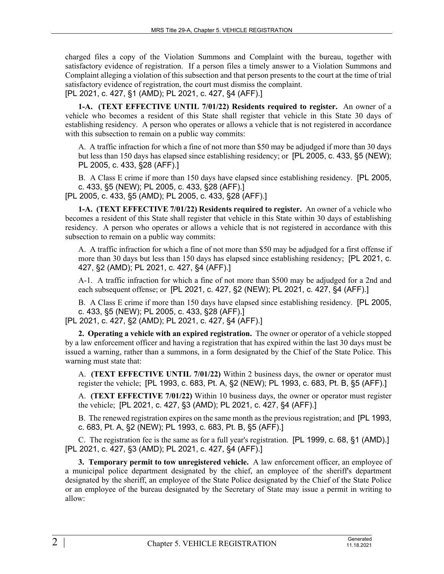charged files a copy of the Violation Summons and Complaint with the bureau, together with satisfactory evidence of registration. If a person files a timely answer to a Violation Summons and Complaint alleging a violation of this subsection and that person presents to the court at the time of trial satisfactory evidence of registration, the court must dismiss the complaint.

[PL 2021, c. 427, §1 (AMD); PL 2021, c. 427, §4 (AFF).]

**1-A. (TEXT EFFECTIVE UNTIL 7/01/22) Residents required to register.** An owner of a vehicle who becomes a resident of this State shall register that vehicle in this State 30 days of establishing residency. A person who operates or allows a vehicle that is not registered in accordance with this subsection to remain on a public way commits:

A. A traffic infraction for which a fine of not more than \$50 may be adjudged if more than 30 days but less than 150 days has elapsed since establishing residency; or [PL 2005, c. 433, §5 (NEW); PL 2005, c. 433, §28 (AFF).]

B. A Class E crime if more than 150 days have elapsed since establishing residency. [PL 2005, c. 433, §5 (NEW); PL 2005, c. 433, §28 (AFF).]

[PL 2005, c. 433, §5 (AMD); PL 2005, c. 433, §28 (AFF).]

**1-A. (TEXT EFFECTIVE 7/01/22) Residents required to register.** An owner of a vehicle who becomes a resident of this State shall register that vehicle in this State within 30 days of establishing residency. A person who operates or allows a vehicle that is not registered in accordance with this subsection to remain on a public way commits:

A. A traffic infraction for which a fine of not more than \$50 may be adjudged for a first offense if more than 30 days but less than 150 days has elapsed since establishing residency; [PL 2021, c. 427, §2 (AMD); PL 2021, c. 427, §4 (AFF).]

A-1. A traffic infraction for which a fine of not more than \$500 may be adjudged for a 2nd and each subsequent offense; or [PL 2021, c. 427, §2 (NEW); PL 2021, c. 427, §4 (AFF).]

B. A Class E crime if more than 150 days have elapsed since establishing residency. [PL 2005, c. 433, §5 (NEW); PL 2005, c. 433, §28 (AFF).]

[PL 2021, c. 427, §2 (AMD); PL 2021, c. 427, §4 (AFF).]

**2. Operating a vehicle with an expired registration.** The owner or operator of a vehicle stopped by a law enforcement officer and having a registration that has expired within the last 30 days must be issued a warning, rather than a summons, in a form designated by the Chief of the State Police. This warning must state that:

A. **(TEXT EFFECTIVE UNTIL 7/01/22)** Within 2 business days, the owner or operator must register the vehicle; [PL 1993, c. 683, Pt. A, §2 (NEW); PL 1993, c. 683, Pt. B, §5 (AFF).]

A. **(TEXT EFFECTIVE 7/01/22)** Within 10 business days, the owner or operator must register the vehicle; [PL 2021, c. 427, §3 (AMD); PL 2021, c. 427, §4 (AFF).]

B. The renewed registration expires on the same month as the previous registration; and [PL 1993, c. 683, Pt. A, §2 (NEW); PL 1993, c. 683, Pt. B, §5 (AFF).]

C. The registration fee is the same as for a full year's registration. [PL 1999, c. 68, §1 (AMD).] [PL 2021, c. 427, §3 (AMD); PL 2021, c. 427, §4 (AFF).]

**3. Temporary permit to tow unregistered vehicle.** A law enforcement officer, an employee of a municipal police department designated by the chief, an employee of the sheriff's department designated by the sheriff, an employee of the State Police designated by the Chief of the State Police or an employee of the bureau designated by the Secretary of State may issue a permit in writing to allow: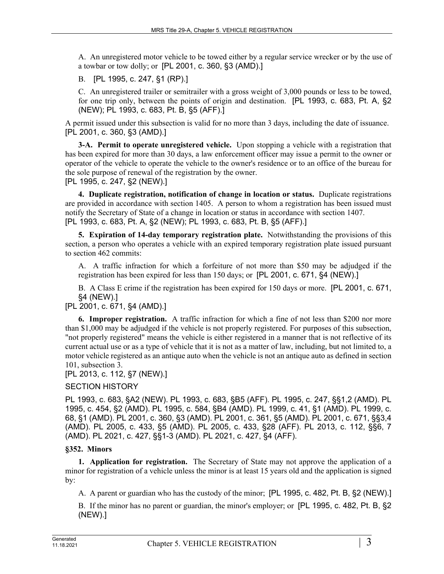A. An unregistered motor vehicle to be towed either by a regular service wrecker or by the use of a towbar or tow dolly; or [PL 2001, c. 360, §3 (AMD).]

B. [PL 1995, c. 247, §1 (RP).]

C. An unregistered trailer or semitrailer with a gross weight of 3,000 pounds or less to be towed, for one trip only, between the points of origin and destination. [PL 1993, c. 683, Pt. A, §2 (NEW); PL 1993, c. 683, Pt. B, §5 (AFF).]

A permit issued under this subsection is valid for no more than 3 days, including the date of issuance. [PL 2001, c. 360, §3 (AMD).]

**3-A. Permit to operate unregistered vehicle.** Upon stopping a vehicle with a registration that has been expired for more than 30 days, a law enforcement officer may issue a permit to the owner or operator of the vehicle to operate the vehicle to the owner's residence or to an office of the bureau for the sole purpose of renewal of the registration by the owner.

[PL 1995, c. 247, §2 (NEW).]

**4. Duplicate registration, notification of change in location or status.** Duplicate registrations are provided in accordance with section 1405. A person to whom a registration has been issued must notify the Secretary of State of a change in location or status in accordance with section 1407. [PL 1993, c. 683, Pt. A, §2 (NEW); PL 1993, c. 683, Pt. B, §5 (AFF).]

**5. Expiration of 14-day temporary registration plate.** Notwithstanding the provisions of this section, a person who operates a vehicle with an expired temporary registration plate issued pursuant to section 462 commits:

A. A traffic infraction for which a forfeiture of not more than \$50 may be adjudged if the registration has been expired for less than 150 days; or [PL 2001, c. 671, §4 (NEW).]

B. A Class E crime if the registration has been expired for 150 days or more. [PL 2001, c. 671, §4 (NEW).]

[PL 2001, c. 671, §4 (AMD).]

**6. Improper registration.** A traffic infraction for which a fine of not less than \$200 nor more than \$1,000 may be adjudged if the vehicle is not properly registered. For purposes of this subsection, "not properly registered" means the vehicle is either registered in a manner that is not reflective of its current actual use or as a type of vehicle that it is not as a matter of law, including, but not limited to, a motor vehicle registered as an antique auto when the vehicle is not an antique auto as defined in section 101, subsection 3.

# [PL 2013, c. 112, §7 (NEW).]

# SECTION HISTORY

PL 1993, c. 683, §A2 (NEW). PL 1993, c. 683, §B5 (AFF). PL 1995, c. 247, §§1,2 (AMD). PL 1995, c. 454, §2 (AMD). PL 1995, c. 584, §B4 (AMD). PL 1999, c. 41, §1 (AMD). PL 1999, c. 68, §1 (AMD). PL 2001, c. 360, §3 (AMD). PL 2001, c. 361, §5 (AMD). PL 2001, c. 671, §§3,4 (AMD). PL 2005, c. 433, §5 (AMD). PL 2005, c. 433, §28 (AFF). PL 2013, c. 112, §§6, 7 (AMD). PL 2021, c. 427, §§1-3 (AMD). PL 2021, c. 427, §4 (AFF).

# **§352. Minors**

**1. Application for registration.** The Secretary of State may not approve the application of a minor for registration of a vehicle unless the minor is at least 15 years old and the application is signed by:

A. A parent or guardian who has the custody of the minor; [PL 1995, c. 482, Pt. B, §2 (NEW).]

B. If the minor has no parent or guardian, the minor's employer; or [PL 1995, c. 482, Pt. B, §2 (NEW).]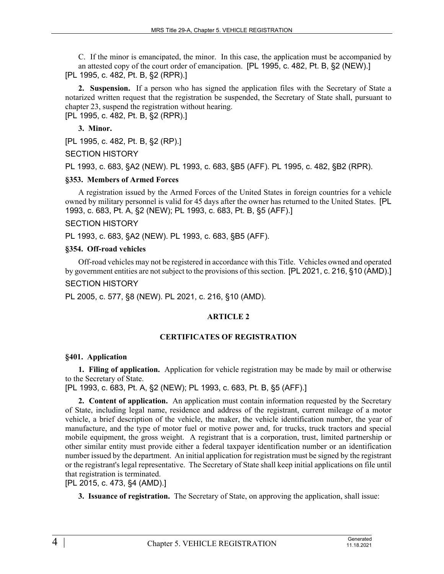C. If the minor is emancipated, the minor. In this case, the application must be accompanied by an attested copy of the court order of emancipation. [PL 1995, c. 482, Pt. B, §2 (NEW).] [PL 1995, c. 482, Pt. B, §2 (RPR).]

**2. Suspension.** If a person who has signed the application files with the Secretary of State a notarized written request that the registration be suspended, the Secretary of State shall, pursuant to chapter 23, suspend the registration without hearing.

[PL 1995, c. 482, Pt. B, §2 (RPR).]

**3. Minor.** 

[PL 1995, c. 482, Pt. B, §2 (RP).]

SECTION HISTORY

PL 1993, c. 683, §A2 (NEW). PL 1993, c. 683, §B5 (AFF). PL 1995, c. 482, §B2 (RPR).

#### **§353. Members of Armed Forces**

A registration issued by the Armed Forces of the United States in foreign countries for a vehicle owned by military personnel is valid for 45 days after the owner has returned to the United States. [PL 1993, c. 683, Pt. A, §2 (NEW); PL 1993, c. 683, Pt. B, §5 (AFF).]

# SECTION HISTORY

PL 1993, c. 683, §A2 (NEW). PL 1993, c. 683, §B5 (AFF).

#### **§354. Off-road vehicles**

Off-road vehicles may not be registered in accordance with this Title. Vehicles owned and operated by government entities are not subject to the provisions of this section. [PL 2021, c. 216, §10 (AMD).] SECTION HISTORY

PL 2005, c. 577, §8 (NEW). PL 2021, c. 216, §10 (AMD).

# **ARTICLE 2**

# **CERTIFICATES OF REGISTRATION**

# **§401. Application**

**1. Filing of application.** Application for vehicle registration may be made by mail or otherwise to the Secretary of State.

[PL 1993, c. 683, Pt. A, §2 (NEW); PL 1993, c. 683, Pt. B, §5 (AFF).]

**2. Content of application.** An application must contain information requested by the Secretary of State, including legal name, residence and address of the registrant, current mileage of a motor vehicle, a brief description of the vehicle, the maker, the vehicle identification number, the year of manufacture, and the type of motor fuel or motive power and, for trucks, truck tractors and special mobile equipment, the gross weight. A registrant that is a corporation, trust, limited partnership or other similar entity must provide either a federal taxpayer identification number or an identification number issued by the department. An initial application for registration must be signed by the registrant or the registrant's legal representative. The Secretary of State shall keep initial applications on file until that registration is terminated.

[PL 2015, c. 473, §4 (AMD).]

**3. Issuance of registration.** The Secretary of State, on approving the application, shall issue: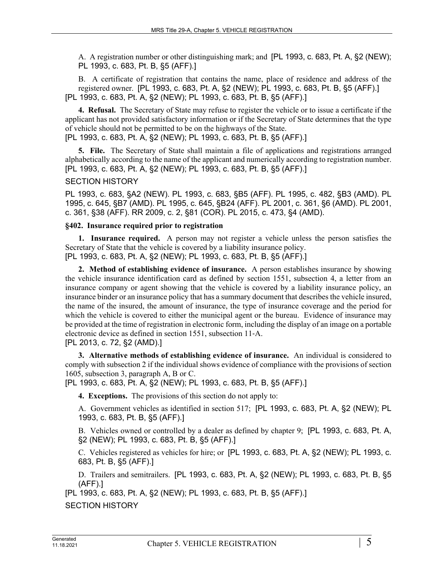A. A registration number or other distinguishing mark; and [PL 1993, c. 683, Pt. A, §2 (NEW); PL 1993, c. 683, Pt. B, §5 (AFF).]

B. A certificate of registration that contains the name, place of residence and address of the registered owner. [PL 1993, c. 683, Pt. A, §2 (NEW); PL 1993, c. 683, Pt. B, §5 (AFF).] [PL 1993, c. 683, Pt. A, §2 (NEW); PL 1993, c. 683, Pt. B, §5 (AFF).]

**4. Refusal.** The Secretary of State may refuse to register the vehicle or to issue a certificate if the applicant has not provided satisfactory information or if the Secretary of State determines that the type of vehicle should not be permitted to be on the highways of the State. [PL 1993, c. 683, Pt. A, §2 (NEW); PL 1993, c. 683, Pt. B, §5 (AFF).]

**5. File.** The Secretary of State shall maintain a file of applications and registrations arranged alphabetically according to the name of the applicant and numerically according to registration number. [PL 1993, c. 683, Pt. A, §2 (NEW); PL 1993, c. 683, Pt. B, §5 (AFF).]

#### SECTION HISTORY

PL 1993, c. 683, §A2 (NEW). PL 1993, c. 683, §B5 (AFF). PL 1995, c. 482, §B3 (AMD). PL 1995, c. 645, §B7 (AMD). PL 1995, c. 645, §B24 (AFF). PL 2001, c. 361, §6 (AMD). PL 2001, c. 361, §38 (AFF). RR 2009, c. 2, §81 (COR). PL 2015, c. 473, §4 (AMD).

#### **§402. Insurance required prior to registration**

**1. Insurance required.** A person may not register a vehicle unless the person satisfies the Secretary of State that the vehicle is covered by a liability insurance policy. [PL 1993, c. 683, Pt. A, §2 (NEW); PL 1993, c. 683, Pt. B, §5 (AFF).]

**2. Method of establishing evidence of insurance.** A person establishes insurance by showing the vehicle insurance identification card as defined by section 1551, subsection 4, a letter from an insurance company or agent showing that the vehicle is covered by a liability insurance policy, an insurance binder or an insurance policy that has a summary document that describes the vehicle insured, the name of the insured, the amount of insurance, the type of insurance coverage and the period for which the vehicle is covered to either the municipal agent or the bureau. Evidence of insurance may be provided at the time of registration in electronic form, including the display of an image on a portable electronic device as defined in section 1551, subsection 11‑A. [PL 2013, c. 72, §2 (AMD).]

**3. Alternative methods of establishing evidence of insurance.** An individual is considered to comply with subsection 2 if the individual shows evidence of compliance with the provisions of section 1605, subsection 3, paragraph A, B or C.

[PL 1993, c. 683, Pt. A, §2 (NEW); PL 1993, c. 683, Pt. B, §5 (AFF).]

**4. Exceptions.** The provisions of this section do not apply to:

A. Government vehicles as identified in section 517; [PL 1993, c. 683, Pt. A, §2 (NEW); PL 1993, c. 683, Pt. B, §5 (AFF).]

B. Vehicles owned or controlled by a dealer as defined by chapter 9; [PL 1993, c. 683, Pt. A, §2 (NEW); PL 1993, c. 683, Pt. B, §5 (AFF).]

C. Vehicles registered as vehicles for hire; or [PL 1993, c. 683, Pt. A, §2 (NEW); PL 1993, c. 683, Pt. B, §5 (AFF).]

D. Trailers and semitrailers. [PL 1993, c. 683, Pt. A, §2 (NEW); PL 1993, c. 683, Pt. B, §5 (AFF).]

[PL 1993, c. 683, Pt. A, §2 (NEW); PL 1993, c. 683, Pt. B, §5 (AFF).]

SECTION HISTORY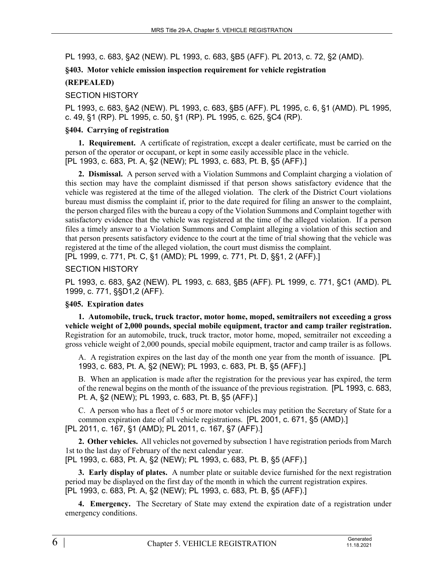PL 1993, c. 683, §A2 (NEW). PL 1993, c. 683, §B5 (AFF). PL 2013, c. 72, §2 (AMD).

### **§403. Motor vehicle emission inspection requirement for vehicle registration**

### **(REPEALED)**

### SECTION HISTORY

PL 1993, c. 683, §A2 (NEW). PL 1993, c. 683, §B5 (AFF). PL 1995, c. 6, §1 (AMD). PL 1995, c. 49, §1 (RP). PL 1995, c. 50, §1 (RP). PL 1995, c. 625, §C4 (RP).

#### **§404. Carrying of registration**

**1. Requirement.** A certificate of registration, except a dealer certificate, must be carried on the person of the operator or occupant, or kept in some easily accessible place in the vehicle. [PL 1993, c. 683, Pt. A, §2 (NEW); PL 1993, c. 683, Pt. B, §5 (AFF).]

**2. Dismissal.** A person served with a Violation Summons and Complaint charging a violation of this section may have the complaint dismissed if that person shows satisfactory evidence that the vehicle was registered at the time of the alleged violation. The clerk of the District Court violations bureau must dismiss the complaint if, prior to the date required for filing an answer to the complaint, the person charged files with the bureau a copy of the Violation Summons and Complaint together with satisfactory evidence that the vehicle was registered at the time of the alleged violation. If a person files a timely answer to a Violation Summons and Complaint alleging a violation of this section and that person presents satisfactory evidence to the court at the time of trial showing that the vehicle was registered at the time of the alleged violation, the court must dismiss the complaint.

[PL 1999, c. 771, Pt. C, §1 (AMD); PL 1999, c. 771, Pt. D, §§1, 2 (AFF).]

#### SECTION HISTORY

PL 1993, c. 683, §A2 (NEW). PL 1993, c. 683, §B5 (AFF). PL 1999, c. 771, §C1 (AMD). PL 1999, c. 771, §§D1,2 (AFF).

#### **§405. Expiration dates**

**1. Automobile, truck, truck tractor, motor home, moped, semitrailers not exceeding a gross vehicle weight of 2,000 pounds, special mobile equipment, tractor and camp trailer registration.**  Registration for an automobile, truck, truck tractor, motor home, moped, semitrailer not exceeding a gross vehicle weight of 2,000 pounds, special mobile equipment, tractor and camp trailer is as follows.

A. A registration expires on the last day of the month one year from the month of issuance. [PL 1993, c. 683, Pt. A, §2 (NEW); PL 1993, c. 683, Pt. B, §5 (AFF).]

B. When an application is made after the registration for the previous year has expired, the term of the renewal begins on the month of the issuance of the previous registration. [PL 1993, c. 683, Pt. A, §2 (NEW); PL 1993, c. 683, Pt. B, §5 (AFF).]

C. A person who has a fleet of 5 or more motor vehicles may petition the Secretary of State for a common expiration date of all vehicle registrations. [PL 2001, c. 671, §5 (AMD).]

[PL 2011, c. 167, §1 (AMD); PL 2011, c. 167, §7 (AFF).]

**2. Other vehicles.** All vehicles not governed by subsection 1 have registration periods from March 1st to the last day of February of the next calendar year.

[PL 1993, c. 683, Pt. A, §2 (NEW); PL 1993, c. 683, Pt. B, §5 (AFF).]

**3. Early display of plates.** A number plate or suitable device furnished for the next registration period may be displayed on the first day of the month in which the current registration expires. [PL 1993, c. 683, Pt. A, §2 (NEW); PL 1993, c. 683, Pt. B, §5 (AFF).]

**4. Emergency.** The Secretary of State may extend the expiration date of a registration under emergency conditions.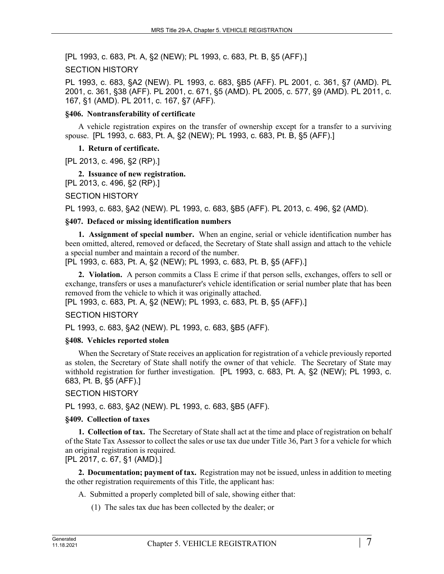[PL 1993, c. 683, Pt. A, §2 (NEW); PL 1993, c. 683, Pt. B, §5 (AFF).]

#### SECTION HISTORY

PL 1993, c. 683, §A2 (NEW). PL 1993, c. 683, §B5 (AFF). PL 2001, c. 361, §7 (AMD). PL 2001, c. 361, §38 (AFF). PL 2001, c. 671, §5 (AMD). PL 2005, c. 577, §9 (AMD). PL 2011, c. 167, §1 (AMD). PL 2011, c. 167, §7 (AFF).

#### **§406. Nontransferability of certificate**

A vehicle registration expires on the transfer of ownership except for a transfer to a surviving spouse. [PL 1993, c. 683, Pt. A, §2 (NEW); PL 1993, c. 683, Pt. B, §5 (AFF).]

#### **1. Return of certificate.**

[PL 2013, c. 496, §2 (RP).]

# **2. Issuance of new registration.**

[PL 2013, c. 496, §2 (RP).]

#### SECTION HISTORY

PL 1993, c. 683, §A2 (NEW). PL 1993, c. 683, §B5 (AFF). PL 2013, c. 496, §2 (AMD).

#### **§407. Defaced or missing identification numbers**

**1. Assignment of special number.** When an engine, serial or vehicle identification number has been omitted, altered, removed or defaced, the Secretary of State shall assign and attach to the vehicle a special number and maintain a record of the number.

[PL 1993, c. 683, Pt. A, §2 (NEW); PL 1993, c. 683, Pt. B, §5 (AFF).]

**2. Violation.** A person commits a Class E crime if that person sells, exchanges, offers to sell or exchange, transfers or uses a manufacturer's vehicle identification or serial number plate that has been removed from the vehicle to which it was originally attached.

[PL 1993, c. 683, Pt. A, §2 (NEW); PL 1993, c. 683, Pt. B, §5 (AFF).]

# SECTION HISTORY

PL 1993, c. 683, §A2 (NEW). PL 1993, c. 683, §B5 (AFF).

#### **§408. Vehicles reported stolen**

When the Secretary of State receives an application for registration of a vehicle previously reported as stolen, the Secretary of State shall notify the owner of that vehicle. The Secretary of State may withhold registration for further investigation. [PL 1993, c. 683, Pt. A, §2 (NEW); PL 1993, c. 683, Pt. B, §5 (AFF).]

#### SECTION HISTORY

PL 1993, c. 683, §A2 (NEW). PL 1993, c. 683, §B5 (AFF).

#### **§409. Collection of taxes**

**1. Collection of tax.** The Secretary of State shall act at the time and place of registration on behalf of the State Tax Assessor to collect the sales or use tax due under Title 36, Part 3 for a vehicle for which an original registration is required. [PL 2017, c. 67, §1 (AMD).]

**2. Documentation; payment of tax.** Registration may not be issued, unless in addition to meeting the other registration requirements of this Title, the applicant has:

- A. Submitted a properly completed bill of sale, showing either that:
	- (1) The sales tax due has been collected by the dealer; or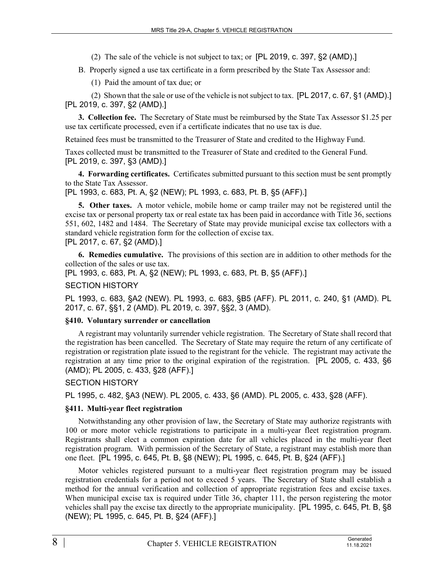- (2) The sale of the vehicle is not subject to tax; or [PL 2019, c. 397, §2 (AMD).]
- B. Properly signed a use tax certificate in a form prescribed by the State Tax Assessor and:
	- (1) Paid the amount of tax due; or

(2) Shown that the sale or use of the vehicle is not subject to tax. [PL 2017, c. 67, §1 (AMD).] [PL 2019, c. 397, §2 (AMD).]

**3. Collection fee.** The Secretary of State must be reimbursed by the State Tax Assessor \$1.25 per use tax certificate processed, even if a certificate indicates that no use tax is due.

Retained fees must be transmitted to the Treasurer of State and credited to the Highway Fund.

Taxes collected must be transmitted to the Treasurer of State and credited to the General Fund. [PL 2019, c. 397, §3 (AMD).]

**4. Forwarding certificates.** Certificates submitted pursuant to this section must be sent promptly to the State Tax Assessor.

[PL 1993, c. 683, Pt. A, §2 (NEW); PL 1993, c. 683, Pt. B, §5 (AFF).]

**5. Other taxes.** A motor vehicle, mobile home or camp trailer may not be registered until the excise tax or personal property tax or real estate tax has been paid in accordance with Title 36, sections 551, 602, 1482 and 1484. The Secretary of State may provide municipal excise tax collectors with a standard vehicle registration form for the collection of excise tax.

[PL 2017, c. 67, §2 (AMD).]

**6. Remedies cumulative.** The provisions of this section are in addition to other methods for the collection of the sales or use tax.

[PL 1993, c. 683, Pt. A, §2 (NEW); PL 1993, c. 683, Pt. B, §5 (AFF).]

#### SECTION HISTORY

PL 1993, c. 683, §A2 (NEW). PL 1993, c. 683, §B5 (AFF). PL 2011, c. 240, §1 (AMD). PL 2017, c. 67, §§1, 2 (AMD). PL 2019, c. 397, §§2, 3 (AMD).

#### **§410. Voluntary surrender or cancellation**

A registrant may voluntarily surrender vehicle registration. The Secretary of State shall record that the registration has been cancelled. The Secretary of State may require the return of any certificate of registration or registration plate issued to the registrant for the vehicle. The registrant may activate the registration at any time prior to the original expiration of the registration. [PL 2005, c. 433, §6 (AMD); PL 2005, c. 433, §28 (AFF).]

# SECTION HISTORY

PL 1995, c. 482, §A3 (NEW). PL 2005, c. 433, §6 (AMD). PL 2005, c. 433, §28 (AFF).

# **§411. Multi-year fleet registration**

Notwithstanding any other provision of law, the Secretary of State may authorize registrants with 100 or more motor vehicle registrations to participate in a multi-year fleet registration program. Registrants shall elect a common expiration date for all vehicles placed in the multi-year fleet registration program. With permission of the Secretary of State, a registrant may establish more than one fleet. [PL 1995, c. 645, Pt. B, §8 (NEW); PL 1995, c. 645, Pt. B, §24 (AFF).]

Motor vehicles registered pursuant to a multi-year fleet registration program may be issued registration credentials for a period not to exceed 5 years. The Secretary of State shall establish a method for the annual verification and collection of appropriate registration fees and excise taxes. When municipal excise tax is required under Title 36, chapter 111, the person registering the motor vehicles shall pay the excise tax directly to the appropriate municipality. [PL 1995, c. 645, Pt. B, §8 (NEW); PL 1995, c. 645, Pt. B, §24 (AFF).]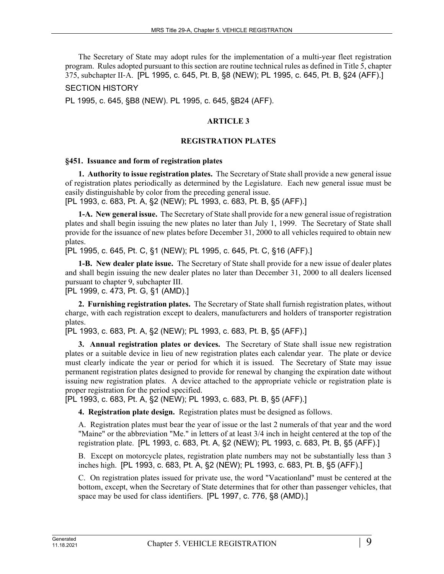The Secretary of State may adopt rules for the implementation of a multi-year fleet registration program. Rules adopted pursuant to this section are routine technical rules as defined in Title 5, chapter 375, subchapter II‑A. [PL 1995, c. 645, Pt. B, §8 (NEW); PL 1995, c. 645, Pt. B, §24 (AFF).]

SECTION HISTORY

PL 1995, c. 645, §B8 (NEW). PL 1995, c. 645, §B24 (AFF).

# **ARTICLE 3**

#### **REGISTRATION PLATES**

#### **§451. Issuance and form of registration plates**

**1. Authority to issue registration plates.** The Secretary of State shall provide a new general issue of registration plates periodically as determined by the Legislature. Each new general issue must be easily distinguishable by color from the preceding general issue.

[PL 1993, c. 683, Pt. A, §2 (NEW); PL 1993, c. 683, Pt. B, §5 (AFF).]

**1-A. New general issue.** The Secretary of State shall provide for a new general issue of registration plates and shall begin issuing the new plates no later than July 1, 1999. The Secretary of State shall provide for the issuance of new plates before December 31, 2000 to all vehicles required to obtain new plates.

[PL 1995, c. 645, Pt. C, §1 (NEW); PL 1995, c. 645, Pt. C, §16 (AFF).]

**1-B. New dealer plate issue.** The Secretary of State shall provide for a new issue of dealer plates and shall begin issuing the new dealer plates no later than December 31, 2000 to all dealers licensed pursuant to chapter 9, subchapter III.

[PL 1999, c. 473, Pt. G, §1 (AMD).]

**2. Furnishing registration plates.** The Secretary of State shall furnish registration plates, without charge, with each registration except to dealers, manufacturers and holders of transporter registration plates.

[PL 1993, c. 683, Pt. A, §2 (NEW); PL 1993, c. 683, Pt. B, §5 (AFF).]

**3. Annual registration plates or devices.** The Secretary of State shall issue new registration plates or a suitable device in lieu of new registration plates each calendar year. The plate or device must clearly indicate the year or period for which it is issued. The Secretary of State may issue permanent registration plates designed to provide for renewal by changing the expiration date without issuing new registration plates. A device attached to the appropriate vehicle or registration plate is proper registration for the period specified.

[PL 1993, c. 683, Pt. A, §2 (NEW); PL 1993, c. 683, Pt. B, §5 (AFF).]

**4. Registration plate design.** Registration plates must be designed as follows.

A. Registration plates must bear the year of issue or the last 2 numerals of that year and the word "Maine" or the abbreviation "Me." in letters of at least 3/4 inch in height centered at the top of the registration plate. [PL 1993, c. 683, Pt. A, §2 (NEW); PL 1993, c. 683, Pt. B, §5 (AFF).]

B. Except on motorcycle plates, registration plate numbers may not be substantially less than 3 inches high. [PL 1993, c. 683, Pt. A, §2 (NEW); PL 1993, c. 683, Pt. B, §5 (AFF).]

C. On registration plates issued for private use, the word "Vacationland" must be centered at the bottom, except, when the Secretary of State determines that for other than passenger vehicles, that space may be used for class identifiers. [PL 1997, c. 776, §8 (AMD).]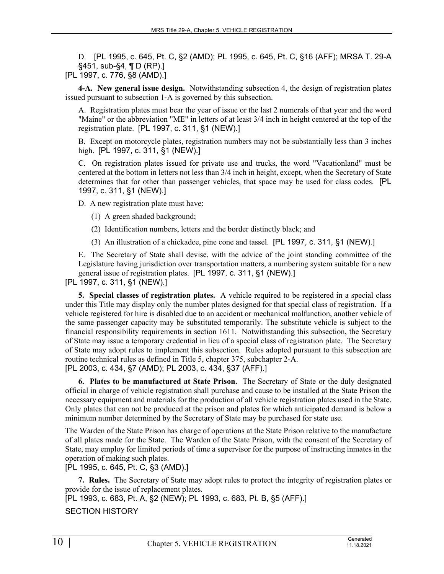D. [PL 1995, c. 645, Pt. C, §2 (AMD); PL 1995, c. 645, Pt. C, §16 (AFF); MRSA T. 29-A §451, sub-§4, ¶ D (RP).] [PL 1997, c. 776, §8 (AMD).]

**4-A. New general issue design.** Notwithstanding subsection 4, the design of registration plates issued pursuant to subsection 1‑A is governed by this subsection.

A. Registration plates must bear the year of issue or the last 2 numerals of that year and the word "Maine" or the abbreviation "ME" in letters of at least 3/4 inch in height centered at the top of the registration plate. [PL 1997, c. 311, §1 (NEW).]

B. Except on motorcycle plates, registration numbers may not be substantially less than 3 inches high. [PL 1997, c. 311, §1 (NEW).]

C. On registration plates issued for private use and trucks, the word "Vacationland" must be centered at the bottom in letters not less than 3/4 inch in height, except, when the Secretary of State determines that for other than passenger vehicles, that space may be used for class codes. [PL 1997, c. 311, §1 (NEW).]

D. A new registration plate must have:

- (1) A green shaded background;
- (2) Identification numbers, letters and the border distinctly black; and
- (3) An illustration of a chickadee, pine cone and tassel. [PL 1997, c. 311, §1 (NEW).]

E. The Secretary of State shall devise, with the advice of the joint standing committee of the Legislature having jurisdiction over transportation matters, a numbering system suitable for a new general issue of registration plates. [PL 1997, c. 311, §1 (NEW).]

[PL 1997, c. 311, §1 (NEW).]

**5. Special classes of registration plates.** A vehicle required to be registered in a special class under this Title may display only the number plates designed for that special class of registration. If a vehicle registered for hire is disabled due to an accident or mechanical malfunction, another vehicle of the same passenger capacity may be substituted temporarily. The substitute vehicle is subject to the financial responsibility requirements in section 1611. Notwithstanding this subsection, the Secretary of State may issue a temporary credential in lieu of a special class of registration plate. The Secretary of State may adopt rules to implement this subsection. Rules adopted pursuant to this subsection are routine technical rules as defined in Title 5, chapter 375, subchapter 2-A. [PL 2003, c. 434, §7 (AMD); PL 2003, c. 434, §37 (AFF).]

**6. Plates to be manufactured at State Prison.** The Secretary of State or the duly designated official in charge of vehicle registration shall purchase and cause to be installed at the State Prison the necessary equipment and materials for the production of all vehicle registration plates used in the State. Only plates that can not be produced at the prison and plates for which anticipated demand is below a minimum number determined by the Secretary of State may be purchased for state use.

The Warden of the State Prison has charge of operations at the State Prison relative to the manufacture of all plates made for the State. The Warden of the State Prison, with the consent of the Secretary of State, may employ for limited periods of time a supervisor for the purpose of instructing inmates in the operation of making such plates.

[PL 1995, c. 645, Pt. C, §3 (AMD).]

**7. Rules.** The Secretary of State may adopt rules to protect the integrity of registration plates or provide for the issue of replacement plates.

[PL 1993, c. 683, Pt. A, §2 (NEW); PL 1993, c. 683, Pt. B, §5 (AFF).]

SECTION HISTORY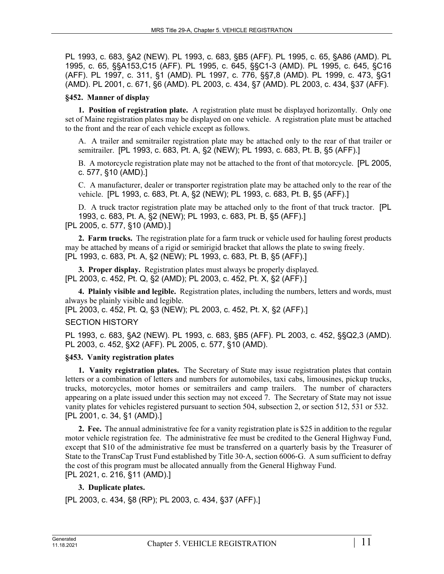PL 1993, c. 683, §A2 (NEW). PL 1993, c. 683, §B5 (AFF). PL 1995, c. 65, §A86 (AMD). PL 1995, c. 65, §§A153,C15 (AFF). PL 1995, c. 645, §§C1-3 (AMD). PL 1995, c. 645, §C16 (AFF). PL 1997, c. 311, §1 (AMD). PL 1997, c. 776, §§7,8 (AMD). PL 1999, c. 473, §G1 (AMD). PL 2001, c. 671, §6 (AMD). PL 2003, c. 434, §7 (AMD). PL 2003, c. 434, §37 (AFF).

#### **§452. Manner of display**

**1. Position of registration plate.** A registration plate must be displayed horizontally. Only one set of Maine registration plates may be displayed on one vehicle. A registration plate must be attached to the front and the rear of each vehicle except as follows.

A. A trailer and semitrailer registration plate may be attached only to the rear of that trailer or semitrailer. [PL 1993, c. 683, Pt. A, §2 (NEW); PL 1993, c. 683, Pt. B, §5 (AFF).]

B. A motorcycle registration plate may not be attached to the front of that motorcycle. [PL 2005, c. 577, §10 (AMD).]

C. A manufacturer, dealer or transporter registration plate may be attached only to the rear of the vehicle. [PL 1993, c. 683, Pt. A, §2 (NEW); PL 1993, c. 683, Pt. B, §5 (AFF).]

D. A truck tractor registration plate may be attached only to the front of that truck tractor. [PL 1993, c. 683, Pt. A, §2 (NEW); PL 1993, c. 683, Pt. B, §5 (AFF).]

[PL 2005, c. 577, §10 (AMD).]

**2. Farm trucks.** The registration plate for a farm truck or vehicle used for hauling forest products may be attached by means of a rigid or semirigid bracket that allows the plate to swing freely. [PL 1993, c. 683, Pt. A, §2 (NEW); PL 1993, c. 683, Pt. B, §5 (AFF).]

**3. Proper display.** Registration plates must always be properly displayed. [PL 2003, c. 452, Pt. Q, §2 (AMD); PL 2003, c. 452, Pt. X, §2 (AFF).]

**4. Plainly visible and legible.** Registration plates, including the numbers, letters and words, must always be plainly visible and legible.

[PL 2003, c. 452, Pt. Q, §3 (NEW); PL 2003, c. 452, Pt. X, §2 (AFF).]

#### SECTION HISTORY

PL 1993, c. 683, §A2 (NEW). PL 1993, c. 683, §B5 (AFF). PL 2003, c. 452, §§Q2,3 (AMD). PL 2003, c. 452, §X2 (AFF). PL 2005, c. 577, §10 (AMD).

# **§453. Vanity registration plates**

**1. Vanity registration plates.** The Secretary of State may issue registration plates that contain letters or a combination of letters and numbers for automobiles, taxi cabs, limousines, pickup trucks, trucks, motorcycles, motor homes or semitrailers and camp trailers. The number of characters appearing on a plate issued under this section may not exceed 7. The Secretary of State may not issue vanity plates for vehicles registered pursuant to section 504, subsection 2, or section 512, 531 or 532. [PL 2001, c. 34, §1 (AMD).]

**2. Fee.** The annual administrative fee for a vanity registration plate is \$25 in addition to the regular motor vehicle registration fee. The administrative fee must be credited to the General Highway Fund, except that \$10 of the administrative fee must be transferred on a quarterly basis by the Treasurer of State to the TransCap Trust Fund established by Title 30‑A, section 6006‑G. A sum sufficient to defray the cost of this program must be allocated annually from the General Highway Fund. [PL 2021, c. 216, §11 (AMD).]

# **3. Duplicate plates.**

[PL 2003, c. 434, §8 (RP); PL 2003, c. 434, §37 (AFF).]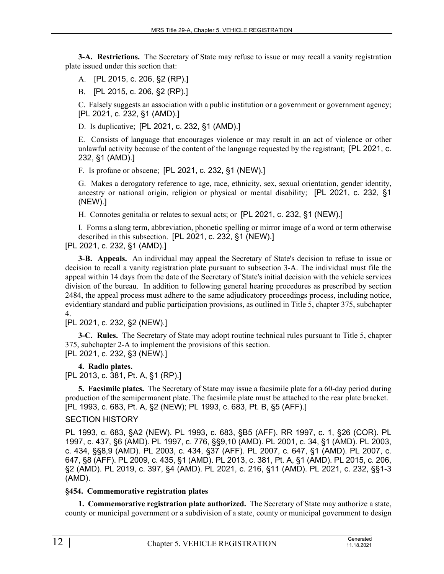**3-A. Restrictions.** The Secretary of State may refuse to issue or may recall a vanity registration plate issued under this section that:

A. [PL 2015, c. 206, §2 (RP).]

B. [PL 2015, c. 206, §2 (RP).]

C. Falsely suggests an association with a public institution or a government or government agency; [PL 2021, c. 232, §1 (AMD).]

D. Is duplicative; [PL 2021, c. 232, §1 (AMD).]

E. Consists of language that encourages violence or may result in an act of violence or other unlawful activity because of the content of the language requested by the registrant; [PL 2021, c. 232, §1 (AMD).]

F. Is profane or obscene; [PL 2021, c. 232, §1 (NEW).]

G. Makes a derogatory reference to age, race, ethnicity, sex, sexual orientation, gender identity, ancestry or national origin, religion or physical or mental disability; [PL 2021, c. 232, §1 (NEW).]

H. Connotes genitalia or relates to sexual acts; or [PL 2021, c. 232, §1 (NEW).]

I. Forms a slang term, abbreviation, phonetic spelling or mirror image of a word or term otherwise described in this subsection. [PL 2021, c. 232, §1 (NEW).]

[PL 2021, c. 232, §1 (AMD).]

**3-B. Appeals.** An individual may appeal the Secretary of State's decision to refuse to issue or decision to recall a vanity registration plate pursuant to subsection 3-A. The individual must file the appeal within 14 days from the date of the Secretary of State's initial decision with the vehicle services division of the bureau. In addition to following general hearing procedures as prescribed by section 2484, the appeal process must adhere to the same adjudicatory proceedings process, including notice, evidentiary standard and public participation provisions, as outlined in Title 5, chapter 375, subchapter 4.

[PL 2021, c. 232, §2 (NEW).]

**3-C. Rules.** The Secretary of State may adopt routine technical rules pursuant to Title 5, chapter 375, subchapter 2-A to implement the provisions of this section. [PL 2021, c. 232, §3 (NEW).]

**4. Radio plates.** 

[PL 2013, c. 381, Pt. A, §1 (RP).]

**5. Facsimile plates.** The Secretary of State may issue a facsimile plate for a 60-day period during production of the semipermanent plate. The facsimile plate must be attached to the rear plate bracket. [PL 1993, c. 683, Pt. A, §2 (NEW); PL 1993, c. 683, Pt. B, §5 (AFF).]

# SECTION HISTORY

PL 1993, c. 683, §A2 (NEW). PL 1993, c. 683, §B5 (AFF). RR 1997, c. 1, §26 (COR). PL 1997, c. 437, §6 (AMD). PL 1997, c. 776, §§9,10 (AMD). PL 2001, c. 34, §1 (AMD). PL 2003, c. 434, §§8,9 (AMD). PL 2003, c. 434, §37 (AFF). PL 2007, c. 647, §1 (AMD). PL 2007, c. 647, §8 (AFF). PL 2009, c. 435, §1 (AMD). PL 2013, c. 381, Pt. A, §1 (AMD). PL 2015, c. 206, §2 (AMD). PL 2019, c. 397, §4 (AMD). PL 2021, c. 216, §11 (AMD). PL 2021, c. 232, §§1-3 (AMD).

# **§454. Commemorative registration plates**

**1. Commemorative registration plate authorized.** The Secretary of State may authorize a state, county or municipal government or a subdivision of a state, county or municipal government to design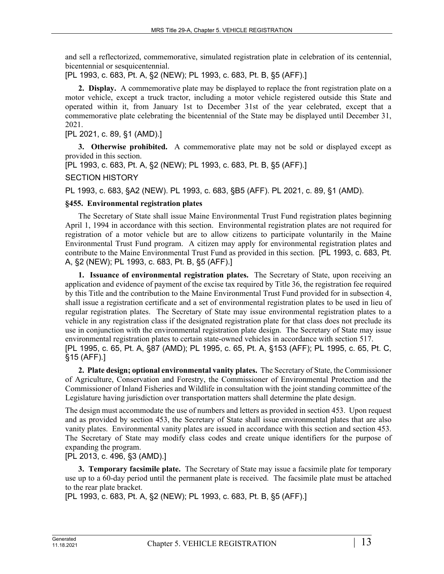and sell a reflectorized, commemorative, simulated registration plate in celebration of its centennial, bicentennial or sesquicentennial.

[PL 1993, c. 683, Pt. A, §2 (NEW); PL 1993, c. 683, Pt. B, §5 (AFF).]

**2. Display.** A commemorative plate may be displayed to replace the front registration plate on a motor vehicle, except a truck tractor, including a motor vehicle registered outside this State and operated within it, from January 1st to December 31st of the year celebrated, except that a commemorative plate celebrating the bicentennial of the State may be displayed until December 31, 2021.

[PL 2021, c. 89, §1 (AMD).]

**3. Otherwise prohibited.** A commemorative plate may not be sold or displayed except as provided in this section.

[PL 1993, c. 683, Pt. A, §2 (NEW); PL 1993, c. 683, Pt. B, §5 (AFF).]

#### SECTION HISTORY

PL 1993, c. 683, §A2 (NEW). PL 1993, c. 683, §B5 (AFF). PL 2021, c. 89, §1 (AMD).

#### **§455. Environmental registration plates**

The Secretary of State shall issue Maine Environmental Trust Fund registration plates beginning April 1, 1994 in accordance with this section. Environmental registration plates are not required for registration of a motor vehicle but are to allow citizens to participate voluntarily in the Maine Environmental Trust Fund program. A citizen may apply for environmental registration plates and contribute to the Maine Environmental Trust Fund as provided in this section. [PL 1993, c. 683, Pt. A, §2 (NEW); PL 1993, c. 683, Pt. B, §5 (AFF).]

**1. Issuance of environmental registration plates.** The Secretary of State, upon receiving an application and evidence of payment of the excise tax required by Title 36, the registration fee required by this Title and the contribution to the Maine Environmental Trust Fund provided for in subsection 4, shall issue a registration certificate and a set of environmental registration plates to be used in lieu of regular registration plates. The Secretary of State may issue environmental registration plates to a vehicle in any registration class if the designated registration plate for that class does not preclude its use in conjunction with the environmental registration plate design. The Secretary of State may issue environmental registration plates to certain state-owned vehicles in accordance with section 517. [PL 1995, c. 65, Pt. A, §87 (AMD); PL 1995, c. 65, Pt. A, §153 (AFF); PL 1995, c. 65, Pt. C, §15 (AFF).]

**2. Plate design; optional environmental vanity plates.** The Secretary of State, the Commissioner of Agriculture, Conservation and Forestry, the Commissioner of Environmental Protection and the Commissioner of Inland Fisheries and Wildlife in consultation with the joint standing committee of the Legislature having jurisdiction over transportation matters shall determine the plate design.

The design must accommodate the use of numbers and letters as provided in section 453. Upon request and as provided by section 453, the Secretary of State shall issue environmental plates that are also vanity plates. Environmental vanity plates are issued in accordance with this section and section 453. The Secretary of State may modify class codes and create unique identifiers for the purpose of expanding the program.

[PL 2013, c. 496, §3 (AMD).]

**3. Temporary facsimile plate.** The Secretary of State may issue a facsimile plate for temporary use up to a 60-day period until the permanent plate is received. The facsimile plate must be attached to the rear plate bracket.

[PL 1993, c. 683, Pt. A, §2 (NEW); PL 1993, c. 683, Pt. B, §5 (AFF).]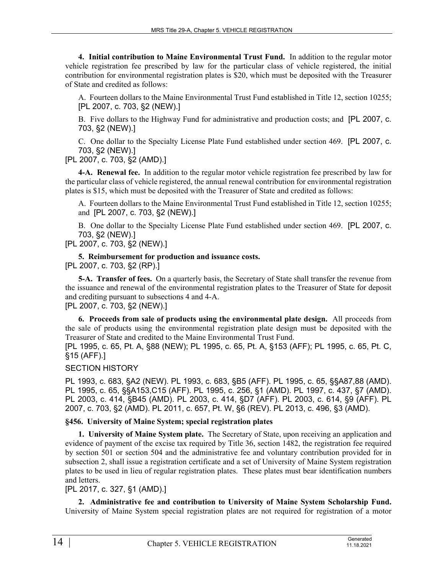**4. Initial contribution to Maine Environmental Trust Fund.** In addition to the regular motor vehicle registration fee prescribed by law for the particular class of vehicle registered, the initial contribution for environmental registration plates is \$20, which must be deposited with the Treasurer of State and credited as follows:

A. Fourteen dollars to the Maine Environmental Trust Fund established in Title 12, section 10255; [PL 2007, c. 703, §2 (NEW).]

B. Five dollars to the Highway Fund for administrative and production costs; and [PL 2007, c. 703, §2 (NEW).]

C. One dollar to the Specialty License Plate Fund established under section 469. [PL 2007, c. 703, §2 (NEW).]

[PL 2007, c. 703, §2 (AMD).]

**4-A. Renewal fee.** In addition to the regular motor vehicle registration fee prescribed by law for the particular class of vehicle registered, the annual renewal contribution for environmental registration plates is \$15, which must be deposited with the Treasurer of State and credited as follows:

A. Fourteen dollars to the Maine Environmental Trust Fund established in Title 12, section 10255; and [PL 2007, c. 703, §2 (NEW).]

B. One dollar to the Specialty License Plate Fund established under section 469. [PL 2007, c. 703, §2 (NEW).]

[PL 2007, c. 703, §2 (NEW).]

**5. Reimbursement for production and issuance costs.**  [PL 2007, c. 703, §2 (RP).]

**5-A. Transfer of fees.** On a quarterly basis, the Secretary of State shall transfer the revenue from the issuance and renewal of the environmental registration plates to the Treasurer of State for deposit and crediting pursuant to subsections 4 and 4-A.

[PL 2007, c. 703, §2 (NEW).]

**6. Proceeds from sale of products using the environmental plate design.** All proceeds from the sale of products using the environmental registration plate design must be deposited with the Treasurer of State and credited to the Maine Environmental Trust Fund.

[PL 1995, c. 65, Pt. A, §88 (NEW); PL 1995, c. 65, Pt. A, §153 (AFF); PL 1995, c. 65, Pt. C, §15 (AFF).]

#### SECTION HISTORY

PL 1993, c. 683, §A2 (NEW). PL 1993, c. 683, §B5 (AFF). PL 1995, c. 65, §§A87,88 (AMD). PL 1995, c. 65, §§A153,C15 (AFF). PL 1995, c. 256, §1 (AMD). PL 1997, c. 437, §7 (AMD). PL 2003, c. 414, §B45 (AMD). PL 2003, c. 414, §D7 (AFF). PL 2003, c. 614, §9 (AFF). PL 2007, c. 703, §2 (AMD). PL 2011, c. 657, Pt. W, §6 (REV). PL 2013, c. 496, §3 (AMD).

#### **§456. University of Maine System; special registration plates**

**1. University of Maine System plate.** The Secretary of State, upon receiving an application and evidence of payment of the excise tax required by Title 36, section 1482, the registration fee required by section 501 or section 504 and the administrative fee and voluntary contribution provided for in subsection 2, shall issue a registration certificate and a set of University of Maine System registration plates to be used in lieu of regular registration plates. These plates must bear identification numbers and letters.

[PL 2017, c. 327, §1 (AMD).]

**2. Administrative fee and contribution to University of Maine System Scholarship Fund.**  University of Maine System special registration plates are not required for registration of a motor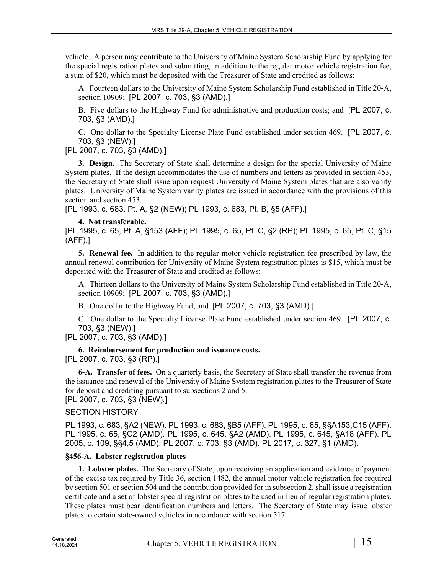vehicle. A person may contribute to the University of Maine System Scholarship Fund by applying for the special registration plates and submitting, in addition to the regular motor vehicle registration fee, a sum of \$20, which must be deposited with the Treasurer of State and credited as follows:

A. Fourteen dollars to the University of Maine System Scholarship Fund established in Title 20‑A, section 10909; [PL 2007, c. 703, §3 (AMD).]

B. Five dollars to the Highway Fund for administrative and production costs; and [PL 2007, c. 703, §3 (AMD).]

C. One dollar to the Specialty License Plate Fund established under section 469. [PL 2007, c. 703, §3 (NEW).]

[PL 2007, c. 703, §3 (AMD).]

**3. Design.** The Secretary of State shall determine a design for the special University of Maine System plates. If the design accommodates the use of numbers and letters as provided in section 453, the Secretary of State shall issue upon request University of Maine System plates that are also vanity plates. University of Maine System vanity plates are issued in accordance with the provisions of this section and section 453.

[PL 1993, c. 683, Pt. A, §2 (NEW); PL 1993, c. 683, Pt. B, §5 (AFF).]

# **4. Not transferable.**

[PL 1995, c. 65, Pt. A, §153 (AFF); PL 1995, c. 65, Pt. C, §2 (RP); PL 1995, c. 65, Pt. C, §15 (AFF).]

**5. Renewal fee.** In addition to the regular motor vehicle registration fee prescribed by law, the annual renewal contribution for University of Maine System registration plates is \$15, which must be deposited with the Treasurer of State and credited as follows:

A. Thirteen dollars to the University of Maine System Scholarship Fund established in Title 20‑A, section 10909; [PL 2007, c. 703, §3 (AMD).]

B. One dollar to the Highway Fund; and [PL 2007, c. 703, §3 (AMD).]

C. One dollar to the Specialty License Plate Fund established under section 469. [PL 2007, c. 703, §3 (NEW).]

[PL 2007, c. 703, §3 (AMD).]

# **6. Reimbursement for production and issuance costs.**  [PL 2007, c. 703, §3 (RP).]

**6-A. Transfer of fees.** On a quarterly basis, the Secretary of State shall transfer the revenue from the issuance and renewal of the University of Maine System registration plates to the Treasurer of State for deposit and crediting pursuant to subsections 2 and 5. [PL 2007, c. 703, §3 (NEW).]

# SECTION HISTORY

PL 1993, c. 683, §A2 (NEW). PL 1993, c. 683, §B5 (AFF). PL 1995, c. 65, §§A153,C15 (AFF). PL 1995, c. 65, §C2 (AMD). PL 1995, c. 645, §A2 (AMD). PL 1995, c. 645, §A18 (AFF). PL 2005, c. 109, §§4,5 (AMD). PL 2007, c. 703, §3 (AMD). PL 2017, c. 327, §1 (AMD).

# **§456-A. Lobster registration plates**

**1. Lobster plates.** The Secretary of State, upon receiving an application and evidence of payment of the excise tax required by Title 36, section 1482, the annual motor vehicle registration fee required by section 501 or section 504 and the contribution provided for in subsection 2, shall issue a registration certificate and a set of lobster special registration plates to be used in lieu of regular registration plates. These plates must bear identification numbers and letters. The Secretary of State may issue lobster plates to certain state-owned vehicles in accordance with section 517.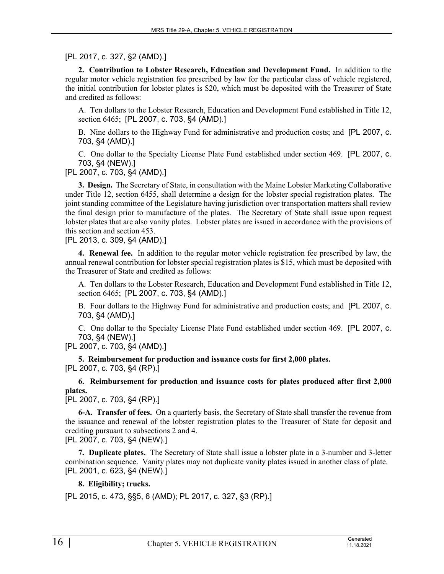# [PL 2017, c. 327, §2 (AMD).]

**2. Contribution to Lobster Research, Education and Development Fund.** In addition to the regular motor vehicle registration fee prescribed by law for the particular class of vehicle registered, the initial contribution for lobster plates is \$20, which must be deposited with the Treasurer of State and credited as follows:

A. Ten dollars to the Lobster Research, Education and Development Fund established in Title 12, section 6465; [PL 2007, c. 703, §4 (AMD).]

B. Nine dollars to the Highway Fund for administrative and production costs; and [PL 2007, c. 703, §4 (AMD).]

C. One dollar to the Specialty License Plate Fund established under section 469. [PL 2007, c. 703, §4 (NEW).]

[PL 2007, c. 703, §4 (AMD).]

**3. Design.** The Secretary of State, in consultation with the Maine Lobster Marketing Collaborative under Title 12, section 6455, shall determine a design for the lobster special registration plates. The joint standing committee of the Legislature having jurisdiction over transportation matters shall review the final design prior to manufacture of the plates. The Secretary of State shall issue upon request lobster plates that are also vanity plates. Lobster plates are issued in accordance with the provisions of this section and section 453.

[PL 2013, c. 309, §4 (AMD).]

**4. Renewal fee.** In addition to the regular motor vehicle registration fee prescribed by law, the annual renewal contribution for lobster special registration plates is \$15, which must be deposited with the Treasurer of State and credited as follows:

A. Ten dollars to the Lobster Research, Education and Development Fund established in Title 12, section 6465; [PL 2007, c. 703, §4 (AMD).]

B. Four dollars to the Highway Fund for administrative and production costs; and [PL 2007, c. 703, §4 (AMD).]

C. One dollar to the Specialty License Plate Fund established under section 469. [PL 2007, c. 703, §4 (NEW).]

[PL 2007, c. 703, §4 (AMD).]

**5. Reimbursement for production and issuance costs for first 2,000 plates.**  [PL 2007, c. 703, §4 (RP).]

**6. Reimbursement for production and issuance costs for plates produced after first 2,000 plates.** 

[PL 2007, c. 703, §4 (RP).]

**6-A. Transfer of fees.** On a quarterly basis, the Secretary of State shall transfer the revenue from the issuance and renewal of the lobster registration plates to the Treasurer of State for deposit and crediting pursuant to subsections 2 and 4.

[PL 2007, c. 703, §4 (NEW).]

**7. Duplicate plates.** The Secretary of State shall issue a lobster plate in a 3-number and 3-letter combination sequence. Vanity plates may not duplicate vanity plates issued in another class of plate. [PL 2001, c. 623, §4 (NEW).]

# **8. Eligibility; trucks.**

[PL 2015, c. 473, §§5, 6 (AMD); PL 2017, c. 327, §3 (RP).]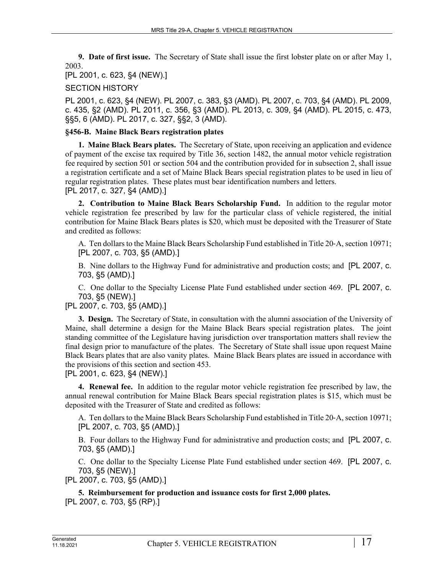**9. Date of first issue.** The Secretary of State shall issue the first lobster plate on or after May 1, 2003.

[PL 2001, c. 623, §4 (NEW).]

#### SECTION HISTORY

PL 2001, c. 623, §4 (NEW). PL 2007, c. 383, §3 (AMD). PL 2007, c. 703, §4 (AMD). PL 2009, c. 435, §2 (AMD). PL 2011, c. 356, §3 (AMD). PL 2013, c. 309, §4 (AMD). PL 2015, c. 473, §§5, 6 (AMD). PL 2017, c. 327, §§2, 3 (AMD).

#### **§456-B. Maine Black Bears registration plates**

**1. Maine Black Bears plates.** The Secretary of State, upon receiving an application and evidence of payment of the excise tax required by Title 36, section 1482, the annual motor vehicle registration fee required by section 501 or section 504 and the contribution provided for in subsection 2, shall issue a registration certificate and a set of Maine Black Bears special registration plates to be used in lieu of regular registration plates. These plates must bear identification numbers and letters. [PL 2017, c. 327, §4 (AMD).]

**2. Contribution to Maine Black Bears Scholarship Fund.** In addition to the regular motor vehicle registration fee prescribed by law for the particular class of vehicle registered, the initial contribution for Maine Black Bears plates is \$20, which must be deposited with the Treasurer of State and credited as follows:

A. Ten dollars to the Maine Black Bears Scholarship Fund established in Title 20‑A, section 10971; [PL 2007, c. 703, §5 (AMD).]

B. Nine dollars to the Highway Fund for administrative and production costs; and [PL 2007, c. 703, §5 (AMD).]

C. One dollar to the Specialty License Plate Fund established under section 469. [PL 2007, c. 703, §5 (NEW).]

[PL 2007, c. 703, §5 (AMD).]

**3. Design.** The Secretary of State, in consultation with the alumni association of the University of Maine, shall determine a design for the Maine Black Bears special registration plates. The joint standing committee of the Legislature having jurisdiction over transportation matters shall review the final design prior to manufacture of the plates. The Secretary of State shall issue upon request Maine Black Bears plates that are also vanity plates. Maine Black Bears plates are issued in accordance with the provisions of this section and section 453.

[PL 2001, c. 623, §4 (NEW).]

**4. Renewal fee.** In addition to the regular motor vehicle registration fee prescribed by law, the annual renewal contribution for Maine Black Bears special registration plates is \$15, which must be deposited with the Treasurer of State and credited as follows:

A. Ten dollars to the Maine Black Bears Scholarship Fund established in Title 20‑A, section 10971; [PL 2007, c. 703, §5 (AMD).]

B. Four dollars to the Highway Fund for administrative and production costs; and [PL 2007, c. 703, §5 (AMD).]

C. One dollar to the Specialty License Plate Fund established under section 469. [PL 2007, c. 703, §5 (NEW).]

[PL 2007, c. 703, §5 (AMD).]

**5. Reimbursement for production and issuance costs for first 2,000 plates.**  [PL 2007, c. 703, §5 (RP).]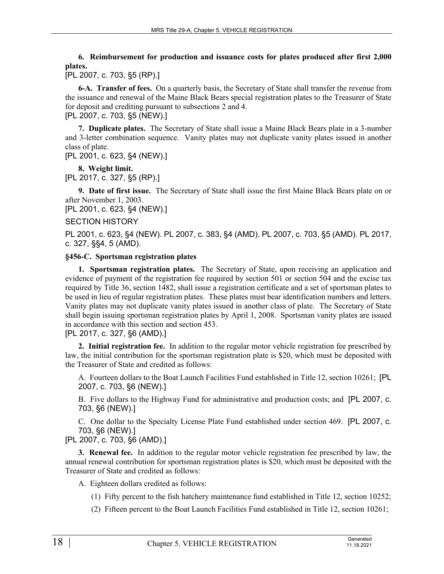**6. Reimbursement for production and issuance costs for plates produced after first 2,000 plates.** 

[PL 2007, c. 703, §5 (RP).]

**6-A. Transfer of fees.** On a quarterly basis, the Secretary of State shall transfer the revenue from the issuance and renewal of the Maine Black Bears special registration plates to the Treasurer of State for deposit and crediting pursuant to subsections 2 and 4. [PL 2007, c. 703, §5 (NEW).]

**7. Duplicate plates.** The Secretary of State shall issue a Maine Black Bears plate in a 3-number and 3-letter combination sequence. Vanity plates may not duplicate vanity plates issued in another class of plate.

[PL 2001, c. 623, §4 (NEW).]

**8. Weight limit.** 

[PL 2017, c. 327, §5 (RP).]

**9. Date of first issue.** The Secretary of State shall issue the first Maine Black Bears plate on or after November 1, 2003.

[PL 2001, c. 623, §4 (NEW).]

#### SECTION HISTORY

PL 2001, c. 623, §4 (NEW). PL 2007, c. 383, §4 (AMD). PL 2007, c. 703, §5 (AMD). PL 2017, c. 327, §§4, 5 (AMD).

#### **§456-C. Sportsman registration plates**

**1. Sportsman registration plates.** The Secretary of State, upon receiving an application and evidence of payment of the registration fee required by section 501 or section 504 and the excise tax required by Title 36, section 1482, shall issue a registration certificate and a set of sportsman plates to be used in lieu of regular registration plates. These plates must bear identification numbers and letters. Vanity plates may not duplicate vanity plates issued in another class of plate. The Secretary of State shall begin issuing sportsman registration plates by April 1, 2008. Sportsman vanity plates are issued in accordance with this section and section 453.

[PL 2017, c. 327, §6 (AMD).]

**2. Initial registration fee.** In addition to the regular motor vehicle registration fee prescribed by law, the initial contribution for the sportsman registration plate is \$20, which must be deposited with the Treasurer of State and credited as follows:

A. Fourteen dollars to the Boat Launch Facilities Fund established in Title 12, section 10261; [PL 2007, c. 703, §6 (NEW).]

B. Five dollars to the Highway Fund for administrative and production costs; and [PL 2007, c. 703, §6 (NEW).]

C. One dollar to the Specialty License Plate Fund established under section 469. [PL 2007, c. 703, §6 (NEW).]

# [PL 2007, c. 703, §6 (AMD).]

**3. Renewal fee.** In addition to the regular motor vehicle registration fee prescribed by law, the annual renewal contribution for sportsman registration plates is \$20, which must be deposited with the Treasurer of State and credited as follows:

A. Eighteen dollars credited as follows:

- (1) Fifty percent to the fish hatchery maintenance fund established in Title 12, section 10252;
- (2) Fifteen percent to the Boat Launch Facilities Fund established in Title 12, section 10261;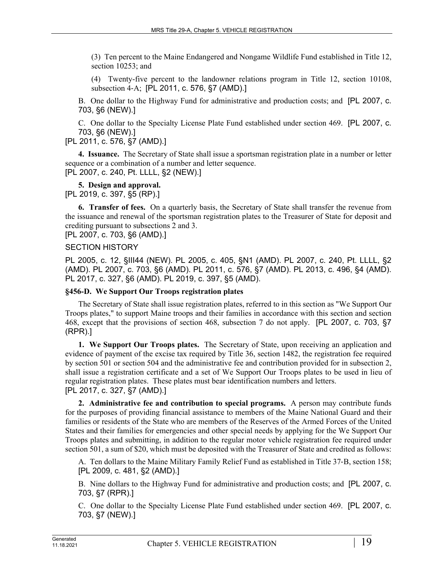(3) Ten percent to the Maine Endangered and Nongame Wildlife Fund established in Title 12, section 10253; and

(4) Twenty-five percent to the landowner relations program in Title 12, section 10108, subsection 4‑A; [PL 2011, c. 576, §7 (AMD).]

B. One dollar to the Highway Fund for administrative and production costs; and [PL 2007, c. 703, §6 (NEW).]

C. One dollar to the Specialty License Plate Fund established under section 469. [PL 2007, c. 703, §6 (NEW).]

[PL 2011, c. 576, §7 (AMD).]

**4. Issuance.** The Secretary of State shall issue a sportsman registration plate in a number or letter sequence or a combination of a number and letter sequence. [PL 2007, c. 240, Pt. LLLL, §2 (NEW).]

#### **5. Design and approval.**

[PL 2019, c. 397, §5 (RP).]

**6. Transfer of fees.** On a quarterly basis, the Secretary of State shall transfer the revenue from the issuance and renewal of the sportsman registration plates to the Treasurer of State for deposit and crediting pursuant to subsections 2 and 3.

[PL 2007, c. 703, §6 (AMD).]

#### SECTION HISTORY

PL 2005, c. 12, §III44 (NEW). PL 2005, c. 405, §N1 (AMD). PL 2007, c. 240, Pt. LLLL, §2 (AMD). PL 2007, c. 703, §6 (AMD). PL 2011, c. 576, §7 (AMD). PL 2013, c. 496, §4 (AMD). PL 2017, c. 327, §6 (AMD). PL 2019, c. 397, §5 (AMD).

# **§456-D. We Support Our Troops registration plates**

The Secretary of State shall issue registration plates, referred to in this section as "We Support Our Troops plates," to support Maine troops and their families in accordance with this section and section 468, except that the provisions of section 468, subsection 7 do not apply. [PL 2007, c. 703, §7 (RPR).]

**1. We Support Our Troops plates.** The Secretary of State, upon receiving an application and evidence of payment of the excise tax required by Title 36, section 1482, the registration fee required by section 501 or section 504 and the administrative fee and contribution provided for in subsection 2, shall issue a registration certificate and a set of We Support Our Troops plates to be used in lieu of regular registration plates. These plates must bear identification numbers and letters. [PL 2017, c. 327, §7 (AMD).]

**2. Administrative fee and contribution to special programs.** A person may contribute funds for the purposes of providing financial assistance to members of the Maine National Guard and their families or residents of the State who are members of the Reserves of the Armed Forces of the United States and their families for emergencies and other special needs by applying for the We Support Our Troops plates and submitting, in addition to the regular motor vehicle registration fee required under section 501, a sum of \$20, which must be deposited with the Treasurer of State and credited as follows:

A. Ten dollars to the Maine Military Family Relief Fund as established in Title 37‑B, section 158; [PL 2009, c. 481, §2 (AMD).]

B. Nine dollars to the Highway Fund for administrative and production costs; and [PL 2007, c. 703, §7 (RPR).]

C. One dollar to the Specialty License Plate Fund established under section 469. [PL 2007, c. 703, §7 (NEW).]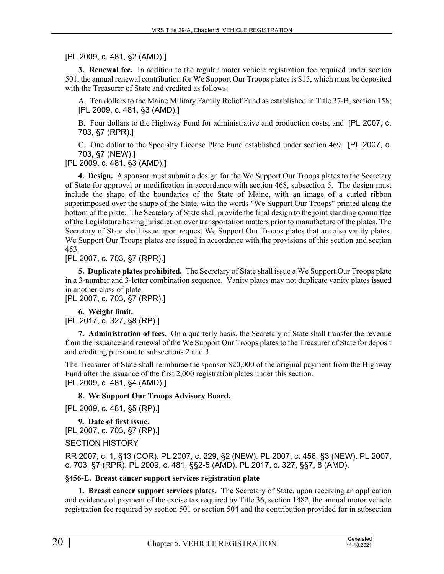[PL 2009, c. 481, §2 (AMD).]

**3. Renewal fee.** In addition to the regular motor vehicle registration fee required under section 501, the annual renewal contribution for We Support Our Troops plates is \$15, which must be deposited with the Treasurer of State and credited as follows:

A. Ten dollars to the Maine Military Family Relief Fund as established in Title 37‑B, section 158; [PL 2009, c. 481, §3 (AMD).]

B. Four dollars to the Highway Fund for administrative and production costs; and [PL 2007, c. 703, §7 (RPR).]

C. One dollar to the Specialty License Plate Fund established under section 469. [PL 2007, c. 703, §7 (NEW).]

[PL 2009, c. 481, §3 (AMD).]

**4. Design.** A sponsor must submit a design for the We Support Our Troops plates to the Secretary of State for approval or modification in accordance with section 468, subsection 5. The design must include the shape of the boundaries of the State of Maine, with an image of a curled ribbon superimposed over the shape of the State, with the words "We Support Our Troops" printed along the bottom of the plate. The Secretary of State shall provide the final design to the joint standing committee of the Legislature having jurisdiction over transportation matters prior to manufacture of the plates. The Secretary of State shall issue upon request We Support Our Troops plates that are also vanity plates. We Support Our Troops plates are issued in accordance with the provisions of this section and section 453.

[PL 2007, c. 703, §7 (RPR).]

**5. Duplicate plates prohibited.** The Secretary of State shall issue a We Support Our Troops plate in a 3-number and 3-letter combination sequence. Vanity plates may not duplicate vanity plates issued in another class of plate.

[PL 2007, c. 703, §7 (RPR).]

**6. Weight limit.** 

[PL 2017, c. 327, §8 (RP).]

**7. Administration of fees.** On a quarterly basis, the Secretary of State shall transfer the revenue from the issuance and renewal of the We Support Our Troops plates to the Treasurer of State for deposit and crediting pursuant to subsections 2 and 3.

The Treasurer of State shall reimburse the sponsor \$20,000 of the original payment from the Highway Fund after the issuance of the first 2,000 registration plates under this section. [PL 2009, c. 481, §4 (AMD).]

# **8. We Support Our Troops Advisory Board.**

```
[PL 2009, c. 481, §5 (RP).]
```

```
9. Date of first issue. 
[PL 2007, c. 703, §7 (RP).]
```
SECTION HISTORY

RR 2007, c. 1, §13 (COR). PL 2007, c. 229, §2 (NEW). PL 2007, c. 456, §3 (NEW). PL 2007, c. 703, §7 (RPR). PL 2009, c. 481, §§2-5 (AMD). PL 2017, c. 327, §§7, 8 (AMD).

# **§456-E. Breast cancer support services registration plate**

**1. Breast cancer support services plates.** The Secretary of State, upon receiving an application and evidence of payment of the excise tax required by Title 36, section 1482, the annual motor vehicle registration fee required by section 501 or section 504 and the contribution provided for in subsection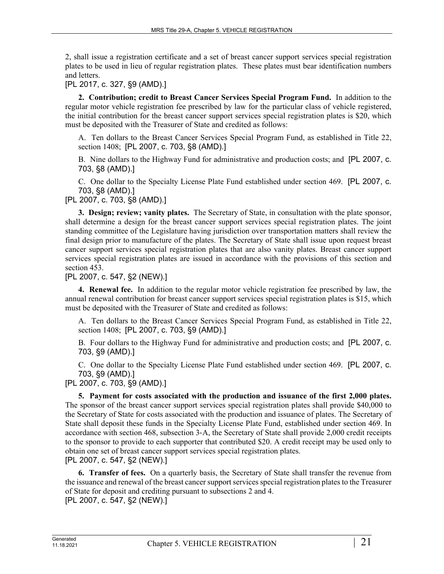2, shall issue a registration certificate and a set of breast cancer support services special registration plates to be used in lieu of regular registration plates. These plates must bear identification numbers and letters.

[PL 2017, c. 327, §9 (AMD).]

**2. Contribution; credit to Breast Cancer Services Special Program Fund.** In addition to the regular motor vehicle registration fee prescribed by law for the particular class of vehicle registered, the initial contribution for the breast cancer support services special registration plates is \$20, which must be deposited with the Treasurer of State and credited as follows:

A. Ten dollars to the Breast Cancer Services Special Program Fund, as established in Title 22, section 1408; [PL 2007, c. 703, §8 (AMD).]

B. Nine dollars to the Highway Fund for administrative and production costs; and [PL 2007, c. 703, §8 (AMD).]

C. One dollar to the Specialty License Plate Fund established under section 469. [PL 2007, c. 703, §8 (AMD).]

[PL 2007, c. 703, §8 (AMD).]

**3. Design; review; vanity plates.** The Secretary of State, in consultation with the plate sponsor, shall determine a design for the breast cancer support services special registration plates. The joint standing committee of the Legislature having jurisdiction over transportation matters shall review the final design prior to manufacture of the plates. The Secretary of State shall issue upon request breast cancer support services special registration plates that are also vanity plates. Breast cancer support services special registration plates are issued in accordance with the provisions of this section and section 453.

[PL 2007, c. 547, §2 (NEW).]

**4. Renewal fee.** In addition to the regular motor vehicle registration fee prescribed by law, the annual renewal contribution for breast cancer support services special registration plates is \$15, which must be deposited with the Treasurer of State and credited as follows:

A. Ten dollars to the Breast Cancer Services Special Program Fund, as established in Title 22, section 1408; [PL 2007, c. 703, §9 (AMD).]

B. Four dollars to the Highway Fund for administrative and production costs; and [PL 2007, c. 703, §9 (AMD).]

C. One dollar to the Specialty License Plate Fund established under section 469. [PL 2007, c. 703, §9 (AMD).]

[PL 2007, c. 703, §9 (AMD).]

**5. Payment for costs associated with the production and issuance of the first 2,000 plates.**  The sponsor of the breast cancer support services special registration plates shall provide \$40,000 to the Secretary of State for costs associated with the production and issuance of plates. The Secretary of State shall deposit these funds in the Specialty License Plate Fund, established under section 469. In accordance with section 468, subsection 3‑A, the Secretary of State shall provide 2,000 credit receipts to the sponsor to provide to each supporter that contributed \$20. A credit receipt may be used only to obtain one set of breast cancer support services special registration plates. [PL 2007, c. 547, §2 (NEW).]

**6. Transfer of fees.** On a quarterly basis, the Secretary of State shall transfer the revenue from the issuance and renewal of the breast cancer support services special registration plates to the Treasurer of State for deposit and crediting pursuant to subsections 2 and 4. [PL 2007, c. 547, §2 (NEW).]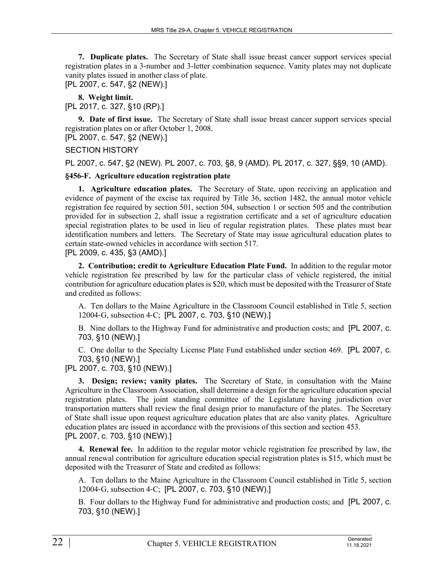**7. Duplicate plates.** The Secretary of State shall issue breast cancer support services special registration plates in a 3-number and 3-letter combination sequence. Vanity plates may not duplicate vanity plates issued in another class of plate.

[PL 2007, c. 547, §2 (NEW).]

**8. Weight limit.** 

[PL 2017, c. 327, §10 (RP).]

**9. Date of first issue.** The Secretary of State shall issue breast cancer support services special registration plates on or after October 1, 2008. [PL 2007, c. 547, §2 (NEW).]

SECTION HISTORY

PL 2007, c. 547, §2 (NEW). PL 2007, c. 703, §8, 9 (AMD). PL 2017, c. 327, §§9, 10 (AMD).

#### **§456-F. Agriculture education registration plate**

**1. Agriculture education plates.** The Secretary of State, upon receiving an application and evidence of payment of the excise tax required by Title 36, section 1482, the annual motor vehicle registration fee required by section 501, section 504, subsection 1 or section 505 and the contribution provided for in subsection 2, shall issue a registration certificate and a set of agriculture education special registration plates to be used in lieu of regular registration plates. These plates must bear identification numbers and letters. The Secretary of State may issue agricultural education plates to certain state-owned vehicles in accordance with section 517.

[PL 2009, c. 435, §3 (AMD).]

**2. Contribution; credit to Agriculture Education Plate Fund.** In addition to the regular motor vehicle registration fee prescribed by law for the particular class of vehicle registered, the initial contribution for agriculture education plates is \$20, which must be deposited with the Treasurer of State and credited as follows:

A. Ten dollars to the Maine Agriculture in the Classroom Council established in Title 5, section 12004‑G, subsection 4‑C; [PL 2007, c. 703, §10 (NEW).]

B. Nine dollars to the Highway Fund for administrative and production costs; and [PL 2007, c. 703, §10 (NEW).]

C. One dollar to the Specialty License Plate Fund established under section 469. [PL 2007, c. 703, §10 (NEW).]

[PL 2007, c. 703, §10 (NEW).]

**3. Design; review; vanity plates.** The Secretary of State, in consultation with the Maine Agriculture in the Classroom Association, shall determine a design for the agriculture education special registration plates. The joint standing committee of the Legislature having jurisdiction over transportation matters shall review the final design prior to manufacture of the plates. The Secretary of State shall issue upon request agriculture education plates that are also vanity plates. Agriculture education plates are issued in accordance with the provisions of this section and section 453. [PL 2007, c. 703, §10 (NEW).]

**4. Renewal fee.** In addition to the regular motor vehicle registration fee prescribed by law, the annual renewal contribution for agriculture education special registration plates is \$15, which must be deposited with the Treasurer of State and credited as follows:

A. Ten dollars to the Maine Agriculture in the Classroom Council established in Title 5, section 12004‑G, subsection 4‑C; [PL 2007, c. 703, §10 (NEW).]

B. Four dollars to the Highway Fund for administrative and production costs; and [PL 2007, c. 703, §10 (NEW).]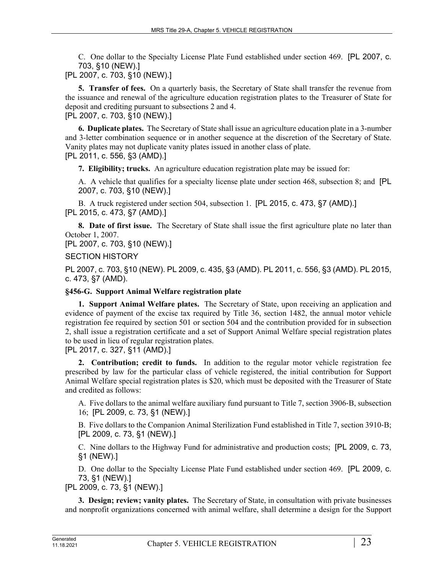C. One dollar to the Specialty License Plate Fund established under section 469. [PL 2007, c. 703, §10 (NEW).]

[PL 2007, c. 703, §10 (NEW).]

**5. Transfer of fees.** On a quarterly basis, the Secretary of State shall transfer the revenue from the issuance and renewal of the agriculture education registration plates to the Treasurer of State for deposit and crediting pursuant to subsections 2 and 4. [PL 2007, c. 703, §10 (NEW).]

**6. Duplicate plates.** The Secretary of State shall issue an agriculture education plate in a 3-number and 3-letter combination sequence or in another sequence at the discretion of the Secretary of State. Vanity plates may not duplicate vanity plates issued in another class of plate. [PL 2011, c. 556, §3 (AMD).]

**7. Eligibility; trucks.** An agriculture education registration plate may be issued for:

A. A vehicle that qualifies for a specialty license plate under section 468, subsection 8; and [PL 2007, c. 703, §10 (NEW).]

B. A truck registered under section 504, subsection 1. [PL 2015, c. 473, §7 (AMD).] [PL 2015, c. 473, §7 (AMD).]

**8. Date of first issue.** The Secretary of State shall issue the first agriculture plate no later than October 1, 2007.

[PL 2007, c. 703, §10 (NEW).]

SECTION HISTORY

PL 2007, c. 703, §10 (NEW). PL 2009, c. 435, §3 (AMD). PL 2011, c. 556, §3 (AMD). PL 2015, c. 473, §7 (AMD).

#### **§456-G. Support Animal Welfare registration plate**

**1. Support Animal Welfare plates.** The Secretary of State, upon receiving an application and evidence of payment of the excise tax required by Title 36, section 1482, the annual motor vehicle registration fee required by section 501 or section 504 and the contribution provided for in subsection 2, shall issue a registration certificate and a set of Support Animal Welfare special registration plates to be used in lieu of regular registration plates.

[PL 2017, c. 327, §11 (AMD).]

**2. Contribution; credit to funds.** In addition to the regular motor vehicle registration fee prescribed by law for the particular class of vehicle registered, the initial contribution for Support Animal Welfare special registration plates is \$20, which must be deposited with the Treasurer of State and credited as follows:

A. Five dollars to the animal welfare auxiliary fund pursuant to Title 7, section 3906‑B, subsection 16; [PL 2009, c. 73, §1 (NEW).]

B. Five dollars to the Companion Animal Sterilization Fund established in Title 7, section 3910-B; [PL 2009, c. 73, §1 (NEW).]

C. Nine dollars to the Highway Fund for administrative and production costs; [PL 2009, c. 73, §1 (NEW).]

D. One dollar to the Specialty License Plate Fund established under section 469. [PL 2009, c. 73, §1 (NEW).]

[PL 2009, c. 73, §1 (NEW).]

**3. Design; review; vanity plates.** The Secretary of State, in consultation with private businesses and nonprofit organizations concerned with animal welfare, shall determine a design for the Support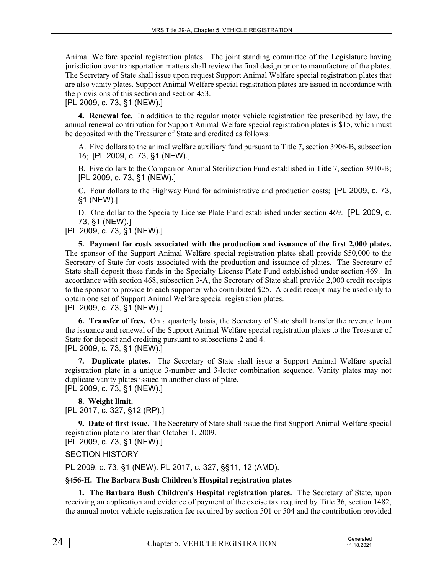Animal Welfare special registration plates. The joint standing committee of the Legislature having jurisdiction over transportation matters shall review the final design prior to manufacture of the plates. The Secretary of State shall issue upon request Support Animal Welfare special registration plates that are also vanity plates. Support Animal Welfare special registration plates are issued in accordance with the provisions of this section and section 453.

[PL 2009, c. 73, §1 (NEW).]

**4. Renewal fee.** In addition to the regular motor vehicle registration fee prescribed by law, the annual renewal contribution for Support Animal Welfare special registration plates is \$15, which must be deposited with the Treasurer of State and credited as follows:

A. Five dollars to the animal welfare auxiliary fund pursuant to Title 7, section 3906‑B, subsection 16; [PL 2009, c. 73, §1 (NEW).]

B. Five dollars to the Companion Animal Sterilization Fund established in Title 7, section 3910-B; [PL 2009, c. 73, §1 (NEW).]

C. Four dollars to the Highway Fund for administrative and production costs; [PL 2009, c. 73, §1 (NEW).]

D. One dollar to the Specialty License Plate Fund established under section 469. [PL 2009, c. 73, §1 (NEW).]

# [PL 2009, c. 73, §1 (NEW).]

**5. Payment for costs associated with the production and issuance of the first 2,000 plates.**  The sponsor of the Support Animal Welfare special registration plates shall provide \$50,000 to the Secretary of State for costs associated with the production and issuance of plates. The Secretary of State shall deposit these funds in the Specialty License Plate Fund established under section 469. In accordance with section 468, subsection 3‑A, the Secretary of State shall provide 2,000 credit receipts to the sponsor to provide to each supporter who contributed \$25. A credit receipt may be used only to obtain one set of Support Animal Welfare special registration plates. [PL 2009, c. 73, §1 (NEW).]

**6. Transfer of fees.** On a quarterly basis, the Secretary of State shall transfer the revenue from the issuance and renewal of the Support Animal Welfare special registration plates to the Treasurer of State for deposit and crediting pursuant to subsections 2 and 4.

[PL 2009, c. 73, §1 (NEW).]

**7. Duplicate plates.** The Secretary of State shall issue a Support Animal Welfare special registration plate in a unique 3-number and 3-letter combination sequence. Vanity plates may not duplicate vanity plates issued in another class of plate.

[PL 2009, c. 73, §1 (NEW).]

**8. Weight limit.**  [PL 2017, c. 327, §12 (RP).]

**9. Date of first issue.** The Secretary of State shall issue the first Support Animal Welfare special registration plate no later than October 1, 2009.

[PL 2009, c. 73, §1 (NEW).]

# SECTION HISTORY

PL 2009, c. 73, §1 (NEW). PL 2017, c. 327, §§11, 12 (AMD).

# **§456-H. The Barbara Bush Children's Hospital registration plates**

**1. The Barbara Bush Children's Hospital registration plates.** The Secretary of State, upon receiving an application and evidence of payment of the excise tax required by Title 36, section 1482, the annual motor vehicle registration fee required by section 501 or 504 and the contribution provided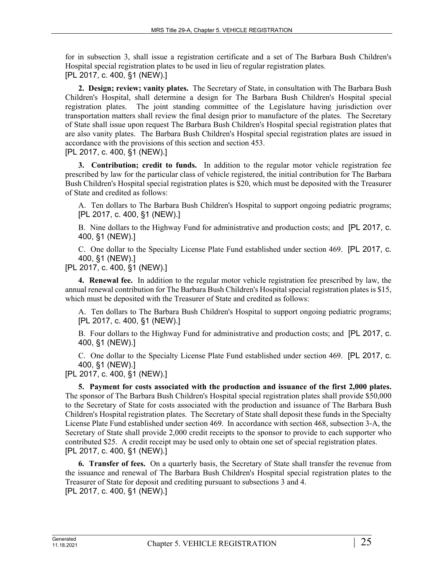for in subsection 3, shall issue a registration certificate and a set of The Barbara Bush Children's Hospital special registration plates to be used in lieu of regular registration plates. [PL 2017, c. 400, §1 (NEW).]

**2. Design; review; vanity plates.** The Secretary of State, in consultation with The Barbara Bush Children's Hospital, shall determine a design for The Barbara Bush Children's Hospital special registration plates. The joint standing committee of the Legislature having jurisdiction over transportation matters shall review the final design prior to manufacture of the plates. The Secretary of State shall issue upon request The Barbara Bush Children's Hospital special registration plates that are also vanity plates. The Barbara Bush Children's Hospital special registration plates are issued in accordance with the provisions of this section and section 453.

# [PL 2017, c. 400, §1 (NEW).]

**3. Contribution; credit to funds.** In addition to the regular motor vehicle registration fee prescribed by law for the particular class of vehicle registered, the initial contribution for The Barbara Bush Children's Hospital special registration plates is \$20, which must be deposited with the Treasurer of State and credited as follows:

A. Ten dollars to The Barbara Bush Children's Hospital to support ongoing pediatric programs; [PL 2017, c. 400, §1 (NEW).]

B. Nine dollars to the Highway Fund for administrative and production costs; and [PL 2017, c. 400, §1 (NEW).]

C. One dollar to the Specialty License Plate Fund established under section 469. [PL 2017, c. 400, §1 (NEW).]

# [PL 2017, c. 400, §1 (NEW).]

**4. Renewal fee.** In addition to the regular motor vehicle registration fee prescribed by law, the annual renewal contribution for The Barbara Bush Children's Hospital special registration plates is \$15, which must be deposited with the Treasurer of State and credited as follows:

A. Ten dollars to The Barbara Bush Children's Hospital to support ongoing pediatric programs; [PL 2017, c. 400, §1 (NEW).]

B. Four dollars to the Highway Fund for administrative and production costs; and [PL 2017, c. 400, §1 (NEW).]

C. One dollar to the Specialty License Plate Fund established under section 469. [PL 2017, c. 400, §1 (NEW).]

[PL 2017, c. 400, §1 (NEW).]

**5. Payment for costs associated with the production and issuance of the first 2,000 plates.**  The sponsor of The Barbara Bush Children's Hospital special registration plates shall provide \$50,000 to the Secretary of State for costs associated with the production and issuance of The Barbara Bush Children's Hospital registration plates. The Secretary of State shall deposit these funds in the Specialty License Plate Fund established under section 469. In accordance with section 468, subsection 3‑A, the Secretary of State shall provide 2,000 credit receipts to the sponsor to provide to each supporter who contributed \$25. A credit receipt may be used only to obtain one set of special registration plates. [PL 2017, c. 400, §1 (NEW).]

**6. Transfer of fees.** On a quarterly basis, the Secretary of State shall transfer the revenue from the issuance and renewal of The Barbara Bush Children's Hospital special registration plates to the Treasurer of State for deposit and crediting pursuant to subsections 3 and 4. [PL 2017, c. 400, §1 (NEW).]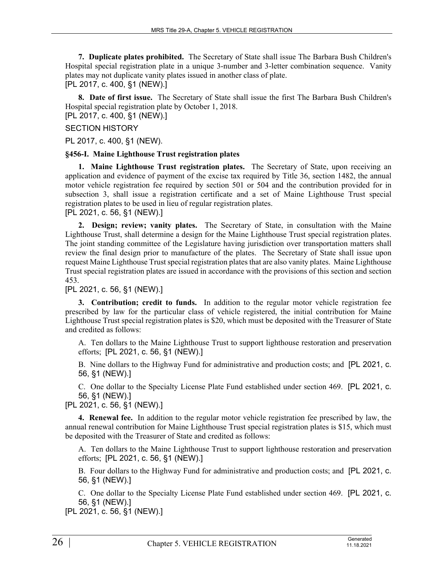**7. Duplicate plates prohibited.** The Secretary of State shall issue The Barbara Bush Children's Hospital special registration plate in a unique 3-number and 3-letter combination sequence. Vanity plates may not duplicate vanity plates issued in another class of plate. [PL 2017, c. 400, §1 (NEW).]

**8. Date of first issue.** The Secretary of State shall issue the first The Barbara Bush Children's Hospital special registration plate by October 1, 2018.

[PL 2017, c. 400, §1 (NEW).]

#### SECTION HISTORY

PL 2017, c. 400, §1 (NEW).

#### **§456-I. Maine Lighthouse Trust registration plates**

**1. Maine Lighthouse Trust registration plates.** The Secretary of State, upon receiving an application and evidence of payment of the excise tax required by Title 36, section 1482, the annual motor vehicle registration fee required by section 501 or 504 and the contribution provided for in subsection 3, shall issue a registration certificate and a set of Maine Lighthouse Trust special registration plates to be used in lieu of regular registration plates. [PL 2021, c. 56, §1 (NEW).]

#### **2. Design; review; vanity plates.** The Secretary of State, in consultation with the Maine Lighthouse Trust, shall determine a design for the Maine Lighthouse Trust special registration plates. The joint standing committee of the Legislature having jurisdiction over transportation matters shall review the final design prior to manufacture of the plates. The Secretary of State shall issue upon request Maine Lighthouse Trust special registration plates that are also vanity plates. Maine Lighthouse Trust special registration plates are issued in accordance with the provisions of this section and section 453.

[PL 2021, c. 56, §1 (NEW).]

**3. Contribution; credit to funds.** In addition to the regular motor vehicle registration fee prescribed by law for the particular class of vehicle registered, the initial contribution for Maine Lighthouse Trust special registration plates is \$20, which must be deposited with the Treasurer of State and credited as follows:

A. Ten dollars to the Maine Lighthouse Trust to support lighthouse restoration and preservation efforts; [PL 2021, c. 56, §1 (NEW).]

B. Nine dollars to the Highway Fund for administrative and production costs; and [PL 2021, c. 56, §1 (NEW).]

C. One dollar to the Specialty License Plate Fund established under section 469. [PL 2021, c. 56, §1 (NEW).]

[PL 2021, c. 56, §1 (NEW).]

**4. Renewal fee.** In addition to the regular motor vehicle registration fee prescribed by law, the annual renewal contribution for Maine Lighthouse Trust special registration plates is \$15, which must be deposited with the Treasurer of State and credited as follows:

A. Ten dollars to the Maine Lighthouse Trust to support lighthouse restoration and preservation efforts; [PL 2021, c. 56, §1 (NEW).]

B. Four dollars to the Highway Fund for administrative and production costs; and [PL 2021, c. 56, §1 (NEW).]

C. One dollar to the Specialty License Plate Fund established under section 469. [PL 2021, c. 56, §1 (NEW).]

[PL 2021, c. 56, §1 (NEW).]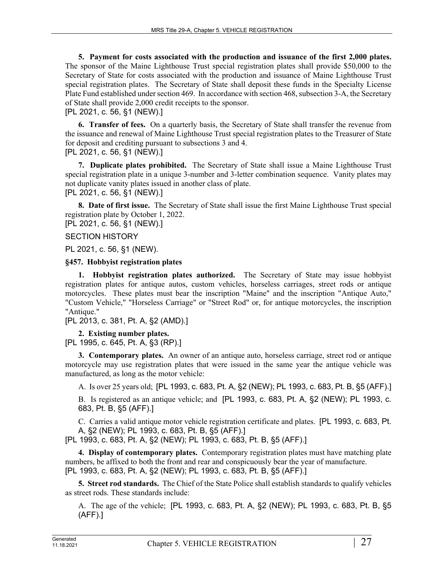**5. Payment for costs associated with the production and issuance of the first 2,000 plates.**  The sponsor of the Maine Lighthouse Trust special registration plates shall provide \$50,000 to the Secretary of State for costs associated with the production and issuance of Maine Lighthouse Trust special registration plates. The Secretary of State shall deposit these funds in the Specialty License Plate Fund established under section 469. In accordance with section 468, subsection 3-A, the Secretary of State shall provide 2,000 credit receipts to the sponsor.

[PL 2021, c. 56, §1 (NEW).]

**6. Transfer of fees.** On a quarterly basis, the Secretary of State shall transfer the revenue from the issuance and renewal of Maine Lighthouse Trust special registration plates to the Treasurer of State for deposit and crediting pursuant to subsections 3 and 4.

[PL 2021, c. 56, §1 (NEW).]

**7. Duplicate plates prohibited.** The Secretary of State shall issue a Maine Lighthouse Trust special registration plate in a unique 3-number and 3-letter combination sequence. Vanity plates may not duplicate vanity plates issued in another class of plate. [PL 2021, c. 56, §1 (NEW).]

**8. Date of first issue.** The Secretary of State shall issue the first Maine Lighthouse Trust special registration plate by October 1, 2022. [PL 2021, c. 56, §1 (NEW).]

SECTION HISTORY

PL 2021, c. 56, §1 (NEW).

**§457. Hobbyist registration plates**

**1. Hobbyist registration plates authorized.** The Secretary of State may issue hobbyist registration plates for antique autos, custom vehicles, horseless carriages, street rods or antique motorcycles. These plates must bear the inscription "Maine" and the inscription "Antique Auto," "Custom Vehicle," "Horseless Carriage" or "Street Rod" or, for antique motorcycles, the inscription "Antique."

[PL 2013, c. 381, Pt. A, §2 (AMD).]

**2. Existing number plates.** 

[PL 1995, c. 645, Pt. A, §3 (RP).]

**3. Contemporary plates.** An owner of an antique auto, horseless carriage, street rod or antique motorcycle may use registration plates that were issued in the same year the antique vehicle was manufactured, as long as the motor vehicle:

A. Is over 25 years old; [PL 1993, c. 683, Pt. A, §2 (NEW); PL 1993, c. 683, Pt. B, §5 (AFF).]

B. Is registered as an antique vehicle; and [PL 1993, c. 683, Pt. A, §2 (NEW); PL 1993, c. 683, Pt. B, §5 (AFF).]

C. Carries a valid antique motor vehicle registration certificate and plates. [PL 1993, c. 683, Pt. A, §2 (NEW); PL 1993, c. 683, Pt. B, §5 (AFF).]

[PL 1993, c. 683, Pt. A, §2 (NEW); PL 1993, c. 683, Pt. B, §5 (AFF).]

**4. Display of contemporary plates.** Contemporary registration plates must have matching plate numbers, be affixed to both the front and rear and conspicuously bear the year of manufacture. [PL 1993, c. 683, Pt. A, §2 (NEW); PL 1993, c. 683, Pt. B, §5 (AFF).]

**5. Street rod standards.** The Chief of the State Police shall establish standards to qualify vehicles as street rods. These standards include:

A. The age of the vehicle; [PL 1993, c. 683, Pt. A, §2 (NEW); PL 1993, c. 683, Pt. B, §5 (AFF).]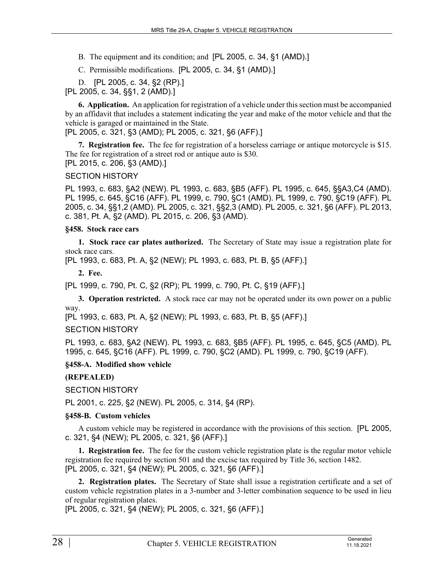- B. The equipment and its condition; and [PL 2005, c. 34, §1 (AMD).]
- C. Permissible modifications. [PL 2005, c. 34, §1 (AMD).]

D. [PL 2005, c. 34, §2 (RP).]

[PL 2005, c. 34, §§1, 2 (AMD).]

**6. Application.** An application for registration of a vehicle under this section must be accompanied by an affidavit that includes a statement indicating the year and make of the motor vehicle and that the vehicle is garaged or maintained in the State.

[PL 2005, c. 321, §3 (AMD); PL 2005, c. 321, §6 (AFF).]

**7. Registration fee.** The fee for registration of a horseless carriage or antique motorcycle is \$15. The fee for registration of a street rod or antique auto is \$30. [PL 2015, c. 206, §3 (AMD).]

#### SECTION HISTORY

PL 1993, c. 683, §A2 (NEW). PL 1993, c. 683, §B5 (AFF). PL 1995, c. 645, §§A3,C4 (AMD). PL 1995, c. 645, §C16 (AFF). PL 1999, c. 790, §C1 (AMD). PL 1999, c. 790, §C19 (AFF). PL 2005, c. 34, §§1,2 (AMD). PL 2005, c. 321, §§2,3 (AMD). PL 2005, c. 321, §6 (AFF). PL 2013, c. 381, Pt. A, §2 (AMD). PL 2015, c. 206, §3 (AMD).

#### **§458. Stock race cars**

**1. Stock race car plates authorized.** The Secretary of State may issue a registration plate for stock race cars.

[PL 1993, c. 683, Pt. A, §2 (NEW); PL 1993, c. 683, Pt. B, §5 (AFF).]

**2. Fee.** 

[PL 1999, c. 790, Pt. C, §2 (RP); PL 1999, c. 790, Pt. C, §19 (AFF).]

**3. Operation restricted.** A stock race car may not be operated under its own power on a public way.

[PL 1993, c. 683, Pt. A, §2 (NEW); PL 1993, c. 683, Pt. B, §5 (AFF).]

#### SECTION HISTORY

PL 1993, c. 683, §A2 (NEW). PL 1993, c. 683, §B5 (AFF). PL 1995, c. 645, §C5 (AMD). PL 1995, c. 645, §C16 (AFF). PL 1999, c. 790, §C2 (AMD). PL 1999, c. 790, §C19 (AFF).

#### **§458-A. Modified show vehicle**

**(REPEALED)**

SECTION HISTORY

PL 2001, c. 225, §2 (NEW). PL 2005, c. 314, §4 (RP).

#### **§458-B. Custom vehicles**

A custom vehicle may be registered in accordance with the provisions of this section. [PL 2005, c. 321, §4 (NEW); PL 2005, c. 321, §6 (AFF).]

**1. Registration fee.** The fee for the custom vehicle registration plate is the regular motor vehicle registration fee required by section 501 and the excise tax required by Title 36, section 1482. [PL 2005, c. 321, §4 (NEW); PL 2005, c. 321, §6 (AFF).]

**2. Registration plates.** The Secretary of State shall issue a registration certificate and a set of custom vehicle registration plates in a 3-number and 3-letter combination sequence to be used in lieu of regular registration plates.

[PL 2005, c. 321, §4 (NEW); PL 2005, c. 321, §6 (AFF).]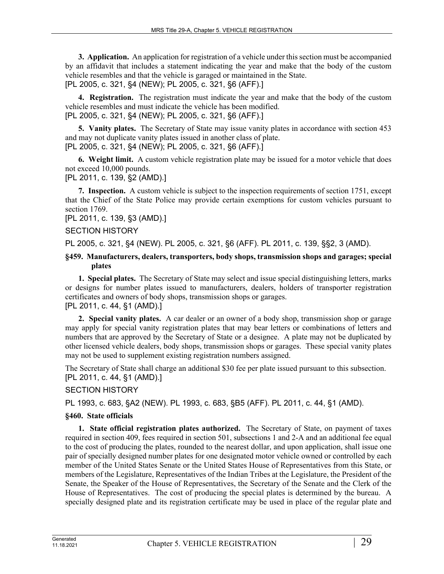**3. Application.** An application for registration of a vehicle under this section must be accompanied by an affidavit that includes a statement indicating the year and make that the body of the custom vehicle resembles and that the vehicle is garaged or maintained in the State. [PL 2005, c. 321, §4 (NEW); PL 2005, c. 321, §6 (AFF).]

**4. Registration.** The registration must indicate the year and make that the body of the custom vehicle resembles and must indicate the vehicle has been modified. [PL 2005, c. 321, §4 (NEW); PL 2005, c. 321, §6 (AFF).]

**5. Vanity plates.** The Secretary of State may issue vanity plates in accordance with section 453 and may not duplicate vanity plates issued in another class of plate. [PL 2005, c. 321, §4 (NEW); PL 2005, c. 321, §6 (AFF).]

**6. Weight limit.** A custom vehicle registration plate may be issued for a motor vehicle that does not exceed 10,000 pounds.

[PL 2011, c. 139, §2 (AMD).]

**7. Inspection.** A custom vehicle is subject to the inspection requirements of section 1751, except that the Chief of the State Police may provide certain exemptions for custom vehicles pursuant to section 1769.

[PL 2011, c. 139, §3 (AMD).]

#### SECTION HISTORY

PL 2005, c. 321, §4 (NEW). PL 2005, c. 321, §6 (AFF). PL 2011, c. 139, §§2, 3 (AMD).

#### **§459. Manufacturers, dealers, transporters, body shops, transmission shops and garages; special plates**

**1. Special plates.** The Secretary of State may select and issue special distinguishing letters, marks or designs for number plates issued to manufacturers, dealers, holders of transporter registration certificates and owners of body shops, transmission shops or garages. [PL 2011, c. 44, §1 (AMD).]

**2. Special vanity plates.** A car dealer or an owner of a body shop, transmission shop or garage may apply for special vanity registration plates that may bear letters or combinations of letters and numbers that are approved by the Secretary of State or a designee. A plate may not be duplicated by other licensed vehicle dealers, body shops, transmission shops or garages. These special vanity plates may not be used to supplement existing registration numbers assigned.

The Secretary of State shall charge an additional \$30 fee per plate issued pursuant to this subsection. [PL 2011, c. 44, §1 (AMD).]

# SECTION HISTORY

PL 1993, c. 683, §A2 (NEW). PL 1993, c. 683, §B5 (AFF). PL 2011, c. 44, §1 (AMD).

#### **§460. State officials**

**1. State official registration plates authorized.** The Secretary of State, on payment of taxes required in section 409, fees required in section 501, subsections 1 and 2-A and an additional fee equal to the cost of producing the plates, rounded to the nearest dollar, and upon application, shall issue one pair of specially designed number plates for one designated motor vehicle owned or controlled by each member of the United States Senate or the United States House of Representatives from this State, or members of the Legislature, Representatives of the Indian Tribes at the Legislature, the President of the Senate, the Speaker of the House of Representatives, the Secretary of the Senate and the Clerk of the House of Representatives. The cost of producing the special plates is determined by the bureau. A specially designed plate and its registration certificate may be used in place of the regular plate and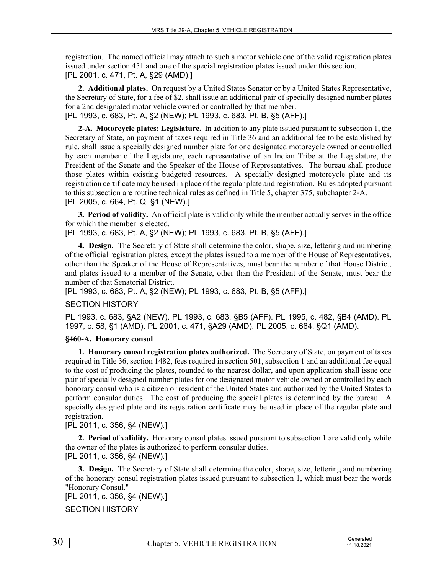registration. The named official may attach to such a motor vehicle one of the valid registration plates issued under section 451 and one of the special registration plates issued under this section. [PL 2001, c. 471, Pt. A, §29 (AMD).]

**2. Additional plates.** On request by a United States Senator or by a United States Representative, the Secretary of State, for a fee of \$2, shall issue an additional pair of specially designed number plates for a 2nd designated motor vehicle owned or controlled by that member. [PL 1993, c. 683, Pt. A, §2 (NEW); PL 1993, c. 683, Pt. B, §5 (AFF).]

**2-A. Motorcycle plates; Legislature.** In addition to any plate issued pursuant to subsection 1, the Secretary of State, on payment of taxes required in Title 36 and an additional fee to be established by rule, shall issue a specially designed number plate for one designated motorcycle owned or controlled by each member of the Legislature, each representative of an Indian Tribe at the Legislature, the President of the Senate and the Speaker of the House of Representatives. The bureau shall produce those plates within existing budgeted resources. A specially designed motorcycle plate and its registration certificate may be used in place of the regular plate and registration. Rules adopted pursuant to this subsection are routine technical rules as defined in Title 5, chapter 375, subchapter 2‑A. [PL 2005, c. 664, Pt. Q, §1 (NEW).]

**3. Period of validity.** An official plate is valid only while the member actually serves in the office for which the member is elected.

[PL 1993, c. 683, Pt. A, §2 (NEW); PL 1993, c. 683, Pt. B, §5 (AFF).]

**4. Design.** The Secretary of State shall determine the color, shape, size, lettering and numbering of the official registration plates, except the plates issued to a member of the House of Representatives, other than the Speaker of the House of Representatives, must bear the number of that House District, and plates issued to a member of the Senate, other than the President of the Senate, must bear the number of that Senatorial District.

[PL 1993, c. 683, Pt. A, §2 (NEW); PL 1993, c. 683, Pt. B, §5 (AFF).]

# SECTION HISTORY

PL 1993, c. 683, §A2 (NEW). PL 1993, c. 683, §B5 (AFF). PL 1995, c. 482, §B4 (AMD). PL 1997, c. 58, §1 (AMD). PL 2001, c. 471, §A29 (AMD). PL 2005, c. 664, §Q1 (AMD).

# **§460-A. Honorary consul**

**1. Honorary consul registration plates authorized.** The Secretary of State, on payment of taxes required in Title 36, section 1482, fees required in section 501, subsection 1 and an additional fee equal to the cost of producing the plates, rounded to the nearest dollar, and upon application shall issue one pair of specially designed number plates for one designated motor vehicle owned or controlled by each honorary consul who is a citizen or resident of the United States and authorized by the United States to perform consular duties. The cost of producing the special plates is determined by the bureau. A specially designed plate and its registration certificate may be used in place of the regular plate and registration.

# [PL 2011, c. 356, §4 (NEW).]

**2. Period of validity.** Honorary consul plates issued pursuant to subsection 1 are valid only while the owner of the plates is authorized to perform consular duties. [PL 2011, c. 356, §4 (NEW).]

**3. Design.** The Secretary of State shall determine the color, shape, size, lettering and numbering of the honorary consul registration plates issued pursuant to subsection 1, which must bear the words "Honorary Consul."

```
[PL 2011, c. 356, §4 (NEW).]
```
# SECTION HISTORY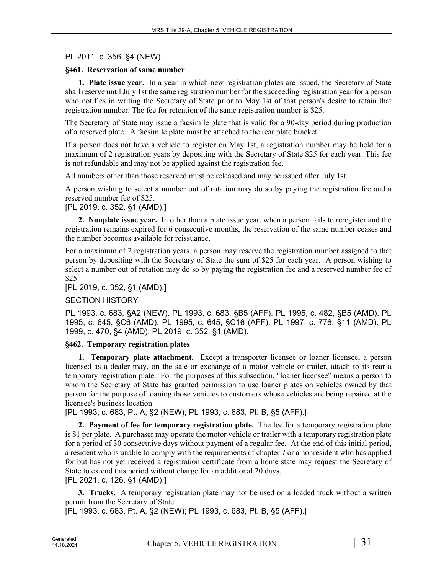#### PL 2011, c. 356, §4 (NEW).

#### **§461. Reservation of same number**

**1. Plate issue year.** In a year in which new registration plates are issued, the Secretary of State shall reserve until July 1st the same registration number for the succeeding registration year for a person who notifies in writing the Secretary of State prior to May 1st of that person's desire to retain that registration number. The fee for retention of the same registration number is \$25.

The Secretary of State may issue a facsimile plate that is valid for a 90-day period during production of a reserved plate. A facsimile plate must be attached to the rear plate bracket.

If a person does not have a vehicle to register on May 1st, a registration number may be held for a maximum of 2 registration years by depositing with the Secretary of State \$25 for each year. This fee is not refundable and may not be applied against the registration fee.

All numbers other than those reserved must be released and may be issued after July 1st.

A person wishing to select a number out of rotation may do so by paying the registration fee and a reserved number fee of \$25.

[PL 2019, c. 352, §1 (AMD).]

**2. Nonplate issue year.** In other than a plate issue year, when a person fails to reregister and the registration remains expired for 6 consecutive months, the reservation of the same number ceases and the number becomes available for reissuance.

For a maximum of 2 registration years, a person may reserve the registration number assigned to that person by depositing with the Secretary of State the sum of \$25 for each year. A person wishing to select a number out of rotation may do so by paying the registration fee and a reserved number fee of \$25.

[PL 2019, c. 352, §1 (AMD).]

#### SECTION HISTORY

PL 1993, c. 683, §A2 (NEW). PL 1993, c. 683, §B5 (AFF). PL 1995, c. 482, §B5 (AMD). PL 1995, c. 645, §C6 (AMD). PL 1995, c. 645, §C16 (AFF). PL 1997, c. 776, §11 (AMD). PL 1999, c. 470, §4 (AMD). PL 2019, c. 352, §1 (AMD).

#### **§462. Temporary registration plates**

**1. Temporary plate attachment.** Except a transporter licensee or loaner licensee, a person licensed as a dealer may, on the sale or exchange of a motor vehicle or trailer, attach to its rear a temporary registration plate. For the purposes of this subsection, "loaner licensee" means a person to whom the Secretary of State has granted permission to use loaner plates on vehicles owned by that person for the purpose of loaning those vehicles to customers whose vehicles are being repaired at the licensee's business location.

[PL 1993, c. 683, Pt. A, §2 (NEW); PL 1993, c. 683, Pt. B, §5 (AFF).]

**2. Payment of fee for temporary registration plate.** The fee for a temporary registration plate is \$1 per plate. A purchaser may operate the motor vehicle or trailer with a temporary registration plate for a period of 30 consecutive days without payment of a regular fee. At the end of this initial period, a resident who is unable to comply with the requirements of chapter 7 or a nonresident who has applied for but has not yet received a registration certificate from a home state may request the Secretary of State to extend this period without charge for an additional 20 days. [PL 2021, c. 126, §1 (AMD).]

**3. Trucks.** A temporary registration plate may not be used on a loaded truck without a written permit from the Secretary of State.

[PL 1993, c. 683, Pt. A, §2 (NEW); PL 1993, c. 683, Pt. B, §5 (AFF).]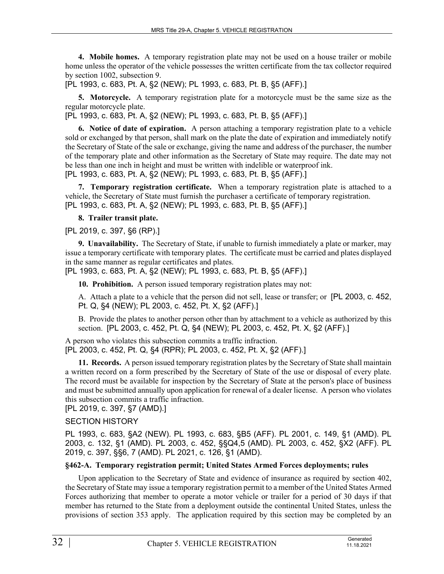**4. Mobile homes.** A temporary registration plate may not be used on a house trailer or mobile home unless the operator of the vehicle possesses the written certificate from the tax collector required by section 1002, subsection 9.

[PL 1993, c. 683, Pt. A, §2 (NEW); PL 1993, c. 683, Pt. B, §5 (AFF).]

**5. Motorcycle.** A temporary registration plate for a motorcycle must be the same size as the regular motorcycle plate.

[PL 1993, c. 683, Pt. A, §2 (NEW); PL 1993, c. 683, Pt. B, §5 (AFF).]

**6. Notice of date of expiration.** A person attaching a temporary registration plate to a vehicle sold or exchanged by that person, shall mark on the plate the date of expiration and immediately notify the Secretary of State of the sale or exchange, giving the name and address of the purchaser, the number of the temporary plate and other information as the Secretary of State may require. The date may not be less than one inch in height and must be written with indelible or waterproof ink. [PL 1993, c. 683, Pt. A, §2 (NEW); PL 1993, c. 683, Pt. B, §5 (AFF).]

**7. Temporary registration certificate.** When a temporary registration plate is attached to a vehicle, the Secretary of State must furnish the purchaser a certificate of temporary registration. [PL 1993, c. 683, Pt. A, §2 (NEW); PL 1993, c. 683, Pt. B, §5 (AFF).]

**8. Trailer transit plate.** 

[PL 2019, c. 397, §6 (RP).]

**9. Unavailability.** The Secretary of State, if unable to furnish immediately a plate or marker, may issue a temporary certificate with temporary plates. The certificate must be carried and plates displayed in the same manner as regular certificates and plates.

[PL 1993, c. 683, Pt. A, §2 (NEW); PL 1993, c. 683, Pt. B, §5 (AFF).]

**10. Prohibition.** A person issued temporary registration plates may not:

A. Attach a plate to a vehicle that the person did not sell, lease or transfer; or [PL 2003, c. 452, Pt. Q, §4 (NEW); PL 2003, c. 452, Pt. X, §2 (AFF).]

B. Provide the plates to another person other than by attachment to a vehicle as authorized by this section. [PL 2003, c. 452, Pt. Q, §4 (NEW); PL 2003, c. 452, Pt. X, §2 (AFF).]

A person who violates this subsection commits a traffic infraction. [PL 2003, c. 452, Pt. Q, §4 (RPR); PL 2003, c. 452, Pt. X, §2 (AFF).]

**11. Records.** A person issued temporary registration plates by the Secretary of State shall maintain a written record on a form prescribed by the Secretary of State of the use or disposal of every plate. The record must be available for inspection by the Secretary of State at the person's place of business and must be submitted annually upon application for renewal of a dealer license. A person who violates this subsection commits a traffic infraction.

[PL 2019, c. 397, §7 (AMD).]

# SECTION HISTORY

PL 1993, c. 683, §A2 (NEW). PL 1993, c. 683, §B5 (AFF). PL 2001, c. 149, §1 (AMD). PL 2003, c. 132, §1 (AMD). PL 2003, c. 452, §§Q4,5 (AMD). PL 2003, c. 452, §X2 (AFF). PL 2019, c. 397, §§6, 7 (AMD). PL 2021, c. 126, §1 (AMD).

# **§462-A. Temporary registration permit; United States Armed Forces deployments; rules**

Upon application to the Secretary of State and evidence of insurance as required by section 402, the Secretary of State may issue a temporary registration permit to a member of the United States Armed Forces authorizing that member to operate a motor vehicle or trailer for a period of 30 days if that member has returned to the State from a deployment outside the continental United States, unless the provisions of section 353 apply. The application required by this section may be completed by an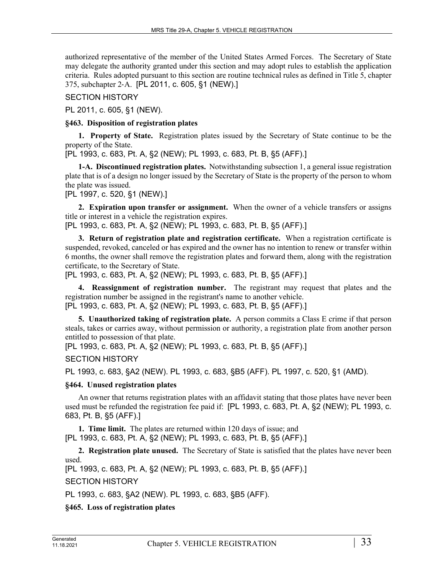authorized representative of the member of the United States Armed Forces. The Secretary of State may delegate the authority granted under this section and may adopt rules to establish the application criteria. Rules adopted pursuant to this section are routine technical rules as defined in Title 5, chapter 375, subchapter 2‑A. [PL 2011, c. 605, §1 (NEW).]

SECTION HISTORY

PL 2011, c. 605, §1 (NEW).

#### **§463. Disposition of registration plates**

**1. Property of State.** Registration plates issued by the Secretary of State continue to be the property of the State.

[PL 1993, c. 683, Pt. A, §2 (NEW); PL 1993, c. 683, Pt. B, §5 (AFF).]

**1-A. Discontinued registration plates.** Notwithstanding subsection 1, a general issue registration plate that is of a design no longer issued by the Secretary of State is the property of the person to whom the plate was issued.

[PL 1997, c. 520, §1 (NEW).]

**2. Expiration upon transfer or assignment.** When the owner of a vehicle transfers or assigns title or interest in a vehicle the registration expires.

[PL 1993, c. 683, Pt. A, §2 (NEW); PL 1993, c. 683, Pt. B, §5 (AFF).]

**3. Return of registration plate and registration certificate.** When a registration certificate is suspended, revoked, canceled or has expired and the owner has no intention to renew or transfer within 6 months, the owner shall remove the registration plates and forward them, along with the registration certificate, to the Secretary of State.

[PL 1993, c. 683, Pt. A, §2 (NEW); PL 1993, c. 683, Pt. B, §5 (AFF).]

**4. Reassignment of registration number.** The registrant may request that plates and the registration number be assigned in the registrant's name to another vehicle.

[PL 1993, c. 683, Pt. A, §2 (NEW); PL 1993, c. 683, Pt. B, §5 (AFF).]

**5. Unauthorized taking of registration plate.** A person commits a Class E crime if that person steals, takes or carries away, without permission or authority, a registration plate from another person entitled to possession of that plate.

[PL 1993, c. 683, Pt. A, §2 (NEW); PL 1993, c. 683, Pt. B, §5 (AFF).]

#### SECTION HISTORY

PL 1993, c. 683, §A2 (NEW). PL 1993, c. 683, §B5 (AFF). PL 1997, c. 520, §1 (AMD).

#### **§464. Unused registration plates**

An owner that returns registration plates with an affidavit stating that those plates have never been used must be refunded the registration fee paid if: [PL 1993, c. 683, Pt. A, §2 (NEW); PL 1993, c. 683, Pt. B, §5 (AFF).]

**1. Time limit.** The plates are returned within 120 days of issue; and [PL 1993, c. 683, Pt. A, §2 (NEW); PL 1993, c. 683, Pt. B, §5 (AFF).]

**2. Registration plate unused.** The Secretary of State is satisfied that the plates have never been used.

[PL 1993, c. 683, Pt. A, §2 (NEW); PL 1993, c. 683, Pt. B, §5 (AFF).]

SECTION HISTORY

PL 1993, c. 683, §A2 (NEW). PL 1993, c. 683, §B5 (AFF).

**§465. Loss of registration plates**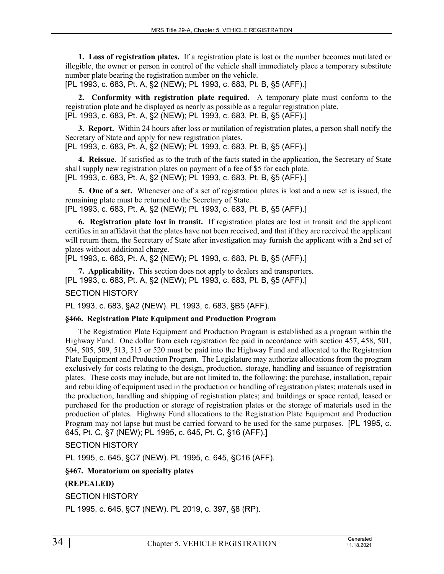**1. Loss of registration plates.** If a registration plate is lost or the number becomes mutilated or illegible, the owner or person in control of the vehicle shall immediately place a temporary substitute number plate bearing the registration number on the vehicle.

[PL 1993, c. 683, Pt. A, §2 (NEW); PL 1993, c. 683, Pt. B, §5 (AFF).]

**2. Conformity with registration plate required.** A temporary plate must conform to the registration plate and be displayed as nearly as possible as a regular registration plate. [PL 1993, c. 683, Pt. A, §2 (NEW); PL 1993, c. 683, Pt. B, §5 (AFF).]

**3. Report.** Within 24 hours after loss or mutilation of registration plates, a person shall notify the Secretary of State and apply for new registration plates.

[PL 1993, c. 683, Pt. A, §2 (NEW); PL 1993, c. 683, Pt. B, §5 (AFF).]

**4. Reissue.** If satisfied as to the truth of the facts stated in the application, the Secretary of State shall supply new registration plates on payment of a fee of \$5 for each plate. [PL 1993, c. 683, Pt. A, §2 (NEW); PL 1993, c. 683, Pt. B, §5 (AFF).]

**5. One of a set.** Whenever one of a set of registration plates is lost and a new set is issued, the remaining plate must be returned to the Secretary of State.

[PL 1993, c. 683, Pt. A, §2 (NEW); PL 1993, c. 683, Pt. B, §5 (AFF).]

**6. Registration plate lost in transit.** If registration plates are lost in transit and the applicant certifies in an affidavit that the plates have not been received, and that if they are received the applicant will return them, the Secretary of State after investigation may furnish the applicant with a 2nd set of plates without additional charge.

[PL 1993, c. 683, Pt. A, §2 (NEW); PL 1993, c. 683, Pt. B, §5 (AFF).]

**7. Applicability.** This section does not apply to dealers and transporters. [PL 1993, c. 683, Pt. A, §2 (NEW); PL 1993, c. 683, Pt. B, §5 (AFF).]

# SECTION HISTORY

PL 1993, c. 683, §A2 (NEW). PL 1993, c. 683, §B5 (AFF).

#### **§466. Registration Plate Equipment and Production Program**

The Registration Plate Equipment and Production Program is established as a program within the Highway Fund. One dollar from each registration fee paid in accordance with section 457, 458, 501, 504, 505, 509, 513, 515 or 520 must be paid into the Highway Fund and allocated to the Registration Plate Equipment and Production Program. The Legislature may authorize allocations from the program exclusively for costs relating to the design, production, storage, handling and issuance of registration plates. These costs may include, but are not limited to, the following: the purchase, installation, repair and rebuilding of equipment used in the production or handling of registration plates; materials used in the production, handling and shipping of registration plates; and buildings or space rented, leased or purchased for the production or storage of registration plates or the storage of materials used in the production of plates. Highway Fund allocations to the Registration Plate Equipment and Production Program may not lapse but must be carried forward to be used for the same purposes. [PL 1995, c. 645, Pt. C, §7 (NEW); PL 1995, c. 645, Pt. C, §16 (AFF).]

SECTION HISTORY

PL 1995, c. 645, §C7 (NEW). PL 1995, c. 645, §C16 (AFF).

**§467. Moratorium on specialty plates**

# **(REPEALED)**

SECTION HISTORY

PL 1995, c. 645, §C7 (NEW). PL 2019, c. 397, §8 (RP).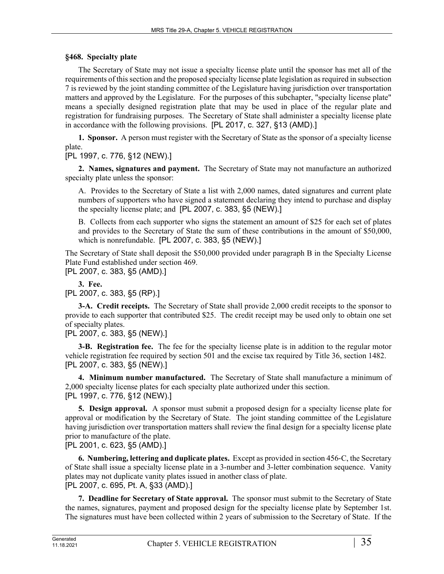# **§468. Specialty plate**

The Secretary of State may not issue a specialty license plate until the sponsor has met all of the requirements of this section and the proposed specialty license plate legislation as required in subsection 7 is reviewed by the joint standing committee of the Legislature having jurisdiction over transportation matters and approved by the Legislature. For the purposes of this subchapter, "specialty license plate" means a specially designed registration plate that may be used in place of the regular plate and registration for fundraising purposes. The Secretary of State shall administer a specialty license plate in accordance with the following provisions. [PL 2017, c. 327, §13 (AMD).]

**1. Sponsor.** A person must register with the Secretary of State as the sponsor of a specialty license plate.

[PL 1997, c. 776, §12 (NEW).]

**2. Names, signatures and payment.** The Secretary of State may not manufacture an authorized specialty plate unless the sponsor:

A. Provides to the Secretary of State a list with 2,000 names, dated signatures and current plate numbers of supporters who have signed a statement declaring they intend to purchase and display the specialty license plate; and [PL 2007, c. 383, §5 (NEW).]

B. Collects from each supporter who signs the statement an amount of \$25 for each set of plates and provides to the Secretary of State the sum of these contributions in the amount of \$50,000, which is nonrefundable. [PL 2007, c. 383, §5 (NEW).]

The Secretary of State shall deposit the \$50,000 provided under paragraph B in the Specialty License Plate Fund established under section 469.

[PL 2007, c. 383, §5 (AMD).]

**3. Fee.** 

[PL 2007, c. 383, §5 (RP).]

**3-A. Credit receipts.** The Secretary of State shall provide 2,000 credit receipts to the sponsor to provide to each supporter that contributed \$25. The credit receipt may be used only to obtain one set of specialty plates.

[PL 2007, c. 383, §5 (NEW).]

**3-B. Registration fee.** The fee for the specialty license plate is in addition to the regular motor vehicle registration fee required by section 501 and the excise tax required by Title 36, section 1482. [PL 2007, c. 383, §5 (NEW).]

**4. Minimum number manufactured.** The Secretary of State shall manufacture a minimum of 2,000 specialty license plates for each specialty plate authorized under this section. [PL 1997, c. 776, §12 (NEW).]

**5. Design approval.** A sponsor must submit a proposed design for a specialty license plate for approval or modification by the Secretary of State. The joint standing committee of the Legislature having jurisdiction over transportation matters shall review the final design for a specialty license plate prior to manufacture of the plate.

[PL 2001, c. 623, §5 (AMD).]

**6. Numbering, lettering and duplicate plates.** Except as provided in section 456‑C, the Secretary of State shall issue a specialty license plate in a 3-number and 3-letter combination sequence. Vanity plates may not duplicate vanity plates issued in another class of plate. [PL 2007, c. 695, Pt. A, §33 (AMD).]

**7. Deadline for Secretary of State approval.** The sponsor must submit to the Secretary of State the names, signatures, payment and proposed design for the specialty license plate by September 1st. The signatures must have been collected within 2 years of submission to the Secretary of State. If the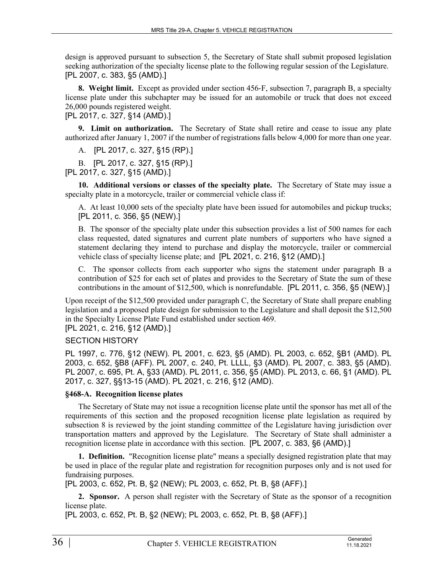design is approved pursuant to subsection 5, the Secretary of State shall submit proposed legislation seeking authorization of the specialty license plate to the following regular session of the Legislature. [PL 2007, c. 383, §5 (AMD).]

**8. Weight limit.** Except as provided under section 456‑F, subsection 7, paragraph B, a specialty license plate under this subchapter may be issued for an automobile or truck that does not exceed 26,000 pounds registered weight.

[PL 2017, c. 327, §14 (AMD).]

**9. Limit on authorization.** The Secretary of State shall retire and cease to issue any plate authorized after January 1, 2007 if the number of registrations falls below 4,000 for more than one year.

A. [PL 2017, c. 327, §15 (RP).]

B. [PL 2017, c. 327, §15 (RP).]

[PL 2017, c. 327, §15 (AMD).]

**10. Additional versions or classes of the specialty plate.** The Secretary of State may issue a specialty plate in a motorcycle, trailer or commercial vehicle class if:

A. At least 10,000 sets of the specialty plate have been issued for automobiles and pickup trucks; [PL 2011, c. 356, §5 (NEW).]

B. The sponsor of the specialty plate under this subsection provides a list of 500 names for each class requested, dated signatures and current plate numbers of supporters who have signed a statement declaring they intend to purchase and display the motorcycle, trailer or commercial vehicle class of specialty license plate; and [PL 2021, c. 216, §12 (AMD).]

C. The sponsor collects from each supporter who signs the statement under paragraph B a contribution of \$25 for each set of plates and provides to the Secretary of State the sum of these contributions in the amount of \$12,500, which is nonrefundable. [PL 2011, c. 356, §5 (NEW).]

Upon receipt of the \$12,500 provided under paragraph C, the Secretary of State shall prepare enabling legislation and a proposed plate design for submission to the Legislature and shall deposit the \$12,500 in the Specialty License Plate Fund established under section 469.

[PL 2021, c. 216, §12 (AMD).]

# SECTION HISTORY

PL 1997, c. 776, §12 (NEW). PL 2001, c. 623, §5 (AMD). PL 2003, c. 652, §B1 (AMD). PL 2003, c. 652, §B8 (AFF). PL 2007, c. 240, Pt. LLLL, §3 (AMD). PL 2007, c. 383, §5 (AMD). PL 2007, c. 695, Pt. A, §33 (AMD). PL 2011, c. 356, §5 (AMD). PL 2013, c. 66, §1 (AMD). PL 2017, c. 327, §§13-15 (AMD). PL 2021, c. 216, §12 (AMD).

#### **§468-A. Recognition license plates**

The Secretary of State may not issue a recognition license plate until the sponsor has met all of the requirements of this section and the proposed recognition license plate legislation as required by subsection 8 is reviewed by the joint standing committee of the Legislature having jurisdiction over transportation matters and approved by the Legislature. The Secretary of State shall administer a recognition license plate in accordance with this section. [PL 2007, c. 383, §6 (AMD).]

**1. Definition.** "Recognition license plate" means a specially designed registration plate that may be used in place of the regular plate and registration for recognition purposes only and is not used for fundraising purposes.

[PL 2003, c. 652, Pt. B, §2 (NEW); PL 2003, c. 652, Pt. B, §8 (AFF).]

**2. Sponsor.** A person shall register with the Secretary of State as the sponsor of a recognition license plate.

[PL 2003, c. 652, Pt. B, §2 (NEW); PL 2003, c. 652, Pt. B, §8 (AFF).]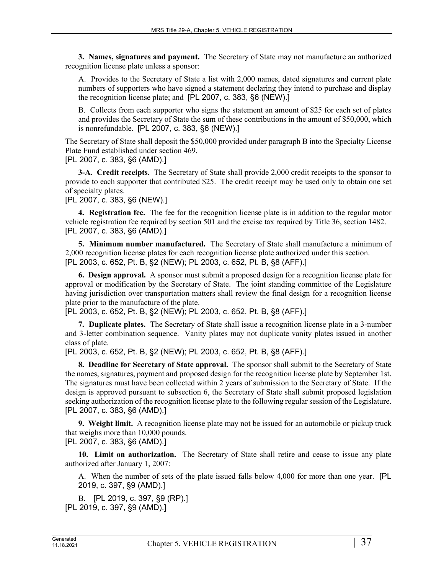**3. Names, signatures and payment.** The Secretary of State may not manufacture an authorized recognition license plate unless a sponsor:

A. Provides to the Secretary of State a list with 2,000 names, dated signatures and current plate numbers of supporters who have signed a statement declaring they intend to purchase and display the recognition license plate; and [PL 2007, c. 383, §6 (NEW).]

B. Collects from each supporter who signs the statement an amount of \$25 for each set of plates and provides the Secretary of State the sum of these contributions in the amount of \$50,000, which is nonrefundable. [PL 2007, c. 383, §6 (NEW).]

The Secretary of State shall deposit the \$50,000 provided under paragraph B into the Specialty License Plate Fund established under section 469.

[PL 2007, c. 383, §6 (AMD).]

**3-A. Credit receipts.** The Secretary of State shall provide 2,000 credit receipts to the sponsor to provide to each supporter that contributed \$25. The credit receipt may be used only to obtain one set of specialty plates.

[PL 2007, c. 383, §6 (NEW).]

**4. Registration fee.** The fee for the recognition license plate is in addition to the regular motor vehicle registration fee required by section 501 and the excise tax required by Title 36, section 1482. [PL 2007, c. 383, §6 (AMD).]

**5. Minimum number manufactured.** The Secretary of State shall manufacture a minimum of 2,000 recognition license plates for each recognition license plate authorized under this section. [PL 2003, c. 652, Pt. B, §2 (NEW); PL 2003, c. 652, Pt. B, §8 (AFF).]

**6. Design approval.** A sponsor must submit a proposed design for a recognition license plate for approval or modification by the Secretary of State. The joint standing committee of the Legislature having jurisdiction over transportation matters shall review the final design for a recognition license plate prior to the manufacture of the plate.

[PL 2003, c. 652, Pt. B, §2 (NEW); PL 2003, c. 652, Pt. B, §8 (AFF).]

**7. Duplicate plates.** The Secretary of State shall issue a recognition license plate in a 3-number and 3-letter combination sequence. Vanity plates may not duplicate vanity plates issued in another class of plate.

[PL 2003, c. 652, Pt. B, §2 (NEW); PL 2003, c. 652, Pt. B, §8 (AFF).]

**8. Deadline for Secretary of State approval.** The sponsor shall submit to the Secretary of State the names, signatures, payment and proposed design for the recognition license plate by September 1st. The signatures must have been collected within 2 years of submission to the Secretary of State. If the design is approved pursuant to subsection 6, the Secretary of State shall submit proposed legislation seeking authorization of the recognition license plate to the following regular session of the Legislature. [PL 2007, c. 383, §6 (AMD).]

**9. Weight limit.** A recognition license plate may not be issued for an automobile or pickup truck that weighs more than 10,000 pounds.

[PL 2007, c. 383, §6 (AMD).]

**10. Limit on authorization.** The Secretary of State shall retire and cease to issue any plate authorized after January 1, 2007:

A. When the number of sets of the plate issued falls below 4,000 for more than one year. [PL 2019, c. 397, §9 (AMD).]

B. [PL 2019, c. 397, §9 (RP).] [PL 2019, c. 397, §9 (AMD).]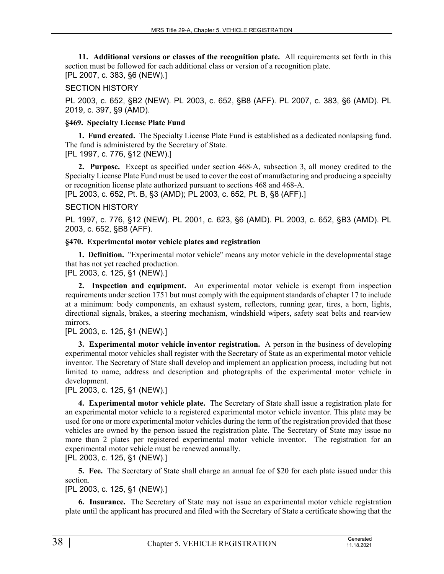**11. Additional versions or classes of the recognition plate.** All requirements set forth in this section must be followed for each additional class or version of a recognition plate. [PL 2007, c. 383, §6 (NEW).]

### SECTION HISTORY

PL 2003, c. 652, §B2 (NEW). PL 2003, c. 652, §B8 (AFF). PL 2007, c. 383, §6 (AMD). PL 2019, c. 397, §9 (AMD).

### **§469. Specialty License Plate Fund**

**1. Fund created.** The Specialty License Plate Fund is established as a dedicated nonlapsing fund. The fund is administered by the Secretary of State.

[PL 1997, c. 776, §12 (NEW).]

**2. Purpose.** Except as specified under section 468‑A, subsection 3, all money credited to the Specialty License Plate Fund must be used to cover the cost of manufacturing and producing a specialty or recognition license plate authorized pursuant to sections 468 and 468-A. [PL 2003, c. 652, Pt. B, §3 (AMD); PL 2003, c. 652, Pt. B, §8 (AFF).]

### SECTION HISTORY

PL 1997, c. 776, §12 (NEW). PL 2001, c. 623, §6 (AMD). PL 2003, c. 652, §B3 (AMD). PL 2003, c. 652, §B8 (AFF).

### **§470. Experimental motor vehicle plates and registration**

**1. Definition.** "Experimental motor vehicle" means any motor vehicle in the developmental stage that has not yet reached production.

[PL 2003, c. 125, §1 (NEW).]

**2. Inspection and equipment.** An experimental motor vehicle is exempt from inspection requirements under section 1751 but must comply with the equipment standards of chapter 17 to include at a minimum: body components, an exhaust system, reflectors, running gear, tires, a horn, lights, directional signals, brakes, a steering mechanism, windshield wipers, safety seat belts and rearview mirrors.

# [PL 2003, c. 125, §1 (NEW).]

**3. Experimental motor vehicle inventor registration.** A person in the business of developing experimental motor vehicles shall register with the Secretary of State as an experimental motor vehicle inventor. The Secretary of State shall develop and implement an application process, including but not limited to name, address and description and photographs of the experimental motor vehicle in development.

# [PL 2003, c. 125, §1 (NEW).]

**4. Experimental motor vehicle plate.** The Secretary of State shall issue a registration plate for an experimental motor vehicle to a registered experimental motor vehicle inventor. This plate may be used for one or more experimental motor vehicles during the term of the registration provided that those vehicles are owned by the person issued the registration plate. The Secretary of State may issue no more than 2 plates per registered experimental motor vehicle inventor. The registration for an experimental motor vehicle must be renewed annually.

[PL 2003, c. 125, §1 (NEW).]

**5. Fee.** The Secretary of State shall charge an annual fee of \$20 for each plate issued under this section.

[PL 2003, c. 125, §1 (NEW).]

**6. Insurance.** The Secretary of State may not issue an experimental motor vehicle registration plate until the applicant has procured and filed with the Secretary of State a certificate showing that the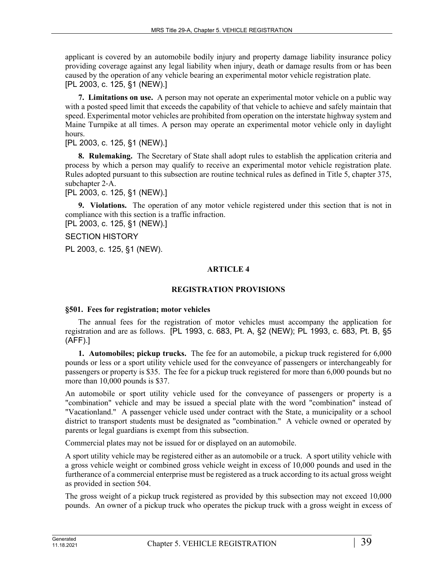applicant is covered by an automobile bodily injury and property damage liability insurance policy providing coverage against any legal liability when injury, death or damage results from or has been caused by the operation of any vehicle bearing an experimental motor vehicle registration plate. [PL 2003, c. 125, §1 (NEW).]

**7. Limitations on use.** A person may not operate an experimental motor vehicle on a public way with a posted speed limit that exceeds the capability of that vehicle to achieve and safely maintain that speed. Experimental motor vehicles are prohibited from operation on the interstate highway system and Maine Turnpike at all times. A person may operate an experimental motor vehicle only in daylight hours.

[PL 2003, c. 125, §1 (NEW).]

**8. Rulemaking.** The Secretary of State shall adopt rules to establish the application criteria and process by which a person may qualify to receive an experimental motor vehicle registration plate. Rules adopted pursuant to this subsection are routine technical rules as defined in Title 5, chapter 375, subchapter 2‑A.

[PL 2003, c. 125, §1 (NEW).]

**9. Violations.** The operation of any motor vehicle registered under this section that is not in compliance with this section is a traffic infraction.

[PL 2003, c. 125, §1 (NEW).]

SECTION HISTORY

PL 2003, c. 125, §1 (NEW).

# **ARTICLE 4**

# **REGISTRATION PROVISIONS**

# **§501. Fees for registration; motor vehicles**

The annual fees for the registration of motor vehicles must accompany the application for registration and are as follows. [PL 1993, c. 683, Pt. A, §2 (NEW); PL 1993, c. 683, Pt. B, §5 (AFF).]

**1. Automobiles; pickup trucks.** The fee for an automobile, a pickup truck registered for 6,000 pounds or less or a sport utility vehicle used for the conveyance of passengers or interchangeably for passengers or property is \$35. The fee for a pickup truck registered for more than 6,000 pounds but no more than 10,000 pounds is \$37.

An automobile or sport utility vehicle used for the conveyance of passengers or property is a "combination" vehicle and may be issued a special plate with the word "combination" instead of "Vacationland." A passenger vehicle used under contract with the State, a municipality or a school district to transport students must be designated as "combination." A vehicle owned or operated by parents or legal guardians is exempt from this subsection.

Commercial plates may not be issued for or displayed on an automobile.

A sport utility vehicle may be registered either as an automobile or a truck. A sport utility vehicle with a gross vehicle weight or combined gross vehicle weight in excess of 10,000 pounds and used in the furtherance of a commercial enterprise must be registered as a truck according to its actual gross weight as provided in section 504.

The gross weight of a pickup truck registered as provided by this subsection may not exceed 10,000 pounds. An owner of a pickup truck who operates the pickup truck with a gross weight in excess of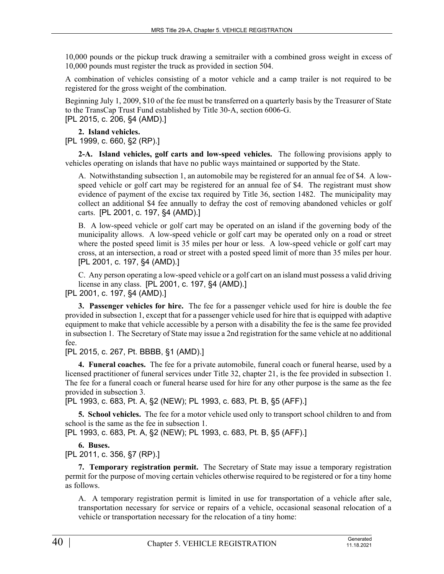10,000 pounds or the pickup truck drawing a semitrailer with a combined gross weight in excess of 10,000 pounds must register the truck as provided in section 504.

A combination of vehicles consisting of a motor vehicle and a camp trailer is not required to be registered for the gross weight of the combination.

Beginning July 1, 2009, \$10 of the fee must be transferred on a quarterly basis by the Treasurer of State to the TransCap Trust Fund established by Title 30‑A, section 6006‑G.

[PL 2015, c. 206, §4 (AMD).]

**2. Island vehicles.** 

[PL 1999, c. 660, §2 (RP).]

**2-A. Island vehicles, golf carts and low-speed vehicles.** The following provisions apply to vehicles operating on islands that have no public ways maintained or supported by the State.

A. Notwithstanding subsection 1, an automobile may be registered for an annual fee of \$4. A lowspeed vehicle or golf cart may be registered for an annual fee of \$4. The registrant must show evidence of payment of the excise tax required by Title 36, section 1482. The municipality may collect an additional \$4 fee annually to defray the cost of removing abandoned vehicles or golf carts. [PL 2001, c. 197, §4 (AMD).]

B. A low-speed vehicle or golf cart may be operated on an island if the governing body of the municipality allows. A low-speed vehicle or golf cart may be operated only on a road or street where the posted speed limit is 35 miles per hour or less. A low-speed vehicle or golf cart may cross, at an intersection, a road or street with a posted speed limit of more than 35 miles per hour. [PL 2001, c. 197, §4 (AMD).]

C. Any person operating a low-speed vehicle or a golf cart on an island must possess a valid driving license in any class. [PL 2001, c. 197, §4 (AMD).] [PL 2001, c. 197, §4 (AMD).]

**3. Passenger vehicles for hire.** The fee for a passenger vehicle used for hire is double the fee provided in subsection 1, except that for a passenger vehicle used for hire that is equipped with adaptive equipment to make that vehicle accessible by a person with a disability the fee is the same fee provided in subsection 1. The Secretary of State may issue a 2nd registration for the same vehicle at no additional fee.

[PL 2015, c. 267, Pt. BBBB, §1 (AMD).]

**4. Funeral coaches.** The fee for a private automobile, funeral coach or funeral hearse, used by a licensed practitioner of funeral services under Title 32, chapter 21, is the fee provided in subsection 1. The fee for a funeral coach or funeral hearse used for hire for any other purpose is the same as the fee provided in subsection 3.

[PL 1993, c. 683, Pt. A, §2 (NEW); PL 1993, c. 683, Pt. B, §5 (AFF).]

**5. School vehicles.** The fee for a motor vehicle used only to transport school children to and from school is the same as the fee in subsection 1.

[PL 1993, c. 683, Pt. A, §2 (NEW); PL 1993, c. 683, Pt. B, §5 (AFF).]

**6. Buses.** 

[PL 2011, c. 356, §7 (RP).]

**7. Temporary registration permit.** The Secretary of State may issue a temporary registration permit for the purpose of moving certain vehicles otherwise required to be registered or for a tiny home as follows.

A. A temporary registration permit is limited in use for transportation of a vehicle after sale, transportation necessary for service or repairs of a vehicle, occasional seasonal relocation of a vehicle or transportation necessary for the relocation of a tiny home: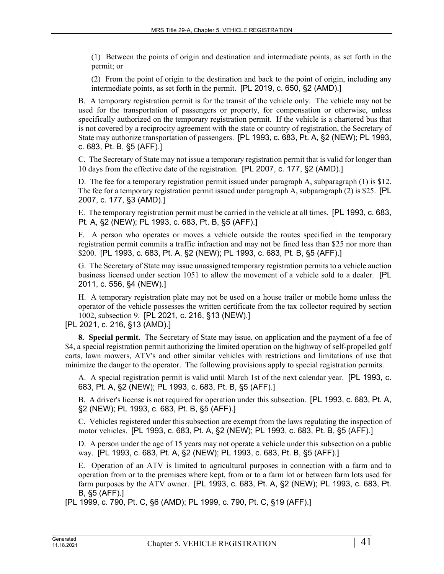(1) Between the points of origin and destination and intermediate points, as set forth in the permit; or

(2) From the point of origin to the destination and back to the point of origin, including any intermediate points, as set forth in the permit. [PL 2019, c. 650, §2 (AMD).]

B. A temporary registration permit is for the transit of the vehicle only. The vehicle may not be used for the transportation of passengers or property, for compensation or otherwise, unless specifically authorized on the temporary registration permit. If the vehicle is a chartered bus that is not covered by a reciprocity agreement with the state or country of registration, the Secretary of State may authorize transportation of passengers. [PL 1993, c. 683, Pt. A, §2 (NEW); PL 1993, c. 683, Pt. B, §5 (AFF).]

C. The Secretary of State may not issue a temporary registration permit that is valid for longer than 10 days from the effective date of the registration. [PL 2007, c. 177, §2 (AMD).]

D. The fee for a temporary registration permit issued under paragraph A, subparagraph (1) is \$12. The fee for a temporary registration permit issued under paragraph A, subparagraph (2) is \$25. [PL 2007, c. 177, §3 (AMD).]

E. The temporary registration permit must be carried in the vehicle at all times. [PL 1993, c. 683, Pt. A, §2 (NEW); PL 1993, c. 683, Pt. B, §5 (AFF).]

F. A person who operates or moves a vehicle outside the routes specified in the temporary registration permit commits a traffic infraction and may not be fined less than \$25 nor more than \$200. [PL 1993, c. 683, Pt. A, §2 (NEW); PL 1993, c. 683, Pt. B, §5 (AFF).]

G. The Secretary of State may issue unassigned temporary registration permits to a vehicle auction business licensed under section 1051 to allow the movement of a vehicle sold to a dealer. [PL 2011, c. 556, §4 (NEW).]

H. A temporary registration plate may not be used on a house trailer or mobile home unless the operator of the vehicle possesses the written certificate from the tax collector required by section 1002, subsection 9. [PL 2021, c. 216, §13 (NEW).]

[PL 2021, c. 216, §13 (AMD).]

**8. Special permit.** The Secretary of State may issue, on application and the payment of a fee of \$4, a special registration permit authorizing the limited operation on the highway of self-propelled golf carts, lawn mowers, ATV's and other similar vehicles with restrictions and limitations of use that minimize the danger to the operator. The following provisions apply to special registration permits.

A. A special registration permit is valid until March 1st of the next calendar year. [PL 1993, c. 683, Pt. A, §2 (NEW); PL 1993, c. 683, Pt. B, §5 (AFF).]

B. A driver's license is not required for operation under this subsection. [PL 1993, c. 683, Pt. A, §2 (NEW); PL 1993, c. 683, Pt. B, §5 (AFF).]

C. Vehicles registered under this subsection are exempt from the laws regulating the inspection of motor vehicles. [PL 1993, c. 683, Pt. A, §2 (NEW); PL 1993, c. 683, Pt. B, §5 (AFF).]

D. A person under the age of 15 years may not operate a vehicle under this subsection on a public way. [PL 1993, c. 683, Pt. A, §2 (NEW); PL 1993, c. 683, Pt. B, §5 (AFF).]

E. Operation of an ATV is limited to agricultural purposes in connection with a farm and to operation from or to the premises where kept, from or to a farm lot or between farm lots used for farm purposes by the ATV owner. [PL 1993, c. 683, Pt. A, §2 (NEW); PL 1993, c. 683, Pt. B, §5 (AFF).]

[PL 1999, c. 790, Pt. C, §6 (AMD); PL 1999, c. 790, Pt. C, §19 (AFF).]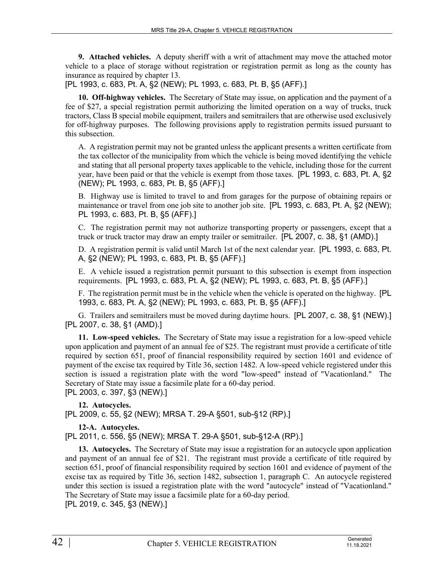**9. Attached vehicles.** A deputy sheriff with a writ of attachment may move the attached motor vehicle to a place of storage without registration or registration permit as long as the county has insurance as required by chapter 13.

[PL 1993, c. 683, Pt. A, §2 (NEW); PL 1993, c. 683, Pt. B, §5 (AFF).]

**10. Off-highway vehicles.** The Secretary of State may issue, on application and the payment of a fee of \$27, a special registration permit authorizing the limited operation on a way of trucks, truck tractors, Class B special mobile equipment, trailers and semitrailers that are otherwise used exclusively for off-highway purposes. The following provisions apply to registration permits issued pursuant to this subsection.

A. A registration permit may not be granted unless the applicant presents a written certificate from the tax collector of the municipality from which the vehicle is being moved identifying the vehicle and stating that all personal property taxes applicable to the vehicle, including those for the current year, have been paid or that the vehicle is exempt from those taxes. [PL 1993, c. 683, Pt. A, §2 (NEW); PL 1993, c. 683, Pt. B, §5 (AFF).]

B. Highway use is limited to travel to and from garages for the purpose of obtaining repairs or maintenance or travel from one job site to another job site. [PL 1993, c. 683, Pt. A, §2 (NEW); PL 1993, c. 683, Pt. B, §5 (AFF).]

C. The registration permit may not authorize transporting property or passengers, except that a truck or truck tractor may draw an empty trailer or semitrailer. [PL 2007, c. 38, §1 (AMD).]

D. A registration permit is valid until March 1st of the next calendar year. [PL 1993, c. 683, Pt. A, §2 (NEW); PL 1993, c. 683, Pt. B, §5 (AFF).]

E. A vehicle issued a registration permit pursuant to this subsection is exempt from inspection requirements. [PL 1993, c. 683, Pt. A, §2 (NEW); PL 1993, c. 683, Pt. B, §5 (AFF).]

F. The registration permit must be in the vehicle when the vehicle is operated on the highway. [PL 1993, c. 683, Pt. A, §2 (NEW); PL 1993, c. 683, Pt. B, §5 (AFF).]

G. Trailers and semitrailers must be moved during daytime hours. [PL 2007, c. 38, §1 (NEW).] [PL 2007, c. 38, §1 (AMD).]

**11. Low-speed vehicles.** The Secretary of State may issue a registration for a low-speed vehicle upon application and payment of an annual fee of \$25. The registrant must provide a certificate of title required by section 651, proof of financial responsibility required by section 1601 and evidence of payment of the excise tax required by Title 36, section 1482. A low-speed vehicle registered under this section is issued a registration plate with the word "low-speed" instead of "Vacationland." The Secretary of State may issue a facsimile plate for a 60-day period.

[PL 2003, c. 397, §3 (NEW).]

**12. Autocycles.**  [PL 2009, c. 55, §2 (NEW); MRSA T. 29-A §501, sub-§12 (RP).]

# **12-A. Autocycles.**

[PL 2011, c. 556, §5 (NEW); MRSA T. 29-A §501, sub-§12-A (RP).]

**13. Autocycles.** The Secretary of State may issue a registration for an autocycle upon application and payment of an annual fee of \$21. The registrant must provide a certificate of title required by section 651, proof of financial responsibility required by section 1601 and evidence of payment of the excise tax as required by Title 36, section 1482, subsection 1, paragraph C. An autocycle registered under this section is issued a registration plate with the word "autocycle" instead of "Vacationland." The Secretary of State may issue a facsimile plate for a 60-day period. [PL 2019, c. 345, §3 (NEW).]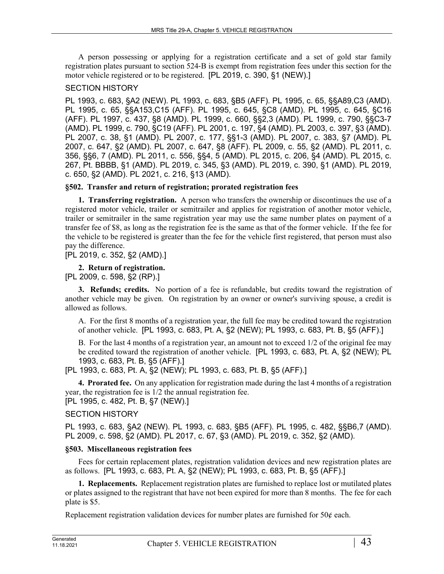A person possessing or applying for a registration certificate and a set of gold star family registration plates pursuant to section 524‑B is exempt from registration fees under this section for the motor vehicle registered or to be registered. [PL 2019, c. 390, §1 (NEW).]

### SECTION HISTORY

PL 1993, c. 683, §A2 (NEW). PL 1993, c. 683, §B5 (AFF). PL 1995, c. 65, §§A89,C3 (AMD). PL 1995, c. 65, §§A153,C15 (AFF). PL 1995, c. 645, §C8 (AMD). PL 1995, c. 645, §C16 (AFF). PL 1997, c. 437, §8 (AMD). PL 1999, c. 660, §§2,3 (AMD). PL 1999, c. 790, §§C3-7 (AMD). PL 1999, c. 790, §C19 (AFF). PL 2001, c. 197, §4 (AMD). PL 2003, c. 397, §3 (AMD). PL 2007, c. 38, §1 (AMD). PL 2007, c. 177, §§1-3 (AMD). PL 2007, c. 383, §7 (AMD). PL 2007, c. 647, §2 (AMD). PL 2007, c. 647, §8 (AFF). PL 2009, c. 55, §2 (AMD). PL 2011, c. 356, §§6, 7 (AMD). PL 2011, c. 556, §§4, 5 (AMD). PL 2015, c. 206, §4 (AMD). PL 2015, c. 267, Pt. BBBB, §1 (AMD). PL 2019, c. 345, §3 (AMD). PL 2019, c. 390, §1 (AMD). PL 2019, c. 650, §2 (AMD). PL 2021, c. 216, §13 (AMD).

### **§502. Transfer and return of registration; prorated registration fees**

**1. Transferring registration.** A person who transfers the ownership or discontinues the use of a registered motor vehicle, trailer or semitrailer and applies for registration of another motor vehicle, trailer or semitrailer in the same registration year may use the same number plates on payment of a transfer fee of \$8, as long as the registration fee is the same as that of the former vehicle. If the fee for the vehicle to be registered is greater than the fee for the vehicle first registered, that person must also pay the difference.

# [PL 2019, c. 352, §2 (AMD).]

# **2. Return of registration.**

[PL 2009, c. 598, §2 (RP).]

**3. Refunds; credits.** No portion of a fee is refundable, but credits toward the registration of another vehicle may be given. On registration by an owner or owner's surviving spouse, a credit is allowed as follows.

A. For the first 8 months of a registration year, the full fee may be credited toward the registration of another vehicle. [PL 1993, c. 683, Pt. A, §2 (NEW); PL 1993, c. 683, Pt. B, §5 (AFF).]

B. For the last 4 months of a registration year, an amount not to exceed 1/2 of the original fee may be credited toward the registration of another vehicle. [PL 1993, c. 683, Pt. A, §2 (NEW); PL 1993, c. 683, Pt. B, §5 (AFF).]

[PL 1993, c. 683, Pt. A, §2 (NEW); PL 1993, c. 683, Pt. B, §5 (AFF).]

**4. Prorated fee.** On any application for registration made during the last 4 months of a registration year, the registration fee is 1/2 the annual registration fee. [PL 1995, c. 482, Pt. B, §7 (NEW).]

# SECTION HISTORY

PL 1993, c. 683, §A2 (NEW). PL 1993, c. 683, §B5 (AFF). PL 1995, c. 482, §§B6,7 (AMD). PL 2009, c. 598, §2 (AMD). PL 2017, c. 67, §3 (AMD). PL 2019, c. 352, §2 (AMD).

# **§503. Miscellaneous registration fees**

Fees for certain replacement plates, registration validation devices and new registration plates are as follows. [PL 1993, c. 683, Pt. A, §2 (NEW); PL 1993, c. 683, Pt. B, §5 (AFF).]

**1. Replacements.** Replacement registration plates are furnished to replace lost or mutilated plates or plates assigned to the registrant that have not been expired for more than 8 months. The fee for each plate is \$5.

Replacement registration validation devices for number plates are furnished for  $50¢$  each.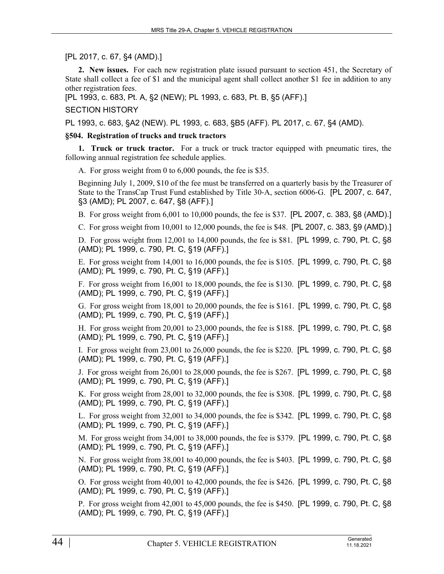[PL 2017, c. 67, §4 (AMD).]

**2. New issues.** For each new registration plate issued pursuant to section 451, the Secretary of State shall collect a fee of \$1 and the municipal agent shall collect another \$1 fee in addition to any other registration fees.

[PL 1993, c. 683, Pt. A, §2 (NEW); PL 1993, c. 683, Pt. B, §5 (AFF).]

SECTION HISTORY

PL 1993, c. 683, §A2 (NEW). PL 1993, c. 683, §B5 (AFF). PL 2017, c. 67, §4 (AMD).

### **§504. Registration of trucks and truck tractors**

**1. Truck or truck tractor.** For a truck or truck tractor equipped with pneumatic tires, the following annual registration fee schedule applies.

A. For gross weight from 0 to 6,000 pounds, the fee is \$35.

Beginning July 1, 2009, \$10 of the fee must be transferred on a quarterly basis by the Treasurer of State to the TransCap Trust Fund established by Title 30‑A, section 6006‑G. [PL 2007, c. 647, §3 (AMD); PL 2007, c. 647, §8 (AFF).]

B. For gross weight from 6,001 to 10,000 pounds, the fee is \$37. [PL 2007, c. 383, §8 (AMD).]

C. For gross weight from 10,001 to 12,000 pounds, the fee is \$48. [PL 2007, c. 383, §9 (AMD).]

D. For gross weight from 12,001 to 14,000 pounds, the fee is \$81. [PL 1999, c. 790, Pt. C, §8 (AMD); PL 1999, c. 790, Pt. C, §19 (AFF).]

E. For gross weight from 14,001 to 16,000 pounds, the fee is \$105. [PL 1999, c. 790, Pt. C, §8 (AMD); PL 1999, c. 790, Pt. C, §19 (AFF).]

F. For gross weight from 16,001 to 18,000 pounds, the fee is \$130. [PL 1999, c. 790, Pt. C, §8 (AMD); PL 1999, c. 790, Pt. C, §19 (AFF).]

G. For gross weight from 18,001 to 20,000 pounds, the fee is \$161. [PL 1999, c. 790, Pt. C, §8 (AMD); PL 1999, c. 790, Pt. C, §19 (AFF).]

H. For gross weight from 20,001 to 23,000 pounds, the fee is \$188. [PL 1999, c. 790, Pt. C, §8 (AMD); PL 1999, c. 790, Pt. C, §19 (AFF).]

I. For gross weight from 23,001 to 26,000 pounds, the fee is \$220. [PL 1999, c. 790, Pt. C, §8 (AMD); PL 1999, c. 790, Pt. C, §19 (AFF).]

J. For gross weight from 26,001 to 28,000 pounds, the fee is \$267. [PL 1999, c. 790, Pt. C, §8 (AMD); PL 1999, c. 790, Pt. C, §19 (AFF).]

K. For gross weight from 28,001 to 32,000 pounds, the fee is \$308. [PL 1999, c. 790, Pt. C, §8 (AMD); PL 1999, c. 790, Pt. C, §19 (AFF).]

L. For gross weight from 32,001 to 34,000 pounds, the fee is \$342. [PL 1999, c. 790, Pt. C, §8 (AMD); PL 1999, c. 790, Pt. C, §19 (AFF).]

M. For gross weight from 34,001 to 38,000 pounds, the fee is \$379. [PL 1999, c. 790, Pt. C, §8 (AMD); PL 1999, c. 790, Pt. C, §19 (AFF).]

N. For gross weight from 38,001 to 40,000 pounds, the fee is \$403. [PL 1999, c. 790, Pt. C, §8 (AMD); PL 1999, c. 790, Pt. C, §19 (AFF).]

O. For gross weight from 40,001 to 42,000 pounds, the fee is \$426. [PL 1999, c. 790, Pt. C, §8 (AMD); PL 1999, c. 790, Pt. C, §19 (AFF).]

P. For gross weight from 42,001 to 45,000 pounds, the fee is \$450. [PL 1999, c. 790, Pt. C, §8 (AMD); PL 1999, c. 790, Pt. C, §19 (AFF).]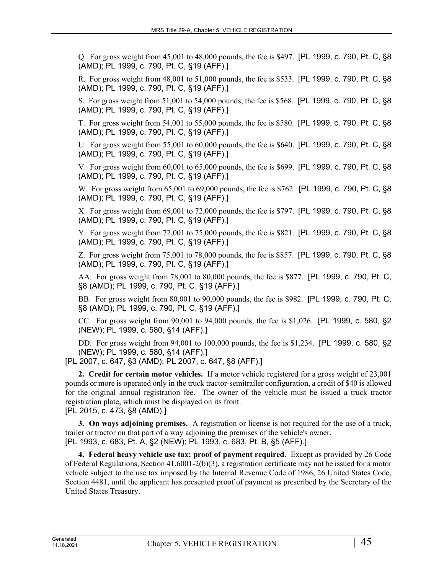Q. For gross weight from 45,001 to 48,000 pounds, the fee is \$497. [PL 1999, c. 790, Pt. C, §8 (AMD); PL 1999, c. 790, Pt. C, §19 (AFF).]

R. For gross weight from 48,001 to 51,000 pounds, the fee is \$533. [PL 1999, c. 790, Pt. C, §8 (AMD); PL 1999, c. 790, Pt. C, §19 (AFF).]

S. For gross weight from 51,001 to 54,000 pounds, the fee is \$568. [PL 1999, c. 790, Pt. C, §8 (AMD); PL 1999, c. 790, Pt. C, §19 (AFF).]

T. For gross weight from 54,001 to 55,000 pounds, the fee is \$580. [PL 1999, c. 790, Pt. C, §8 (AMD); PL 1999, c. 790, Pt. C, §19 (AFF).]

U. For gross weight from 55,001 to 60,000 pounds, the fee is \$640. [PL 1999, c. 790, Pt. C, §8 (AMD); PL 1999, c. 790, Pt. C, §19 (AFF).]

V. For gross weight from 60,001 to 65,000 pounds, the fee is \$699. [PL 1999, c. 790, Pt. C, §8 (AMD); PL 1999, c. 790, Pt. C, §19 (AFF).]

W. For gross weight from 65,001 to 69,000 pounds, the fee is \$762. [PL 1999, c. 790, Pt. C, §8 (AMD); PL 1999, c. 790, Pt. C, §19 (AFF).]

X. For gross weight from 69,001 to 72,000 pounds, the fee is \$797. [PL 1999, c. 790, Pt. C, §8 (AMD); PL 1999, c. 790, Pt. C, §19 (AFF).]

Y. For gross weight from 72,001 to 75,000 pounds, the fee is \$821. [PL 1999, c. 790, Pt. C, §8 (AMD); PL 1999, c. 790, Pt. C, §19 (AFF).]

Z. For gross weight from 75,001 to 78,000 pounds, the fee is \$857. [PL 1999, c. 790, Pt. C, §8 (AMD); PL 1999, c. 790, Pt. C, §19 (AFF).]

AA. For gross weight from 78,001 to 80,000 pounds, the fee is \$877. [PL 1999, c. 790, Pt. C, §8 (AMD); PL 1999, c. 790, Pt. C, §19 (AFF).]

BB. For gross weight from 80,001 to 90,000 pounds, the fee is \$982. [PL 1999, c. 790, Pt. C, §8 (AMD); PL 1999, c. 790, Pt. C, §19 (AFF).]

CC. For gross weight from 90,001 to 94,000 pounds, the fee is \$1,026. [PL 1999, c. 580, §2 (NEW); PL 1999, c. 580, §14 (AFF).]

DD. For gross weight from 94,001 to 100,000 pounds, the fee is \$1,234. [PL 1999, c. 580, §2 (NEW); PL 1999, c. 580, §14 (AFF).]

[PL 2007, c. 647, §3 (AMD); PL 2007, c. 647, §8 (AFF).]

**2. Credit for certain motor vehicles.** If a motor vehicle registered for a gross weight of 23,001 pounds or more is operated only in the truck tractor-semitrailer configuration, a credit of \$40 is allowed for the original annual registration fee. The owner of the vehicle must be issued a truck tractor registration plate, which must be displayed on its front.

[PL 2015, c. 473, §8 (AMD).]

**3. On ways adjoining premises.** A registration or license is not required for the use of a truck, trailer or tractor on that part of a way adjoining the premises of the vehicle's owner. [PL 1993, c. 683, Pt. A, §2 (NEW); PL 1993, c. 683, Pt. B, §5 (AFF).]

**4. Federal heavy vehicle use tax; proof of payment required.** Except as provided by 26 Code of Federal Regulations, Section 41.6001-2(b)(3), a registration certificate may not be issued for a motor vehicle subject to the use tax imposed by the Internal Revenue Code of 1986, 26 United States Code, Section 4481, until the applicant has presented proof of payment as prescribed by the Secretary of the United States Treasury.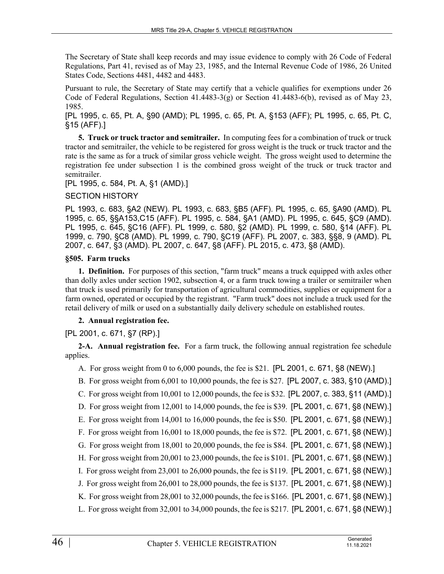The Secretary of State shall keep records and may issue evidence to comply with 26 Code of Federal Regulations, Part 41, revised as of May 23, 1985, and the Internal Revenue Code of 1986, 26 United States Code, Sections 4481, 4482 and 4483.

Pursuant to rule, the Secretary of State may certify that a vehicle qualifies for exemptions under 26 Code of Federal Regulations, Section  $41.4483-3(g)$  or Section  $41.4483-6(b)$ , revised as of May 23, 1985.

[PL 1995, c. 65, Pt. A, §90 (AMD); PL 1995, c. 65, Pt. A, §153 (AFF); PL 1995, c. 65, Pt. C, §15 (AFF).]

**5. Truck or truck tractor and semitrailer.** In computing fees for a combination of truck or truck tractor and semitrailer, the vehicle to be registered for gross weight is the truck or truck tractor and the rate is the same as for a truck of similar gross vehicle weight. The gross weight used to determine the registration fee under subsection 1 is the combined gross weight of the truck or truck tractor and semitrailer.

[PL 1995, c. 584, Pt. A, §1 (AMD).]

### SECTION HISTORY

PL 1993, c. 683, §A2 (NEW). PL 1993, c. 683, §B5 (AFF). PL 1995, c. 65, §A90 (AMD). PL 1995, c. 65, §§A153,C15 (AFF). PL 1995, c. 584, §A1 (AMD). PL 1995, c. 645, §C9 (AMD). PL 1995, c. 645, §C16 (AFF). PL 1999, c. 580, §2 (AMD). PL 1999, c. 580, §14 (AFF). PL 1999, c. 790, §C8 (AMD). PL 1999, c. 790, §C19 (AFF). PL 2007, c. 383, §§8, 9 (AMD). PL 2007, c. 647, §3 (AMD). PL 2007, c. 647, §8 (AFF). PL 2015, c. 473, §8 (AMD).

### **§505. Farm trucks**

**1. Definition.** For purposes of this section, "farm truck" means a truck equipped with axles other than dolly axles under section 1902, subsection 4, or a farm truck towing a trailer or semitrailer when that truck is used primarily for transportation of agricultural commodities, supplies or equipment for a farm owned, operated or occupied by the registrant. "Farm truck" does not include a truck used for the retail delivery of milk or used on a substantially daily delivery schedule on established routes.

# **2. Annual registration fee.**

# [PL 2001, c. 671, §7 (RP).]

**2-A. Annual registration fee.** For a farm truck, the following annual registration fee schedule applies.

A. For gross weight from 0 to 6,000 pounds, the fee is \$21. [PL 2001, c. 671, §8 (NEW).]

- B. For gross weight from 6,001 to 10,000 pounds, the fee is \$27. [PL 2007, c. 383, §10 (AMD).]
- C. For gross weight from 10,001 to 12,000 pounds, the fee is \$32. [PL 2007, c. 383, §11 (AMD).]
- D. For gross weight from 12,001 to 14,000 pounds, the fee is \$39. [PL 2001, c. 671, §8 (NEW).]

E. For gross weight from 14,001 to 16,000 pounds, the fee is \$50. [PL 2001, c. 671, §8 (NEW).]

- F. For gross weight from 16,001 to 18,000 pounds, the fee is \$72. [PL 2001, c. 671, §8 (NEW).]
- G. For gross weight from 18,001 to 20,000 pounds, the fee is \$84. [PL 2001, c. 671, §8 (NEW).]
- H. For gross weight from 20,001 to 23,000 pounds, the fee is \$101. [PL 2001, c. 671, §8 (NEW).]
- I. For gross weight from 23,001 to 26,000 pounds, the fee is \$119. [PL 2001, c. 671, §8 (NEW).]
- J. For gross weight from 26,001 to 28,000 pounds, the fee is \$137. [PL 2001, c. 671, §8 (NEW).]
- K. For gross weight from 28,001 to 32,000 pounds, the fee is \$166. [PL 2001, c. 671, §8 (NEW).]
- L. For gross weight from 32,001 to 34,000 pounds, the fee is \$217. [PL 2001, c. 671, §8 (NEW).]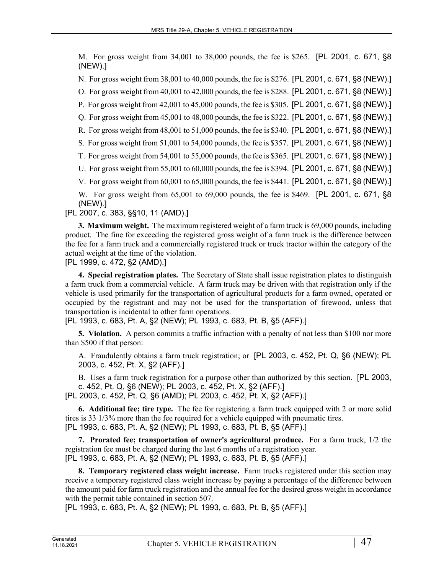M. For gross weight from 34,001 to 38,000 pounds, the fee is \$265. [PL 2001, c. 671, §8 (NEW).]

N. For gross weight from 38,001 to 40,000 pounds, the fee is \$276. [PL 2001, c. 671, §8 (NEW).]

O. For gross weight from 40,001 to 42,000 pounds, the fee is \$288. [PL 2001, c. 671, §8 (NEW).]

P. For gross weight from 42,001 to 45,000 pounds, the fee is \$305. [PL 2001, c. 671, §8 (NEW).]

Q. For gross weight from 45,001 to 48,000 pounds, the fee is \$322. [PL 2001, c. 671, §8 (NEW).]

R. For gross weight from 48,001 to 51,000 pounds, the fee is \$340. [PL 2001, c. 671, §8 (NEW).]

S. For gross weight from 51,001 to 54,000 pounds, the fee is \$357. [PL 2001, c. 671, §8 (NEW).]

T. For gross weight from 54,001 to 55,000 pounds, the fee is \$365. [PL 2001, c. 671, §8 (NEW).]

U. For gross weight from 55,001 to 60,000 pounds, the fee is \$394. [PL 2001, c. 671, §8 (NEW).]

V. For gross weight from 60,001 to 65,000 pounds, the fee is \$441. [PL 2001, c. 671, §8 (NEW).]

W. For gross weight from 65,001 to 69,000 pounds, the fee is \$469. [PL 2001, c. 671, §8 (NEW).]

[PL 2007, c. 383, §§10, 11 (AMD).]

**3. Maximum weight.** The maximum registered weight of a farm truck is 69,000 pounds, including product. The fine for exceeding the registered gross weight of a farm truck is the difference between the fee for a farm truck and a commercially registered truck or truck tractor within the category of the actual weight at the time of the violation.

[PL 1999, c. 472, §2 (AMD).]

**4. Special registration plates.** The Secretary of State shall issue registration plates to distinguish a farm truck from a commercial vehicle. A farm truck may be driven with that registration only if the vehicle is used primarily for the transportation of agricultural products for a farm owned, operated or occupied by the registrant and may not be used for the transportation of firewood, unless that transportation is incidental to other farm operations.

[PL 1993, c. 683, Pt. A, §2 (NEW); PL 1993, c. 683, Pt. B, §5 (AFF).]

**5. Violation.** A person commits a traffic infraction with a penalty of not less than \$100 nor more than \$500 if that person:

A. Fraudulently obtains a farm truck registration; or [PL 2003, c. 452, Pt. Q, §6 (NEW); PL 2003, c. 452, Pt. X, §2 (AFF).]

B. Uses a farm truck registration for a purpose other than authorized by this section. [PL 2003, c. 452, Pt. Q, §6 (NEW); PL 2003, c. 452, Pt. X, §2 (AFF).] [PL 2003, c. 452, Pt. Q, §6 (AMD); PL 2003, c. 452, Pt. X, §2 (AFF).]

**6. Additional fee; tire type.** The fee for registering a farm truck equipped with 2 or more solid tires is 33 1/3% more than the fee required for a vehicle equipped with pneumatic tires. [PL 1993, c. 683, Pt. A, §2 (NEW); PL 1993, c. 683, Pt. B, §5 (AFF).]

**7. Prorated fee; transportation of owner's agricultural produce.** For a farm truck, 1/2 the registration fee must be charged during the last 6 months of a registration year. [PL 1993, c. 683, Pt. A, §2 (NEW); PL 1993, c. 683, Pt. B, §5 (AFF).]

**8. Temporary registered class weight increase.** Farm trucks registered under this section may receive a temporary registered class weight increase by paying a percentage of the difference between the amount paid for farm truck registration and the annual fee for the desired gross weight in accordance with the permit table contained in section 507.

[PL 1993, c. 683, Pt. A, §2 (NEW); PL 1993, c. 683, Pt. B, §5 (AFF).]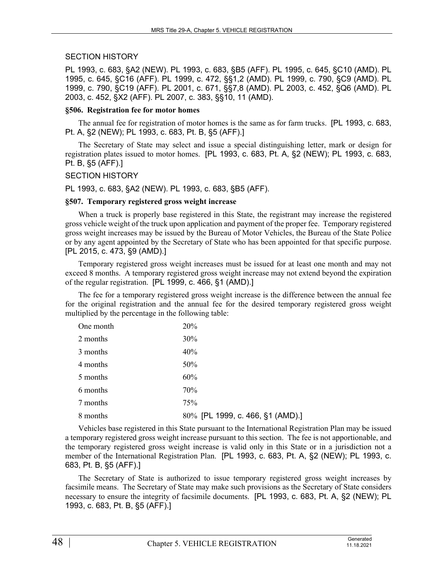### SECTION HISTORY

PL 1993, c. 683, §A2 (NEW). PL 1993, c. 683, §B5 (AFF). PL 1995, c. 645, §C10 (AMD). PL 1995, c. 645, §C16 (AFF). PL 1999, c. 472, §§1,2 (AMD). PL 1999, c. 790, §C9 (AMD). PL 1999, c. 790, §C19 (AFF). PL 2001, c. 671, §§7,8 (AMD). PL 2003, c. 452, §Q6 (AMD). PL 2003, c. 452, §X2 (AFF). PL 2007, c. 383, §§10, 11 (AMD).

### **§506. Registration fee for motor homes**

The annual fee for registration of motor homes is the same as for farm trucks. [PL 1993, c. 683, Pt. A, §2 (NEW); PL 1993, c. 683, Pt. B, §5 (AFF).]

The Secretary of State may select and issue a special distinguishing letter, mark or design for registration plates issued to motor homes. [PL 1993, c. 683, Pt. A, §2 (NEW); PL 1993, c. 683, Pt. B, §5 (AFF).]

### SECTION HISTORY

PL 1993, c. 683, §A2 (NEW). PL 1993, c. 683, §B5 (AFF).

### **§507. Temporary registered gross weight increase**

When a truck is properly base registered in this State, the registrant may increase the registered gross vehicle weight of the truck upon application and payment of the proper fee. Temporary registered gross weight increases may be issued by the Bureau of Motor Vehicles, the Bureau of the State Police or by any agent appointed by the Secretary of State who has been appointed for that specific purpose. [PL 2015, c. 473, §9 (AMD).]

Temporary registered gross weight increases must be issued for at least one month and may not exceed 8 months. A temporary registered gross weight increase may not extend beyond the expiration of the regular registration. [PL 1999, c. 466, §1 (AMD).]

The fee for a temporary registered gross weight increase is the difference between the annual fee for the original registration and the annual fee for the desired temporary registered gross weight multiplied by the percentage in the following table:

| One month | 20%                              |
|-----------|----------------------------------|
| 2 months  | 30%                              |
| 3 months  | 40%                              |
| 4 months  | 50%                              |
| 5 months  | 60%                              |
| 6 months  | 70%                              |
| 7 months  | 75%                              |
| 8 months  | 80% [PL 1999, c. 466, §1 (AMD).] |

Vehicles base registered in this State pursuant to the International Registration Plan may be issued a temporary registered gross weight increase pursuant to this section. The fee is not apportionable, and the temporary registered gross weight increase is valid only in this State or in a jurisdiction not a member of the International Registration Plan. [PL 1993, c. 683, Pt. A, §2 (NEW); PL 1993, c. 683, Pt. B, §5 (AFF).]

The Secretary of State is authorized to issue temporary registered gross weight increases by facsimile means. The Secretary of State may make such provisions as the Secretary of State considers necessary to ensure the integrity of facsimile documents. [PL 1993, c. 683, Pt. A, §2 (NEW); PL 1993, c. 683, Pt. B, §5 (AFF).]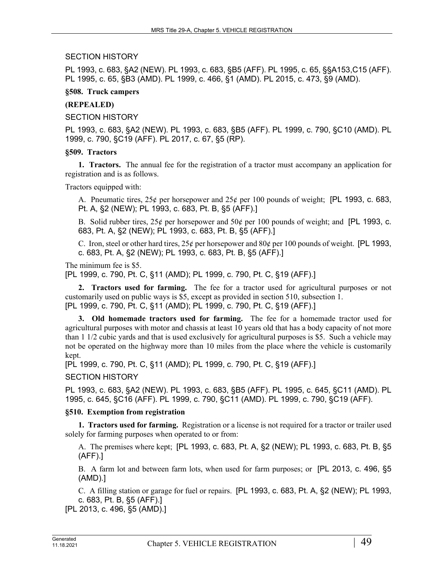### SECTION HISTORY

PL 1993, c. 683, §A2 (NEW). PL 1993, c. 683, §B5 (AFF). PL 1995, c. 65, §§A153,C15 (AFF). PL 1995, c. 65, §B3 (AMD). PL 1999, c. 466, §1 (AMD). PL 2015, c. 473, §9 (AMD).

### **§508. Truck campers**

### **(REPEALED)**

SECTION HISTORY

PL 1993, c. 683, §A2 (NEW). PL 1993, c. 683, §B5 (AFF). PL 1999, c. 790, §C10 (AMD). PL 1999, c. 790, §C19 (AFF). PL 2017, c. 67, §5 (RP).

### **§509. Tractors**

**1. Tractors.** The annual fee for the registration of a tractor must accompany an application for registration and is as follows.

Tractors equipped with:

A. Pneumatic tires, 25¢ per horsepower and 25¢ per 100 pounds of weight; [PL 1993, c. 683, Pt. A, §2 (NEW); PL 1993, c. 683, Pt. B, §5 (AFF).]

B. Solid rubber tires, 25¢ per horsepower and 50¢ per 100 pounds of weight; and [PL 1993, c. 683, Pt. A, §2 (NEW); PL 1993, c. 683, Pt. B, §5 (AFF).]

C. Iron, steel or other hard tires,  $25¢$  per horsepower and  $80¢$  per 100 pounds of weight. [PL 1993, c. 683, Pt. A, §2 (NEW); PL 1993, c. 683, Pt. B, §5 (AFF).]

The minimum fee is \$5.

[PL 1999, c. 790, Pt. C, §11 (AMD); PL 1999, c. 790, Pt. C, §19 (AFF).]

**2. Tractors used for farming.** The fee for a tractor used for agricultural purposes or not customarily used on public ways is \$5, except as provided in section 510, subsection 1. [PL 1999, c. 790, Pt. C, §11 (AMD); PL 1999, c. 790, Pt. C, §19 (AFF).]

**3. Old homemade tractors used for farming.** The fee for a homemade tractor used for agricultural purposes with motor and chassis at least 10 years old that has a body capacity of not more than 1 1/2 cubic yards and that is used exclusively for agricultural purposes is \$5. Such a vehicle may not be operated on the highway more than 10 miles from the place where the vehicle is customarily kept.

[PL 1999, c. 790, Pt. C, §11 (AMD); PL 1999, c. 790, Pt. C, §19 (AFF).]

SECTION HISTORY

PL 1993, c. 683, §A2 (NEW). PL 1993, c. 683, §B5 (AFF). PL 1995, c. 645, §C11 (AMD). PL 1995, c. 645, §C16 (AFF). PL 1999, c. 790, §C11 (AMD). PL 1999, c. 790, §C19 (AFF).

# **§510. Exemption from registration**

**1. Tractors used for farming.** Registration or a license is not required for a tractor or trailer used solely for farming purposes when operated to or from:

A. The premises where kept; [PL 1993, c. 683, Pt. A, §2 (NEW); PL 1993, c. 683, Pt. B, §5 (AFF).]

B. A farm lot and between farm lots, when used for farm purposes; or [PL 2013, c. 496, §5 (AMD).]

C. A filling station or garage for fuel or repairs. [PL 1993, c. 683, Pt. A, §2 (NEW); PL 1993, c. 683, Pt. B, §5 (AFF).]

[PL 2013, c. 496, §5 (AMD).]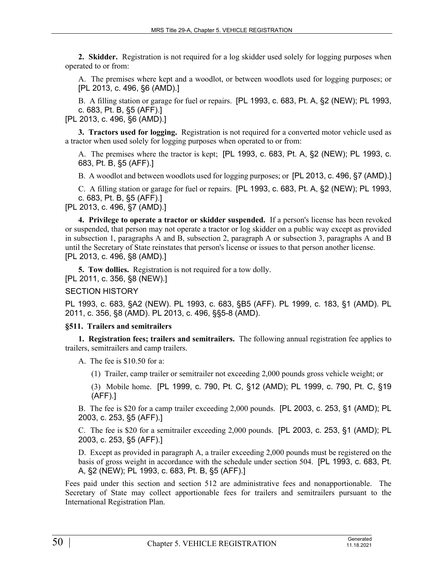**2. Skidder.** Registration is not required for a log skidder used solely for logging purposes when operated to or from:

A. The premises where kept and a woodlot, or between woodlots used for logging purposes; or [PL 2013, c. 496, §6 (AMD).]

B. A filling station or garage for fuel or repairs. [PL 1993, c. 683, Pt. A, §2 (NEW); PL 1993, c. 683, Pt. B, §5 (AFF).]

[PL 2013, c. 496, §6 (AMD).]

**3. Tractors used for logging.** Registration is not required for a converted motor vehicle used as a tractor when used solely for logging purposes when operated to or from:

A. The premises where the tractor is kept; [PL 1993, c. 683, Pt. A, §2 (NEW); PL 1993, c. 683, Pt. B, §5 (AFF).]

B. A woodlot and between woodlots used for logging purposes; or [PL 2013, c. 496, §7 (AMD).]

C. A filling station or garage for fuel or repairs. [PL 1993, c. 683, Pt. A, §2 (NEW); PL 1993, c. 683, Pt. B, §5 (AFF).]

[PL 2013, c. 496, §7 (AMD).]

**4. Privilege to operate a tractor or skidder suspended.** If a person's license has been revoked or suspended, that person may not operate a tractor or log skidder on a public way except as provided in subsection 1, paragraphs A and B, subsection 2, paragraph A or subsection 3, paragraphs A and B until the Secretary of State reinstates that person's license or issues to that person another license. [PL 2013, c. 496, §8 (AMD).]

**5. Tow dollies.** Registration is not required for a tow dolly. [PL 2011, c. 356, §8 (NEW).]

SECTION HISTORY

PL 1993, c. 683, §A2 (NEW). PL 1993, c. 683, §B5 (AFF). PL 1999, c. 183, §1 (AMD). PL 2011, c. 356, §8 (AMD). PL 2013, c. 496, §§5-8 (AMD).

### **§511. Trailers and semitrailers**

**1. Registration fees; trailers and semitrailers.** The following annual registration fee applies to trailers, semitrailers and camp trailers.

A. The fee is \$10.50 for a:

(1) Trailer, camp trailer or semitrailer not exceeding 2,000 pounds gross vehicle weight; or

(3) Mobile home. [PL 1999, c. 790, Pt. C, §12 (AMD); PL 1999, c. 790, Pt. C, §19 (AFF).]

B. The fee is \$20 for a camp trailer exceeding 2,000 pounds. [PL 2003, c. 253, §1 (AMD); PL 2003, c. 253, §5 (AFF).]

C. The fee is \$20 for a semitrailer exceeding 2,000 pounds. [PL 2003, c. 253, §1 (AMD); PL 2003, c. 253, §5 (AFF).]

D. Except as provided in paragraph A, a trailer exceeding 2,000 pounds must be registered on the basis of gross weight in accordance with the schedule under section 504. [PL 1993, c. 683, Pt. A, §2 (NEW); PL 1993, c. 683, Pt. B, §5 (AFF).]

Fees paid under this section and section 512 are administrative fees and nonapportionable. The Secretary of State may collect apportionable fees for trailers and semitrailers pursuant to the International Registration Plan.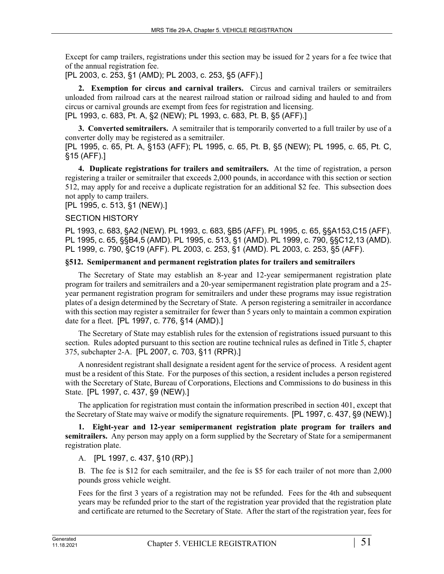Except for camp trailers, registrations under this section may be issued for 2 years for a fee twice that of the annual registration fee.

[PL 2003, c. 253, §1 (AMD); PL 2003, c. 253, §5 (AFF).]

**2. Exemption for circus and carnival trailers.** Circus and carnival trailers or semitrailers unloaded from railroad cars at the nearest railroad station or railroad siding and hauled to and from circus or carnival grounds are exempt from fees for registration and licensing. [PL 1993, c. 683, Pt. A, §2 (NEW); PL 1993, c. 683, Pt. B, §5 (AFF).]

**3. Converted semitrailers.** A semitrailer that is temporarily converted to a full trailer by use of a converter dolly may be registered as a semitrailer.

[PL 1995, c. 65, Pt. A, §153 (AFF); PL 1995, c. 65, Pt. B, §5 (NEW); PL 1995, c. 65, Pt. C, §15 (AFF).]

**4. Duplicate registrations for trailers and semitrailers.** At the time of registration, a person registering a trailer or semitrailer that exceeds 2,000 pounds, in accordance with this section or section 512, may apply for and receive a duplicate registration for an additional \$2 fee. This subsection does not apply to camp trailers.

[PL 1995, c. 513, §1 (NEW).]

### SECTION HISTORY

PL 1993, c. 683, §A2 (NEW). PL 1993, c. 683, §B5 (AFF). PL 1995, c. 65, §§A153,C15 (AFF). PL 1995, c. 65, §§B4,5 (AMD). PL 1995, c. 513, §1 (AMD). PL 1999, c. 790, §§C12,13 (AMD). PL 1999, c. 790, §C19 (AFF). PL 2003, c. 253, §1 (AMD). PL 2003, c. 253, §5 (AFF).

### **§512. Semipermanent and permanent registration plates for trailers and semitrailers**

The Secretary of State may establish an 8-year and 12-year semipermanent registration plate program for trailers and semitrailers and a 20-year semipermanent registration plate program and a 25 year permanent registration program for semitrailers and under these programs may issue registration plates of a design determined by the Secretary of State. A person registering a semitrailer in accordance with this section may register a semitrailer for fewer than 5 years only to maintain a common expiration date for a fleet. [PL 1997, c. 776, §14 (AMD).]

The Secretary of State may establish rules for the extension of registrations issued pursuant to this section. Rules adopted pursuant to this section are routine technical rules as defined in Title 5, chapter 375, subchapter 2-A. [PL 2007, c. 703, §11 (RPR).]

A nonresident registrant shall designate a resident agent for the service of process. A resident agent must be a resident of this State. For the purposes of this section, a resident includes a person registered with the Secretary of State, Bureau of Corporations, Elections and Commissions to do business in this State. [PL 1997, c. 437, §9 (NEW).]

The application for registration must contain the information prescribed in section 401, except that the Secretary of State may waive or modify the signature requirements. [PL 1997, c. 437, §9 (NEW).]

**1. Eight-year and 12-year semipermanent registration plate program for trailers and semitrailers.** Any person may apply on a form supplied by the Secretary of State for a semipermanent registration plate.

A. [PL 1997, c. 437, §10 (RP).]

B. The fee is \$12 for each semitrailer, and the fee is \$5 for each trailer of not more than 2,000 pounds gross vehicle weight.

Fees for the first 3 years of a registration may not be refunded. Fees for the 4th and subsequent years may be refunded prior to the start of the registration year provided that the registration plate and certificate are returned to the Secretary of State. After the start of the registration year, fees for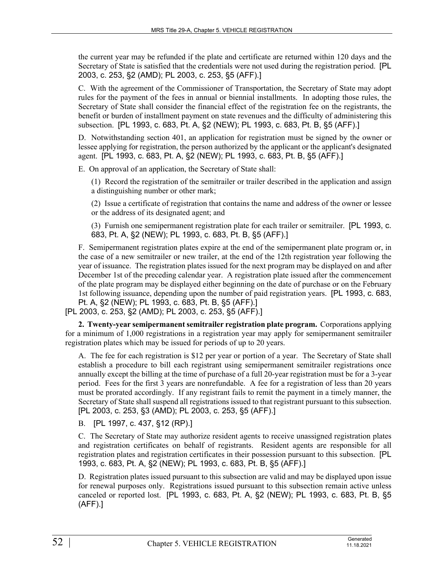the current year may be refunded if the plate and certificate are returned within 120 days and the Secretary of State is satisfied that the credentials were not used during the registration period. [PL 2003, c. 253, §2 (AMD); PL 2003, c. 253, §5 (AFF).]

C. With the agreement of the Commissioner of Transportation, the Secretary of State may adopt rules for the payment of the fees in annual or biennial installments. In adopting those rules, the Secretary of State shall consider the financial effect of the registration fee on the registrants, the benefit or burden of installment payment on state revenues and the difficulty of administering this subsection. [PL 1993, c. 683, Pt. A, §2 (NEW); PL 1993, c. 683, Pt. B, §5 (AFF).]

D. Notwithstanding section 401, an application for registration must be signed by the owner or lessee applying for registration, the person authorized by the applicant or the applicant's designated agent. [PL 1993, c. 683, Pt. A, §2 (NEW); PL 1993, c. 683, Pt. B, §5 (AFF).]

E. On approval of an application, the Secretary of State shall:

(1) Record the registration of the semitrailer or trailer described in the application and assign a distinguishing number or other mark;

(2) Issue a certificate of registration that contains the name and address of the owner or lessee or the address of its designated agent; and

(3) Furnish one semipermanent registration plate for each trailer or semitrailer. [PL 1993, c. 683, Pt. A, §2 (NEW); PL 1993, c. 683, Pt. B, §5 (AFF).]

F. Semipermanent registration plates expire at the end of the semipermanent plate program or, in the case of a new semitrailer or new trailer, at the end of the 12th registration year following the year of issuance. The registration plates issued for the next program may be displayed on and after December 1st of the preceding calendar year. A registration plate issued after the commencement of the plate program may be displayed either beginning on the date of purchase or on the February 1st following issuance, depending upon the number of paid registration years. [PL 1993, c. 683, Pt. A, §2 (NEW); PL 1993, c. 683, Pt. B, §5 (AFF).]

[PL 2003, c. 253, §2 (AMD); PL 2003, c. 253, §5 (AFF).]

**2. Twenty-year semipermanent semitrailer registration plate program.** Corporations applying for a minimum of 1,000 registrations in a registration year may apply for semipermanent semitrailer registration plates which may be issued for periods of up to 20 years.

A. The fee for each registration is \$12 per year or portion of a year. The Secretary of State shall establish a procedure to bill each registrant using semipermanent semitrailer registrations once annually except the billing at the time of purchase of a full 20-year registration must be for a 3-year period. Fees for the first 3 years are nonrefundable. A fee for a registration of less than 20 years must be prorated accordingly. If any registrant fails to remit the payment in a timely manner, the Secretary of State shall suspend all registrations issued to that registrant pursuant to this subsection. [PL 2003, c. 253, §3 (AMD); PL 2003, c. 253, §5 (AFF).]

B. [PL 1997, c. 437, §12 (RP).]

C. The Secretary of State may authorize resident agents to receive unassigned registration plates and registration certificates on behalf of registrants. Resident agents are responsible for all registration plates and registration certificates in their possession pursuant to this subsection. [PL 1993, c. 683, Pt. A, §2 (NEW); PL 1993, c. 683, Pt. B, §5 (AFF).]

D. Registration plates issued pursuant to this subsection are valid and may be displayed upon issue for renewal purposes only. Registrations issued pursuant to this subsection remain active unless canceled or reported lost. [PL 1993, c. 683, Pt. A, §2 (NEW); PL 1993, c. 683, Pt. B, §5 (AFF).]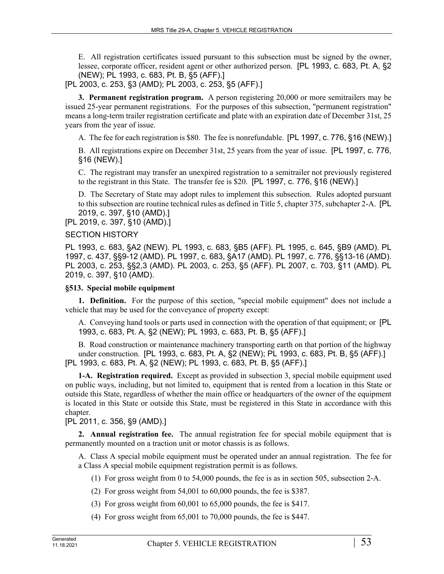E. All registration certificates issued pursuant to this subsection must be signed by the owner, lessee, corporate officer, resident agent or other authorized person. [PL 1993, c. 683, Pt. A, §2 (NEW); PL 1993, c. 683, Pt. B, §5 (AFF).]

[PL 2003, c. 253, §3 (AMD); PL 2003, c. 253, §5 (AFF).]

**3. Permanent registration program.** A person registering 20,000 or more semitrailers may be issued 25-year permanent registrations. For the purposes of this subsection, "permanent registration" means a long-term trailer registration certificate and plate with an expiration date of December 31st, 25 years from the year of issue.

A. The fee for each registration is \$80. The fee is nonrefundable. [PL 1997, c. 776, §16 (NEW).]

B. All registrations expire on December 31st, 25 years from the year of issue. [PL 1997, c. 776, §16 (NEW).]

C. The registrant may transfer an unexpired registration to a semitrailer not previously registered to the registrant in this State. The transfer fee is \$20. [PL 1997, c. 776, §16 (NEW).]

D. The Secretary of State may adopt rules to implement this subsection. Rules adopted pursuant to this subsection are routine technical rules as defined in Title 5, chapter 375, subchapter 2-A. [PL 2019, c. 397, §10 (AMD).]

[PL 2019, c. 397, §10 (AMD).]

### SECTION HISTORY

PL 1993, c. 683, §A2 (NEW). PL 1993, c. 683, §B5 (AFF). PL 1995, c. 645, §B9 (AMD). PL 1997, c. 437, §§9-12 (AMD). PL 1997, c. 683, §A17 (AMD). PL 1997, c. 776, §§13-16 (AMD). PL 2003, c. 253, §§2,3 (AMD). PL 2003, c. 253, §5 (AFF). PL 2007, c. 703, §11 (AMD). PL 2019, c. 397, §10 (AMD).

### **§513. Special mobile equipment**

**1. Definition.** For the purpose of this section, "special mobile equipment" does not include a vehicle that may be used for the conveyance of property except:

A. Conveying hand tools or parts used in connection with the operation of that equipment; or [PL 1993, c. 683, Pt. A, §2 (NEW); PL 1993, c. 683, Pt. B, §5 (AFF).]

B. Road construction or maintenance machinery transporting earth on that portion of the highway under construction. [PL 1993, c. 683, Pt. A, §2 (NEW); PL 1993, c. 683, Pt. B, §5 (AFF).] [PL 1993, c. 683, Pt. A, §2 (NEW); PL 1993, c. 683, Pt. B, §5 (AFF).]

**1-A. Registration required.** Except as provided in subsection 3, special mobile equipment used on public ways, including, but not limited to, equipment that is rented from a location in this State or outside this State, regardless of whether the main office or headquarters of the owner of the equipment is located in this State or outside this State, must be registered in this State in accordance with this chapter.

[PL 2011, c. 356, §9 (AMD).]

**2. Annual registration fee.** The annual registration fee for special mobile equipment that is permanently mounted on a traction unit or motor chassis is as follows.

A. Class A special mobile equipment must be operated under an annual registration. The fee for a Class A special mobile equipment registration permit is as follows.

- (1) For gross weight from 0 to 54,000 pounds, the fee is as in section 505, subsection 2‑A.
- (2) For gross weight from 54,001 to 60,000 pounds, the fee is \$387.
- (3) For gross weight from 60,001 to 65,000 pounds, the fee is \$417.
- (4) For gross weight from 65,001 to 70,000 pounds, the fee is \$447.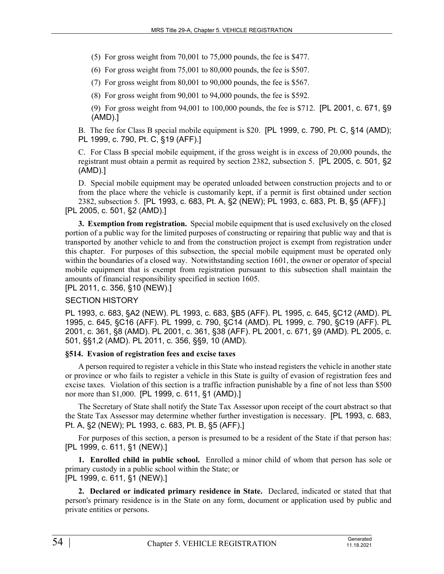(5) For gross weight from 70,001 to 75,000 pounds, the fee is \$477.

(6) For gross weight from 75,001 to 80,000 pounds, the fee is \$507.

(7) For gross weight from 80,001 to 90,000 pounds, the fee is \$567.

(8) For gross weight from 90,001 to 94,000 pounds, the fee is \$592.

(9) For gross weight from 94,001 to 100,000 pounds, the fee is \$712. [PL 2001, c. 671, §9 (AMD).]

B. The fee for Class B special mobile equipment is \$20. [PL 1999, c. 790, Pt. C, §14 (AMD); PL 1999, c. 790, Pt. C, §19 (AFF).]

C. For Class B special mobile equipment, if the gross weight is in excess of 20,000 pounds, the registrant must obtain a permit as required by section 2382, subsection 5. [PL 2005, c. 501, §2 (AMD).]

D. Special mobile equipment may be operated unloaded between construction projects and to or from the place where the vehicle is customarily kept, if a permit is first obtained under section 2382, subsection 5. [PL 1993, c. 683, Pt. A, §2 (NEW); PL 1993, c. 683, Pt. B, §5 (AFF).] [PL 2005, c. 501, §2 (AMD).]

**3. Exemption from registration.** Special mobile equipment that is used exclusively on the closed portion of a public way for the limited purposes of constructing or repairing that public way and that is transported by another vehicle to and from the construction project is exempt from registration under this chapter. For purposes of this subsection, the special mobile equipment must be operated only within the boundaries of a closed way. Notwithstanding section 1601, the owner or operator of special mobile equipment that is exempt from registration pursuant to this subsection shall maintain the amounts of financial responsibility specified in section 1605.

[PL 2011, c. 356, §10 (NEW).]

# SECTION HISTORY

PL 1993, c. 683, §A2 (NEW). PL 1993, c. 683, §B5 (AFF). PL 1995, c. 645, §C12 (AMD). PL 1995, c. 645, §C16 (AFF). PL 1999, c. 790, §C14 (AMD). PL 1999, c. 790, §C19 (AFF). PL 2001, c. 361, §8 (AMD). PL 2001, c. 361, §38 (AFF). PL 2001, c. 671, §9 (AMD). PL 2005, c. 501, §§1,2 (AMD). PL 2011, c. 356, §§9, 10 (AMD).

# **§514. Evasion of registration fees and excise taxes**

A person required to register a vehicle in this State who instead registers the vehicle in another state or province or who fails to register a vehicle in this State is guilty of evasion of registration fees and excise taxes. Violation of this section is a traffic infraction punishable by a fine of not less than \$500 nor more than \$1,000. [PL 1999, c. 611, §1 (AMD).]

The Secretary of State shall notify the State Tax Assessor upon receipt of the court abstract so that the State Tax Assessor may determine whether further investigation is necessary. [PL 1993, c. 683, Pt. A, §2 (NEW); PL 1993, c. 683, Pt. B, §5 (AFF).]

For purposes of this section, a person is presumed to be a resident of the State if that person has: [PL 1999, c. 611, §1 (NEW).]

**1. Enrolled child in public school.** Enrolled a minor child of whom that person has sole or primary custody in a public school within the State; or [PL 1999, c. 611, §1 (NEW).]

**2. Declared or indicated primary residence in State.** Declared, indicated or stated that that person's primary residence is in the State on any form, document or application used by public and private entities or persons.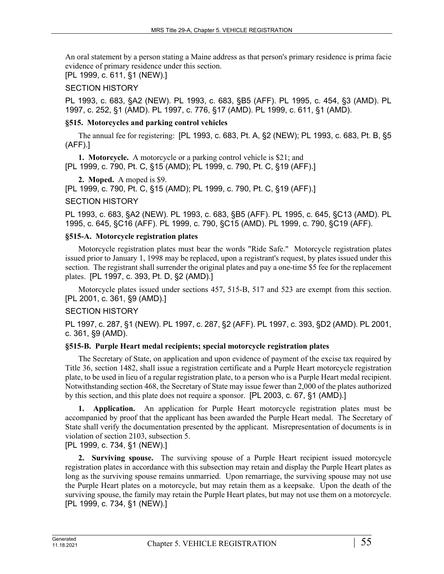An oral statement by a person stating a Maine address as that person's primary residence is prima facie evidence of primary residence under this section.

[PL 1999, c. 611, §1 (NEW).]

# SECTION HISTORY

PL 1993, c. 683, §A2 (NEW). PL 1993, c. 683, §B5 (AFF). PL 1995, c. 454, §3 (AMD). PL 1997, c. 252, §1 (AMD). PL 1997, c. 776, §17 (AMD). PL 1999, c. 611, §1 (AMD).

# **§515. Motorcycles and parking control vehicles**

The annual fee for registering: [PL 1993, c. 683, Pt. A, §2 (NEW); PL 1993, c. 683, Pt. B, §5 (AFF).]

**1. Motorcycle.** A motorcycle or a parking control vehicle is \$21; and [PL 1999, c. 790, Pt. C, §15 (AMD); PL 1999, c. 790, Pt. C, §19 (AFF).]

**2. Moped.** A moped is \$9.

[PL 1999, c. 790, Pt. C, §15 (AMD); PL 1999, c. 790, Pt. C, §19 (AFF).]

# SECTION HISTORY

PL 1993, c. 683, §A2 (NEW). PL 1993, c. 683, §B5 (AFF). PL 1995, c. 645, §C13 (AMD). PL 1995, c. 645, §C16 (AFF). PL 1999, c. 790, §C15 (AMD). PL 1999, c. 790, §C19 (AFF).

# **§515-A. Motorcycle registration plates**

Motorcycle registration plates must bear the words "Ride Safe." Motorcycle registration plates issued prior to January 1, 1998 may be replaced, upon a registrant's request, by plates issued under this section. The registrant shall surrender the original plates and pay a one-time \$5 fee for the replacement plates. [PL 1997, c. 393, Pt. D, §2 (AMD).]

Motorcycle plates issued under sections 457, 515-B, 517 and 523 are exempt from this section. [PL 2001, c. 361, §9 (AMD).]

# SECTION HISTORY

PL 1997, c. 287, §1 (NEW). PL 1997, c. 287, §2 (AFF). PL 1997, c. 393, §D2 (AMD). PL 2001, c. 361, §9 (AMD).

# **§515-B. Purple Heart medal recipients; special motorcycle registration plates**

The Secretary of State, on application and upon evidence of payment of the excise tax required by Title 36, section 1482, shall issue a registration certificate and a Purple Heart motorcycle registration plate, to be used in lieu of a regular registration plate, to a person who is a Purple Heart medal recipient. Notwithstanding section 468, the Secretary of State may issue fewer than 2,000 of the plates authorized by this section, and this plate does not require a sponsor. [PL 2003, c. 67, §1 (AMD).]

**1. Application.** An application for Purple Heart motorcycle registration plates must be accompanied by proof that the applicant has been awarded the Purple Heart medal. The Secretary of State shall verify the documentation presented by the applicant. Misrepresentation of documents is in violation of section 2103, subsection 5.

[PL 1999, c. 734, §1 (NEW).]

**2. Surviving spouse.** The surviving spouse of a Purple Heart recipient issued motorcycle registration plates in accordance with this subsection may retain and display the Purple Heart plates as long as the surviving spouse remains unmarried. Upon remarriage, the surviving spouse may not use the Purple Heart plates on a motorcycle, but may retain them as a keepsake. Upon the death of the surviving spouse, the family may retain the Purple Heart plates, but may not use them on a motorcycle. [PL 1999, c. 734, §1 (NEW).]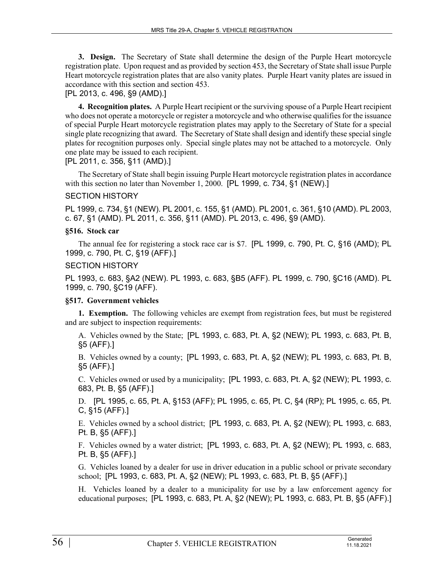**3. Design.** The Secretary of State shall determine the design of the Purple Heart motorcycle registration plate. Upon request and as provided by section 453, the Secretary of State shall issue Purple Heart motorcycle registration plates that are also vanity plates. Purple Heart vanity plates are issued in accordance with this section and section 453.

# [PL 2013, c. 496, §9 (AMD).]

**4. Recognition plates.** A Purple Heart recipient or the surviving spouse of a Purple Heart recipient who does not operate a motorcycle or register a motorcycle and who otherwise qualifies for the issuance of special Purple Heart motorcycle registration plates may apply to the Secretary of State for a special single plate recognizing that award. The Secretary of State shall design and identify these special single plates for recognition purposes only. Special single plates may not be attached to a motorcycle. Only one plate may be issued to each recipient.

[PL 2011, c. 356, §11 (AMD).]

The Secretary of State shall begin issuing Purple Heart motorcycle registration plates in accordance with this section no later than November 1, 2000. [PL 1999, c. 734, §1 (NEW).]

### SECTION HISTORY

PL 1999, c. 734, §1 (NEW). PL 2001, c. 155, §1 (AMD). PL 2001, c. 361, §10 (AMD). PL 2003, c. 67, §1 (AMD). PL 2011, c. 356, §11 (AMD). PL 2013, c. 496, §9 (AMD).

### **§516. Stock car**

The annual fee for registering a stock race car is \$7. [PL 1999, c. 790, Pt. C, §16 (AMD); PL 1999, c. 790, Pt. C, §19 (AFF).]

### SECTION HISTORY

PL 1993, c. 683, §A2 (NEW). PL 1993, c. 683, §B5 (AFF). PL 1999, c. 790, §C16 (AMD). PL 1999, c. 790, §C19 (AFF).

### **§517. Government vehicles**

**1. Exemption.** The following vehicles are exempt from registration fees, but must be registered and are subject to inspection requirements:

A. Vehicles owned by the State; [PL 1993, c. 683, Pt. A, §2 (NEW); PL 1993, c. 683, Pt. B, §5 (AFF).]

B. Vehicles owned by a county; [PL 1993, c. 683, Pt. A, §2 (NEW); PL 1993, c. 683, Pt. B, §5 (AFF).]

C. Vehicles owned or used by a municipality; [PL 1993, c. 683, Pt. A, §2 (NEW); PL 1993, c. 683, Pt. B, §5 (AFF).]

D. [PL 1995, c. 65, Pt. A, §153 (AFF); PL 1995, c. 65, Pt. C, §4 (RP); PL 1995, c. 65, Pt. C, §15 (AFF).]

E. Vehicles owned by a school district; [PL 1993, c. 683, Pt. A, §2 (NEW); PL 1993, c. 683, Pt. B, §5 (AFF).]

F. Vehicles owned by a water district; [PL 1993, c. 683, Pt. A, §2 (NEW); PL 1993, c. 683, Pt. B, §5 (AFF).]

G. Vehicles loaned by a dealer for use in driver education in a public school or private secondary school; [PL 1993, c. 683, Pt. A, §2 (NEW); PL 1993, c. 683, Pt. B, §5 (AFF).]

H. Vehicles loaned by a dealer to a municipality for use by a law enforcement agency for educational purposes; [PL 1993, c. 683, Pt. A, §2 (NEW); PL 1993, c. 683, Pt. B, §5 (AFF).]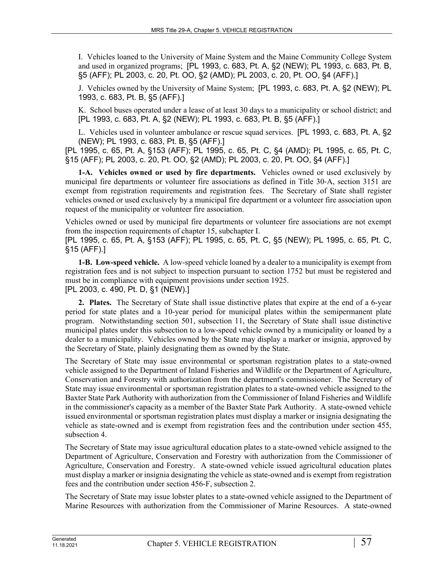I. Vehicles loaned to the University of Maine System and the Maine Community College System and used in organized programs; [PL 1993, c. 683, Pt. A, §2 (NEW); PL 1993, c. 683, Pt. B, §5 (AFF); PL 2003, c. 20, Pt. OO, §2 (AMD); PL 2003, c. 20, Pt. OO, §4 (AFF).]

J. Vehicles owned by the University of Maine System; [PL 1993, c. 683, Pt. A, §2 (NEW); PL 1993, c. 683, Pt. B, §5 (AFF).]

K. School buses operated under a lease of at least 30 days to a municipality or school district; and [PL 1993, c. 683, Pt. A, §2 (NEW); PL 1993, c. 683, Pt. B, §5 (AFF).]

L. Vehicles used in volunteer ambulance or rescue squad services. [PL 1993, c. 683, Pt. A, §2 (NEW); PL 1993, c. 683, Pt. B, §5 (AFF).]

[PL 1995, c. 65, Pt. A, §153 (AFF); PL 1995, c. 65, Pt. C, §4 (AMD); PL 1995, c. 65, Pt. C, §15 (AFF); PL 2003, c. 20, Pt. OO, §2 (AMD); PL 2003, c. 20, Pt. OO, §4 (AFF).]

**1-A. Vehicles owned or used by fire departments.** Vehicles owned or used exclusively by municipal fire departments or volunteer fire associations as defined in Title 30‑A, section 3151 are exempt from registration requirements and registration fees. The Secretary of State shall register vehicles owned or used exclusively by a municipal fire department or a volunteer fire association upon request of the municipality or volunteer fire association.

Vehicles owned or used by municipal fire departments or volunteer fire associations are not exempt from the inspection requirements of chapter 15, subchapter I.

[PL 1995, c. 65, Pt. A, §153 (AFF); PL 1995, c. 65, Pt. C, §5 (NEW); PL 1995, c. 65, Pt. C, §15 (AFF).]

**1-B. Low-speed vehicle.** A low-speed vehicle loaned by a dealer to a municipality is exempt from registration fees and is not subject to inspection pursuant to section 1752 but must be registered and must be in compliance with equipment provisions under section 1925. [PL 2003, c. 490, Pt. D, §1 (NEW).]

**2. Plates.** The Secretary of State shall issue distinctive plates that expire at the end of a 6-year period for state plates and a 10-year period for municipal plates within the semipermanent plate program. Notwithstanding section 501, subsection 11, the Secretary of State shall issue distinctive municipal plates under this subsection to a low-speed vehicle owned by a municipality or loaned by a dealer to a municipality. Vehicles owned by the State may display a marker or insignia, approved by the Secretary of State, plainly designating them as owned by the State.

The Secretary of State may issue environmental or sportsman registration plates to a state-owned vehicle assigned to the Department of Inland Fisheries and Wildlife or the Department of Agriculture, Conservation and Forestry with authorization from the department's commissioner. The Secretary of State may issue environmental or sportsman registration plates to a state-owned vehicle assigned to the Baxter State Park Authority with authorization from the Commissioner of Inland Fisheries and Wildlife in the commissioner's capacity as a member of the Baxter State Park Authority. A state-owned vehicle issued environmental or sportsman registration plates must display a marker or insignia designating the vehicle as state-owned and is exempt from registration fees and the contribution under section 455, subsection 4.

The Secretary of State may issue agricultural education plates to a state-owned vehicle assigned to the Department of Agriculture, Conservation and Forestry with authorization from the Commissioner of Agriculture, Conservation and Forestry. A state-owned vehicle issued agricultural education plates must display a marker or insignia designating the vehicle as state-owned and is exempt from registration fees and the contribution under section 456‑F, subsection 2.

The Secretary of State may issue lobster plates to a state-owned vehicle assigned to the Department of Marine Resources with authorization from the Commissioner of Marine Resources. A state-owned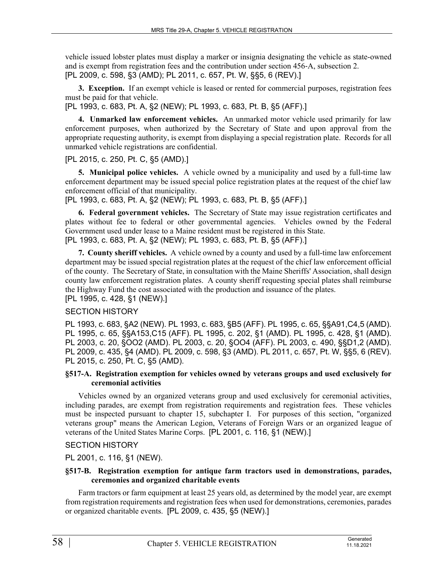vehicle issued lobster plates must display a marker or insignia designating the vehicle as state-owned and is exempt from registration fees and the contribution under section 456‑A, subsection 2. [PL 2009, c. 598, §3 (AMD); PL 2011, c. 657, Pt. W, §§5, 6 (REV).]

**3. Exception.** If an exempt vehicle is leased or rented for commercial purposes, registration fees must be paid for that vehicle.

[PL 1993, c. 683, Pt. A, §2 (NEW); PL 1993, c. 683, Pt. B, §5 (AFF).]

**4. Unmarked law enforcement vehicles.** An unmarked motor vehicle used primarily for law enforcement purposes, when authorized by the Secretary of State and upon approval from the appropriate requesting authority, is exempt from displaying a special registration plate. Records for all unmarked vehicle registrations are confidential.

[PL 2015, c. 250, Pt. C, §5 (AMD).]

**5. Municipal police vehicles.** A vehicle owned by a municipality and used by a full-time law enforcement department may be issued special police registration plates at the request of the chief law enforcement official of that municipality.

[PL 1993, c. 683, Pt. A, §2 (NEW); PL 1993, c. 683, Pt. B, §5 (AFF).]

**6. Federal government vehicles.** The Secretary of State may issue registration certificates and plates without fee to federal or other governmental agencies. Vehicles owned by the Federal Government used under lease to a Maine resident must be registered in this State. [PL 1993, c. 683, Pt. A, §2 (NEW); PL 1993, c. 683, Pt. B, §5 (AFF).]

**7. County sheriff vehicles.** A vehicle owned by a county and used by a full-time law enforcement department may be issued special registration plates at the request of the chief law enforcement official of the county. The Secretary of State, in consultation with the Maine Sheriffs' Association, shall design county law enforcement registration plates. A county sheriff requesting special plates shall reimburse the Highway Fund the cost associated with the production and issuance of the plates. [PL 1995, c. 428, §1 (NEW).]

# SECTION HISTORY

PL 1993, c. 683, §A2 (NEW). PL 1993, c. 683, §B5 (AFF). PL 1995, c. 65, §§A91,C4,5 (AMD). PL 1995, c. 65, §§A153,C15 (AFF). PL 1995, c. 202, §1 (AMD). PL 1995, c. 428, §1 (AMD). PL 2003, c. 20, §OO2 (AMD). PL 2003, c. 20, §OO4 (AFF). PL 2003, c. 490, §§D1,2 (AMD). PL 2009, c. 435, §4 (AMD). PL 2009, c. 598, §3 (AMD). PL 2011, c. 657, Pt. W, §§5, 6 (REV). PL 2015, c. 250, Pt. C, §5 (AMD).

### **§517-A. Registration exemption for vehicles owned by veterans groups and used exclusively for ceremonial activities**

Vehicles owned by an organized veterans group and used exclusively for ceremonial activities, including parades, are exempt from registration requirements and registration fees. These vehicles must be inspected pursuant to chapter 15, subchapter I. For purposes of this section, "organized veterans group" means the American Legion, Veterans of Foreign Wars or an organized league of veterans of the United States Marine Corps. [PL 2001, c. 116, §1 (NEW).]

# SECTION HISTORY

PL 2001, c. 116, §1 (NEW).

### **§517-B. Registration exemption for antique farm tractors used in demonstrations, parades, ceremonies and organized charitable events**

Farm tractors or farm equipment at least 25 years old, as determined by the model year, are exempt from registration requirements and registration fees when used for demonstrations, ceremonies, parades or organized charitable events. [PL 2009, c. 435, §5 (NEW).]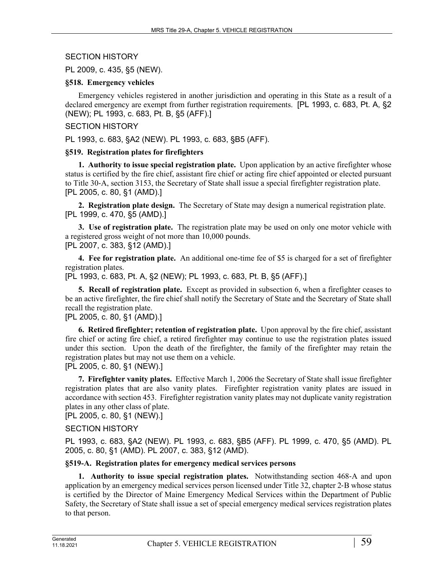### SECTION HISTORY

PL 2009, c. 435, §5 (NEW).

### **§518. Emergency vehicles**

Emergency vehicles registered in another jurisdiction and operating in this State as a result of a declared emergency are exempt from further registration requirements. [PL 1993, c. 683, Pt. A, §2 (NEW); PL 1993, c. 683, Pt. B, §5 (AFF).]

### SECTION HISTORY

PL 1993, c. 683, §A2 (NEW). PL 1993, c. 683, §B5 (AFF).

### **§519. Registration plates for firefighters**

**1. Authority to issue special registration plate.** Upon application by an active firefighter whose status is certified by the fire chief, assistant fire chief or acting fire chief appointed or elected pursuant to Title 30‑A, section 3153, the Secretary of State shall issue a special firefighter registration plate. [PL 2005, c. 80, §1 (AMD).]

**2. Registration plate design.** The Secretary of State may design a numerical registration plate. [PL 1999, c. 470, §5 (AMD).]

**3. Use of registration plate.** The registration plate may be used on only one motor vehicle with a registered gross weight of not more than 10,000 pounds. [PL 2007, c. 383, §12 (AMD).]

**4. Fee for registration plate.** An additional one-time fee of \$5 is charged for a set of firefighter registration plates.

[PL 1993, c. 683, Pt. A, §2 (NEW); PL 1993, c. 683, Pt. B, §5 (AFF).]

**5. Recall of registration plate.** Except as provided in subsection 6, when a firefighter ceases to be an active firefighter, the fire chief shall notify the Secretary of State and the Secretary of State shall recall the registration plate.

### [PL 2005, c. 80, §1 (AMD).]

**6. Retired firefighter; retention of registration plate.** Upon approval by the fire chief, assistant fire chief or acting fire chief, a retired firefighter may continue to use the registration plates issued under this section. Upon the death of the firefighter, the family of the firefighter may retain the registration plates but may not use them on a vehicle. [PL 2005, c. 80, §1 (NEW).]

**7. Firefighter vanity plates.** Effective March 1, 2006 the Secretary of State shall issue firefighter registration plates that are also vanity plates. Firefighter registration vanity plates are issued in accordance with section 453. Firefighter registration vanity plates may not duplicate vanity registration plates in any other class of plate.

[PL 2005, c. 80, §1 (NEW).]

# SECTION HISTORY

PL 1993, c. 683, §A2 (NEW). PL 1993, c. 683, §B5 (AFF). PL 1999, c. 470, §5 (AMD). PL 2005, c. 80, §1 (AMD). PL 2007, c. 383, §12 (AMD).

# **§519-A. Registration plates for emergency medical services persons**

**1. Authority to issue special registration plates.** Notwithstanding section 468‑A and upon application by an emergency medical services person licensed under Title 32, chapter 2‑B whose status is certified by the Director of Maine Emergency Medical Services within the Department of Public Safety, the Secretary of State shall issue a set of special emergency medical services registration plates to that person.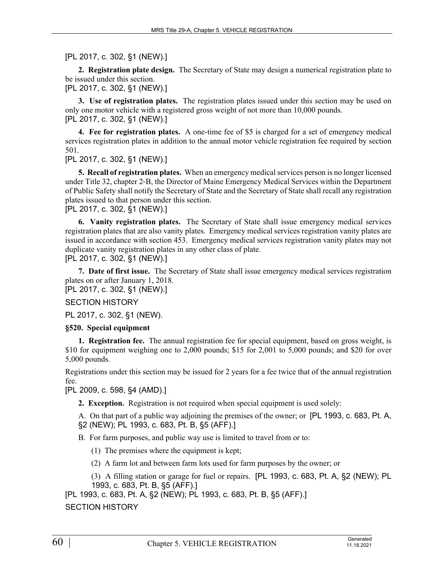[PL 2017, c. 302, §1 (NEW).]

**2. Registration plate design.** The Secretary of State may design a numerical registration plate to be issued under this section.

[PL 2017, c. 302, §1 (NEW).]

**3. Use of registration plates.** The registration plates issued under this section may be used on only one motor vehicle with a registered gross weight of not more than 10,000 pounds. [PL 2017, c. 302, §1 (NEW).]

**4. Fee for registration plates.** A one-time fee of \$5 is charged for a set of emergency medical services registration plates in addition to the annual motor vehicle registration fee required by section 501.

[PL 2017, c. 302, §1 (NEW).]

**5. Recall of registration plates.** When an emergency medical services person is no longer licensed under Title 32, chapter 2‑B, the Director of Maine Emergency Medical Services within the Department of Public Safety shall notify the Secretary of State and the Secretary of State shall recall any registration plates issued to that person under this section.

[PL 2017, c. 302, §1 (NEW).]

**6. Vanity registration plates.** The Secretary of State shall issue emergency medical services registration plates that are also vanity plates. Emergency medical services registration vanity plates are issued in accordance with section 453. Emergency medical services registration vanity plates may not duplicate vanity registration plates in any other class of plate.

[PL 2017, c. 302, §1 (NEW).]

**7. Date of first issue.** The Secretary of State shall issue emergency medical services registration plates on or after January 1, 2018.

[PL 2017, c. 302, §1 (NEW).]

SECTION HISTORY

PL 2017, c. 302, §1 (NEW).

# **§520. Special equipment**

**1. Registration fee.** The annual registration fee for special equipment, based on gross weight, is \$10 for equipment weighing one to 2,000 pounds; \$15 for 2,001 to 5,000 pounds; and \$20 for over 5,000 pounds.

Registrations under this section may be issued for 2 years for a fee twice that of the annual registration fee.

[PL 2009, c. 598, §4 (AMD).]

**2. Exception.** Registration is not required when special equipment is used solely:

A. On that part of a public way adjoining the premises of the owner; or [PL 1993, c. 683, Pt. A, §2 (NEW); PL 1993, c. 683, Pt. B, §5 (AFF).]

B. For farm purposes, and public way use is limited to travel from or to:

- (1) The premises where the equipment is kept;
- (2) A farm lot and between farm lots used for farm purposes by the owner; or
- (3) A filling station or garage for fuel or repairs. [PL 1993, c. 683, Pt. A, §2 (NEW); PL 1993, c. 683, Pt. B, §5 (AFF).]

[PL 1993, c. 683, Pt. A, §2 (NEW); PL 1993, c. 683, Pt. B, §5 (AFF).] SECTION HISTORY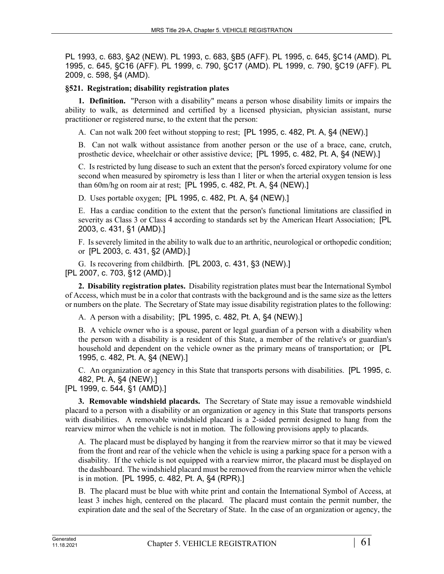PL 1993, c. 683, §A2 (NEW). PL 1993, c. 683, §B5 (AFF). PL 1995, c. 645, §C14 (AMD). PL 1995, c. 645, §C16 (AFF). PL 1999, c. 790, §C17 (AMD). PL 1999, c. 790, §C19 (AFF). PL 2009, c. 598, §4 (AMD).

### **§521. Registration; disability registration plates**

**1. Definition.** "Person with a disability" means a person whose disability limits or impairs the ability to walk, as determined and certified by a licensed physician, physician assistant, nurse practitioner or registered nurse, to the extent that the person:

A. Can not walk 200 feet without stopping to rest; [PL 1995, c. 482, Pt. A, §4 (NEW).]

B. Can not walk without assistance from another person or the use of a brace, cane, crutch, prosthetic device, wheelchair or other assistive device; [PL 1995, c. 482, Pt. A, §4 (NEW).]

C. Is restricted by lung disease to such an extent that the person's forced expiratory volume for one second when measured by spirometry is less than 1 liter or when the arterial oxygen tension is less than 60m/hg on room air at rest; [PL 1995, c. 482, Pt. A, §4 (NEW).]

D. Uses portable oxygen; [PL 1995, c. 482, Pt. A, §4 (NEW).]

E. Has a cardiac condition to the extent that the person's functional limitations are classified in severity as Class 3 or Class 4 according to standards set by the American Heart Association; [PL 2003, c. 431, §1 (AMD).]

F. Is severely limited in the ability to walk due to an arthritic, neurological or orthopedic condition; or [PL 2003, c. 431, §2 (AMD).]

G. Is recovering from childbirth. [PL 2003, c. 431, §3 (NEW).] [PL 2007, c. 703, §12 (AMD).]

**2. Disability registration plates.** Disability registration plates must bear the International Symbol of Access, which must be in a color that contrasts with the background and is the same size as the letters or numbers on the plate. The Secretary of State may issue disability registration plates to the following:

A. A person with a disability; [PL 1995, c. 482, Pt. A, §4 (NEW).]

B. A vehicle owner who is a spouse, parent or legal guardian of a person with a disability when the person with a disability is a resident of this State, a member of the relative's or guardian's household and dependent on the vehicle owner as the primary means of transportation; or [PL 1995, c. 482, Pt. A, §4 (NEW).]

C. An organization or agency in this State that transports persons with disabilities. [PL 1995, c. 482, Pt. A, §4 (NEW).]

[PL 1999, c. 544, §1 (AMD).]

**3. Removable windshield placards.** The Secretary of State may issue a removable windshield placard to a person with a disability or an organization or agency in this State that transports persons with disabilities. A removable windshield placard is a 2-sided permit designed to hang from the rearview mirror when the vehicle is not in motion. The following provisions apply to placards.

A. The placard must be displayed by hanging it from the rearview mirror so that it may be viewed from the front and rear of the vehicle when the vehicle is using a parking space for a person with a disability. If the vehicle is not equipped with a rearview mirror, the placard must be displayed on the dashboard. The windshield placard must be removed from the rearview mirror when the vehicle is in motion. [PL 1995, c. 482, Pt. A, §4 (RPR).]

B. The placard must be blue with white print and contain the International Symbol of Access, at least 3 inches high, centered on the placard. The placard must contain the permit number, the expiration date and the seal of the Secretary of State. In the case of an organization or agency, the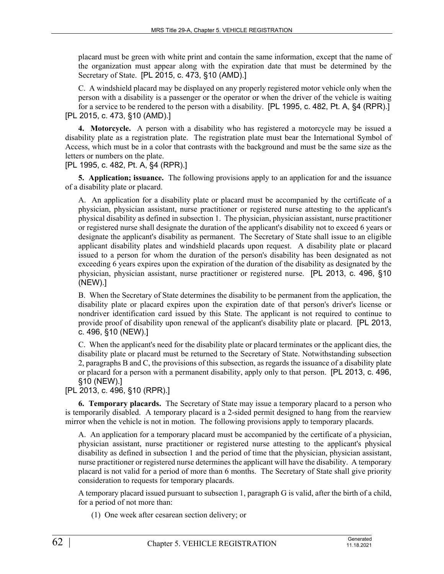placard must be green with white print and contain the same information, except that the name of the organization must appear along with the expiration date that must be determined by the Secretary of State. [PL 2015, c. 473, §10 (AMD).]

C. A windshield placard may be displayed on any properly registered motor vehicle only when the person with a disability is a passenger or the operator or when the driver of the vehicle is waiting for a service to be rendered to the person with a disability. [PL 1995, c. 482, Pt. A, §4 (RPR).] [PL 2015, c. 473, §10 (AMD).]

**4. Motorcycle.** A person with a disability who has registered a motorcycle may be issued a disability plate as a registration plate. The registration plate must bear the International Symbol of Access, which must be in a color that contrasts with the background and must be the same size as the letters or numbers on the plate.

[PL 1995, c. 482, Pt. A, §4 (RPR).]

**5. Application; issuance.** The following provisions apply to an application for and the issuance of a disability plate or placard.

A. An application for a disability plate or placard must be accompanied by the certificate of a physician, physician assistant, nurse practitioner or registered nurse attesting to the applicant's physical disability as defined in subsection 1. The physician, physician assistant, nurse practitioner or registered nurse shall designate the duration of the applicant's disability not to exceed 6 years or designate the applicant's disability as permanent. The Secretary of State shall issue to an eligible applicant disability plates and windshield placards upon request. A disability plate or placard issued to a person for whom the duration of the person's disability has been designated as not exceeding 6 years expires upon the expiration of the duration of the disability as designated by the physician, physician assistant, nurse practitioner or registered nurse. [PL 2013, c. 496, §10 (NEW).]

B. When the Secretary of State determines the disability to be permanent from the application, the disability plate or placard expires upon the expiration date of that person's driver's license or nondriver identification card issued by this State. The applicant is not required to continue to provide proof of disability upon renewal of the applicant's disability plate or placard. [PL 2013, c. 496, §10 (NEW).]

C. When the applicant's need for the disability plate or placard terminates or the applicant dies, the disability plate or placard must be returned to the Secretary of State. Notwithstanding subsection 2, paragraphs B and C, the provisions of this subsection, as regards the issuance of a disability plate or placard for a person with a permanent disability, apply only to that person. [PL 2013, c. 496, §10 (NEW).]

[PL 2013, c. 496, §10 (RPR).]

**6. Temporary placards.** The Secretary of State may issue a temporary placard to a person who is temporarily disabled. A temporary placard is a 2-sided permit designed to hang from the rearview mirror when the vehicle is not in motion. The following provisions apply to temporary placards.

A. An application for a temporary placard must be accompanied by the certificate of a physician, physician assistant, nurse practitioner or registered nurse attesting to the applicant's physical disability as defined in subsection 1 and the period of time that the physician, physician assistant, nurse practitioner or registered nurse determines the applicant will have the disability. A temporary placard is not valid for a period of more than 6 months. The Secretary of State shall give priority consideration to requests for temporary placards.

A temporary placard issued pursuant to subsection 1, paragraph G is valid, after the birth of a child, for a period of not more than:

(1) One week after cesarean section delivery; or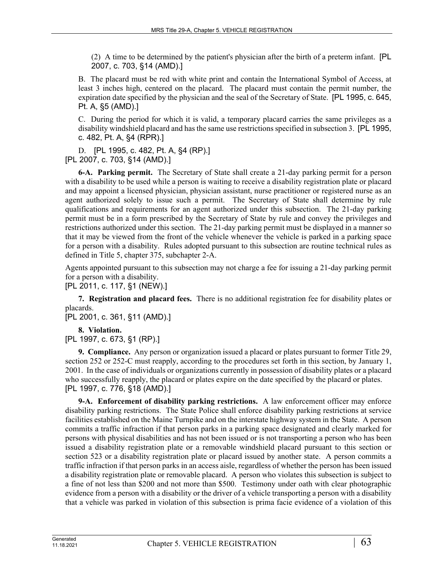(2) A time to be determined by the patient's physician after the birth of a preterm infant. [PL 2007, c. 703, §14 (AMD).]

B. The placard must be red with white print and contain the International Symbol of Access, at least 3 inches high, centered on the placard. The placard must contain the permit number, the expiration date specified by the physician and the seal of the Secretary of State. [PL 1995, c. 645, Pt. A, §5 (AMD).]

C. During the period for which it is valid, a temporary placard carries the same privileges as a disability windshield placard and has the same use restrictions specified in subsection 3. [PL 1995, c. 482, Pt. A, §4 (RPR).]

D. [PL 1995, c. 482, Pt. A, §4 (RP).] [PL 2007, c. 703, §14 (AMD).]

**6-A. Parking permit.** The Secretary of State shall create a 21-day parking permit for a person with a disability to be used while a person is waiting to receive a disability registration plate or placard and may appoint a licensed physician, physician assistant, nurse practitioner or registered nurse as an agent authorized solely to issue such a permit. The Secretary of State shall determine by rule qualifications and requirements for an agent authorized under this subsection. The 21-day parking permit must be in a form prescribed by the Secretary of State by rule and convey the privileges and restrictions authorized under this section. The 21-day parking permit must be displayed in a manner so that it may be viewed from the front of the vehicle whenever the vehicle is parked in a parking space for a person with a disability. Rules adopted pursuant to this subsection are routine technical rules as defined in Title 5, chapter 375, subchapter 2-A.

Agents appointed pursuant to this subsection may not charge a fee for issuing a 21-day parking permit for a person with a disability.

[PL 2011, c. 117, §1 (NEW).]

**7. Registration and placard fees.** There is no additional registration fee for disability plates or placards.

[PL 2001, c. 361, §11 (AMD).]

**8. Violation.** 

[PL 1997, c. 673, §1 (RP).]

**9. Compliance.** Any person or organization issued a placard or plates pursuant to former Title 29, section 252 or 252-C must reapply, according to the procedures set forth in this section, by January 1, 2001. In the case of individuals or organizations currently in possession of disability plates or a placard who successfully reapply, the placard or plates expire on the date specified by the placard or plates. [PL 1997, c. 776, §18 (AMD).]

**9-A. Enforcement of disability parking restrictions.** A law enforcement officer may enforce disability parking restrictions. The State Police shall enforce disability parking restrictions at service facilities established on the Maine Turnpike and on the interstate highway system in the State. A person commits a traffic infraction if that person parks in a parking space designated and clearly marked for persons with physical disabilities and has not been issued or is not transporting a person who has been issued a disability registration plate or a removable windshield placard pursuant to this section or section 523 or a disability registration plate or placard issued by another state. A person commits a traffic infraction if that person parks in an access aisle, regardless of whether the person has been issued a disability registration plate or removable placard. A person who violates this subsection is subject to a fine of not less than \$200 and not more than \$500. Testimony under oath with clear photographic evidence from a person with a disability or the driver of a vehicle transporting a person with a disability that a vehicle was parked in violation of this subsection is prima facie evidence of a violation of this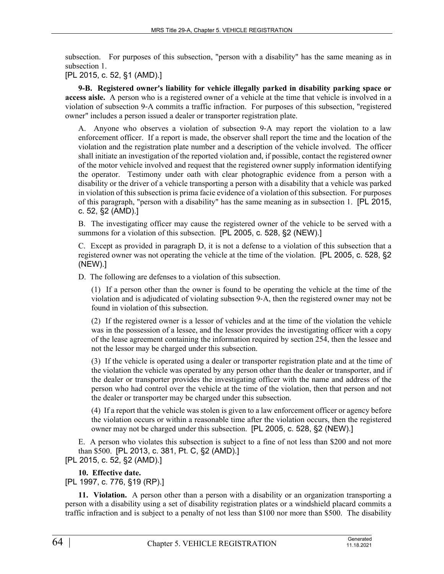subsection. For purposes of this subsection, "person with a disability" has the same meaning as in subsection 1.

[PL 2015, c. 52, §1 (AMD).]

**9-B. Registered owner's liability for vehicle illegally parked in disability parking space or access aisle.** A person who is a registered owner of a vehicle at the time that vehicle is involved in a violation of subsection 9‑A commits a traffic infraction. For purposes of this subsection, "registered owner" includes a person issued a dealer or transporter registration plate.

A. Anyone who observes a violation of subsection 9‑A may report the violation to a law enforcement officer. If a report is made, the observer shall report the time and the location of the violation and the registration plate number and a description of the vehicle involved. The officer shall initiate an investigation of the reported violation and, if possible, contact the registered owner of the motor vehicle involved and request that the registered owner supply information identifying the operator. Testimony under oath with clear photographic evidence from a person with a disability or the driver of a vehicle transporting a person with a disability that a vehicle was parked in violation of this subsection is prima facie evidence of a violation of this subsection. For purposes of this paragraph, "person with a disability" has the same meaning as in subsection 1. [PL 2015, c. 52, §2 (AMD).]

B. The investigating officer may cause the registered owner of the vehicle to be served with a summons for a violation of this subsection. [PL 2005, c. 528, §2 (NEW).]

C. Except as provided in paragraph D, it is not a defense to a violation of this subsection that a registered owner was not operating the vehicle at the time of the violation. [PL 2005, c. 528, §2 (NEW).]

D. The following are defenses to a violation of this subsection.

(1) If a person other than the owner is found to be operating the vehicle at the time of the violation and is adjudicated of violating subsection 9‑A, then the registered owner may not be found in violation of this subsection.

(2) If the registered owner is a lessor of vehicles and at the time of the violation the vehicle was in the possession of a lessee, and the lessor provides the investigating officer with a copy of the lease agreement containing the information required by section 254, then the lessee and not the lessor may be charged under this subsection.

(3) If the vehicle is operated using a dealer or transporter registration plate and at the time of the violation the vehicle was operated by any person other than the dealer or transporter, and if the dealer or transporter provides the investigating officer with the name and address of the person who had control over the vehicle at the time of the violation, then that person and not the dealer or transporter may be charged under this subsection.

(4) If a report that the vehicle was stolen is given to a law enforcement officer or agency before the violation occurs or within a reasonable time after the violation occurs, then the registered owner may not be charged under this subsection. [PL 2005, c. 528, §2 (NEW).]

E. A person who violates this subsection is subject to a fine of not less than \$200 and not more than \$500. [PL 2013, c. 381, Pt. C, §2 (AMD).]

[PL 2015, c. 52, §2 (AMD).]

# **10. Effective date.**

[PL 1997, c. 776, §19 (RP).]

**11. Violation.** A person other than a person with a disability or an organization transporting a person with a disability using a set of disability registration plates or a windshield placard commits a traffic infraction and is subject to a penalty of not less than \$100 nor more than \$500. The disability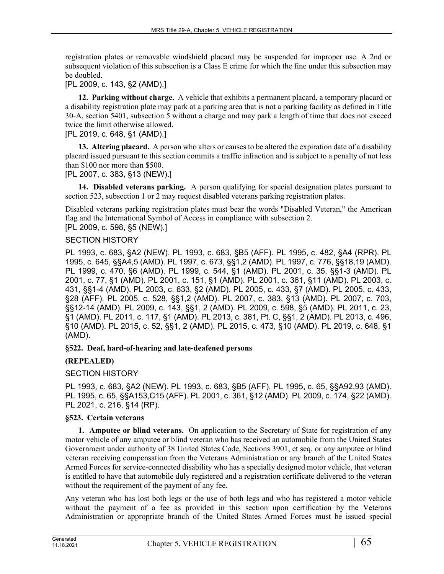registration plates or removable windshield placard may be suspended for improper use. A 2nd or subsequent violation of this subsection is a Class E crime for which the fine under this subsection may be doubled.

[PL 2009, c. 143, §2 (AMD).]

**12. Parking without charge.** A vehicle that exhibits a permanent placard, a temporary placard or a disability registration plate may park at a parking area that is not a parking facility as defined in Title 30‑A, section 5401, subsection 5 without a charge and may park a length of time that does not exceed twice the limit otherwise allowed.

[PL 2019, c. 648, §1 (AMD).]

**13. Altering placard.** A person who alters or causes to be altered the expiration date of a disability placard issued pursuant to this section commits a traffic infraction and is subject to a penalty of not less than \$100 nor more than \$500.

[PL 2007, c. 383, §13 (NEW).]

**14. Disabled veterans parking.** A person qualifying for special designation plates pursuant to section 523, subsection 1 or 2 may request disabled veterans parking registration plates.

Disabled veterans parking registration plates must bear the words "Disabled Veteran," the American flag and the International Symbol of Access in compliance with subsection 2. [PL 2009, c. 598, §5 (NEW).]

# SECTION HISTORY

PL 1993, c. 683, §A2 (NEW). PL 1993, c. 683, §B5 (AFF). PL 1995, c. 482, §A4 (RPR). PL 1995, c. 645, §§A4,5 (AMD). PL 1997, c. 673, §§1,2 (AMD). PL 1997, c. 776, §§18,19 (AMD). PL 1999, c. 470, §6 (AMD). PL 1999, c. 544, §1 (AMD). PL 2001, c. 35, §§1-3 (AMD). PL 2001, c. 77, §1 (AMD). PL 2001, c. 151, §1 (AMD). PL 2001, c. 361, §11 (AMD). PL 2003, c. 431, §§1-4 (AMD). PL 2003, c. 633, §2 (AMD). PL 2005, c. 433, §7 (AMD). PL 2005, c. 433, §28 (AFF). PL 2005, c. 528, §§1,2 (AMD). PL 2007, c. 383, §13 (AMD). PL 2007, c. 703, §§12-14 (AMD). PL 2009, c. 143, §§1, 2 (AMD). PL 2009, c. 598, §5 (AMD). PL 2011, c. 23, §1 (AMD). PL 2011, c. 117, §1 (AMD). PL 2013, c. 381, Pt. C, §§1, 2 (AMD). PL 2013, c. 496, §10 (AMD). PL 2015, c. 52, §§1, 2 (AMD). PL 2015, c. 473, §10 (AMD). PL 2019, c. 648, §1 (AMD).

# **§522. Deaf, hard-of-hearing and late-deafened persons**

# **(REPEALED)**

# SECTION HISTORY

PL 1993, c. 683, §A2 (NEW). PL 1993, c. 683, §B5 (AFF). PL 1995, c. 65, §§A92,93 (AMD). PL 1995, c. 65, §§A153,C15 (AFF). PL 2001, c. 361, §12 (AMD). PL 2009, c. 174, §22 (AMD). PL 2021, c. 216, §14 (RP).

# **§523. Certain veterans**

**1. Amputee or blind veterans.** On application to the Secretary of State for registration of any motor vehicle of any amputee or blind veteran who has received an automobile from the United States Government under authority of 38 United States Code, Sections 3901, et seq. or any amputee or blind veteran receiving compensation from the Veterans Administration or any branch of the United States Armed Forces for service-connected disability who has a specially designed motor vehicle, that veteran is entitled to have that automobile duly registered and a registration certificate delivered to the veteran without the requirement of the payment of any fee.

Any veteran who has lost both legs or the use of both legs and who has registered a motor vehicle without the payment of a fee as provided in this section upon certification by the Veterans Administration or appropriate branch of the United States Armed Forces must be issued special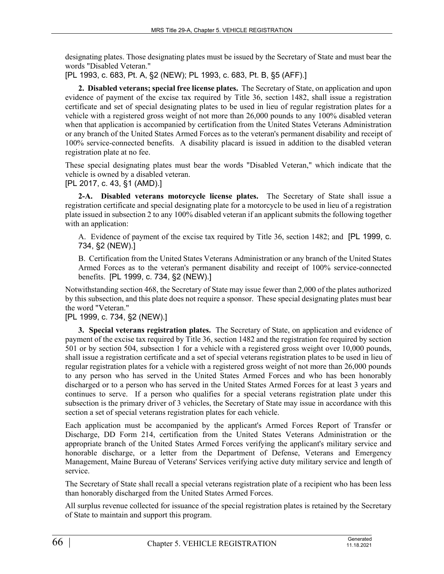designating plates. Those designating plates must be issued by the Secretary of State and must bear the words "Disabled Veteran."

[PL 1993, c. 683, Pt. A, §2 (NEW); PL 1993, c. 683, Pt. B, §5 (AFF).]

**2. Disabled veterans; special free license plates.** The Secretary of State, on application and upon evidence of payment of the excise tax required by Title 36, section 1482, shall issue a registration certificate and set of special designating plates to be used in lieu of regular registration plates for a vehicle with a registered gross weight of not more than 26,000 pounds to any 100% disabled veteran when that application is accompanied by certification from the United States Veterans Administration or any branch of the United States Armed Forces as to the veteran's permanent disability and receipt of 100% service-connected benefits. A disability placard is issued in addition to the disabled veteran registration plate at no fee.

These special designating plates must bear the words "Disabled Veteran," which indicate that the vehicle is owned by a disabled veteran.

[PL 2017, c. 43, §1 (AMD).]

**2-A. Disabled veterans motorcycle license plates.** The Secretary of State shall issue a registration certificate and special designating plate for a motorcycle to be used in lieu of a registration plate issued in subsection 2 to any 100% disabled veteran if an applicant submits the following together with an application:

A. Evidence of payment of the excise tax required by Title 36, section 1482; and [PL 1999, c. 734, §2 (NEW).]

B. Certification from the United States Veterans Administration or any branch of the United States Armed Forces as to the veteran's permanent disability and receipt of 100% service-connected benefits. [PL 1999, c. 734, §2 (NEW).]

Notwithstanding section 468, the Secretary of State may issue fewer than 2,000 of the plates authorized by this subsection, and this plate does not require a sponsor. These special designating plates must bear the word "Veteran."

[PL 1999, c. 734, §2 (NEW).]

**3. Special veterans registration plates.** The Secretary of State, on application and evidence of payment of the excise tax required by Title 36, section 1482 and the registration fee required by section 501 or by section 504, subsection 1 for a vehicle with a registered gross weight over 10,000 pounds, shall issue a registration certificate and a set of special veterans registration plates to be used in lieu of regular registration plates for a vehicle with a registered gross weight of not more than 26,000 pounds to any person who has served in the United States Armed Forces and who has been honorably discharged or to a person who has served in the United States Armed Forces for at least 3 years and continues to serve. If a person who qualifies for a special veterans registration plate under this subsection is the primary driver of 3 vehicles, the Secretary of State may issue in accordance with this section a set of special veterans registration plates for each vehicle.

Each application must be accompanied by the applicant's Armed Forces Report of Transfer or Discharge, DD Form 214, certification from the United States Veterans Administration or the appropriate branch of the United States Armed Forces verifying the applicant's military service and honorable discharge, or a letter from the Department of Defense, Veterans and Emergency Management, Maine Bureau of Veterans' Services verifying active duty military service and length of service.

The Secretary of State shall recall a special veterans registration plate of a recipient who has been less than honorably discharged from the United States Armed Forces.

All surplus revenue collected for issuance of the special registration plates is retained by the Secretary of State to maintain and support this program.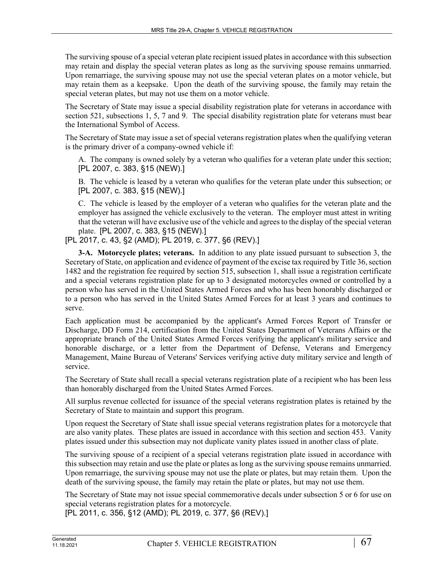The surviving spouse of a special veteran plate recipient issued plates in accordance with this subsection may retain and display the special veteran plates as long as the surviving spouse remains unmarried. Upon remarriage, the surviving spouse may not use the special veteran plates on a motor vehicle, but may retain them as a keepsake. Upon the death of the surviving spouse, the family may retain the special veteran plates, but may not use them on a motor vehicle.

The Secretary of State may issue a special disability registration plate for veterans in accordance with section 521, subsections 1, 5, 7 and 9. The special disability registration plate for veterans must bear the International Symbol of Access.

The Secretary of State may issue a set of special veterans registration plates when the qualifying veteran is the primary driver of a company-owned vehicle if:

A. The company is owned solely by a veteran who qualifies for a veteran plate under this section; [PL 2007, c. 383, §15 (NEW).]

B. The vehicle is leased by a veteran who qualifies for the veteran plate under this subsection; or [PL 2007, c. 383, §15 (NEW).]

C. The vehicle is leased by the employer of a veteran who qualifies for the veteran plate and the employer has assigned the vehicle exclusively to the veteran. The employer must attest in writing that the veteran will have exclusive use of the vehicle and agrees to the display of the special veteran plate. [PL 2007, c. 383, §15 (NEW).]

[PL 2017, c. 43, §2 (AMD); PL 2019, c. 377, §6 (REV).]

**3-A. Motorcycle plates; veterans.** In addition to any plate issued pursuant to subsection 3, the Secretary of State, on application and evidence of payment of the excise tax required by Title 36, section 1482 and the registration fee required by section 515, subsection 1, shall issue a registration certificate and a special veterans registration plate for up to 3 designated motorcycles owned or controlled by a person who has served in the United States Armed Forces and who has been honorably discharged or to a person who has served in the United States Armed Forces for at least 3 years and continues to serve.

Each application must be accompanied by the applicant's Armed Forces Report of Transfer or Discharge, DD Form 214, certification from the United States Department of Veterans Affairs or the appropriate branch of the United States Armed Forces verifying the applicant's military service and honorable discharge, or a letter from the Department of Defense, Veterans and Emergency Management, Maine Bureau of Veterans' Services verifying active duty military service and length of service.

The Secretary of State shall recall a special veterans registration plate of a recipient who has been less than honorably discharged from the United States Armed Forces.

All surplus revenue collected for issuance of the special veterans registration plates is retained by the Secretary of State to maintain and support this program.

Upon request the Secretary of State shall issue special veterans registration plates for a motorcycle that are also vanity plates. These plates are issued in accordance with this section and section 453. Vanity plates issued under this subsection may not duplicate vanity plates issued in another class of plate.

The surviving spouse of a recipient of a special veterans registration plate issued in accordance with this subsection may retain and use the plate or plates as long as the surviving spouse remains unmarried. Upon remarriage, the surviving spouse may not use the plate or plates, but may retain them. Upon the death of the surviving spouse, the family may retain the plate or plates, but may not use them.

The Secretary of State may not issue special commemorative decals under subsection 5 or 6 for use on special veterans registration plates for a motorcycle.

[PL 2011, c. 356, §12 (AMD); PL 2019, c. 377, §6 (REV).]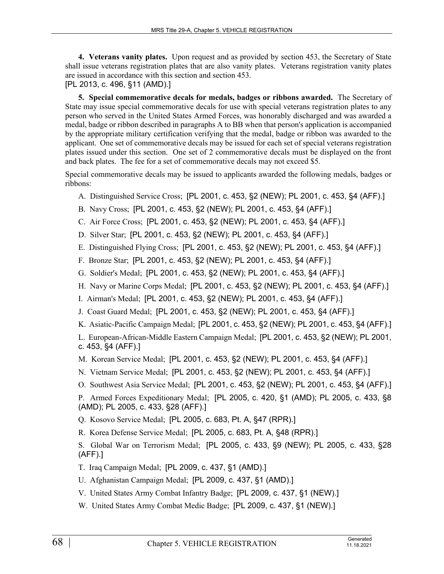**4. Veterans vanity plates.** Upon request and as provided by section 453, the Secretary of State shall issue veterans registration plates that are also vanity plates. Veterans registration vanity plates are issued in accordance with this section and section 453.

[PL 2013, c. 496, §11 (AMD).]

**5. Special commemorative decals for medals, badges or ribbons awarded.** The Secretary of State may issue special commemorative decals for use with special veterans registration plates to any person who served in the United States Armed Forces, was honorably discharged and was awarded a medal, badge or ribbon described in paragraphs A to BB when that person's application is accompanied by the appropriate military certification verifying that the medal, badge or ribbon was awarded to the applicant. One set of commemorative decals may be issued for each set of special veterans registration plates issued under this section. One set of 2 commemorative decals must be displayed on the front and back plates. The fee for a set of commemorative decals may not exceed \$5.

Special commemorative decals may be issued to applicants awarded the following medals, badges or ribbons:

- A. Distinguished Service Cross; [PL 2001, c. 453, §2 (NEW); PL 2001, c. 453, §4 (AFF).]
- B. Navy Cross; [PL 2001, c. 453, §2 (NEW); PL 2001, c. 453, §4 (AFF).]
- C. Air Force Cross; [PL 2001, c. 453, §2 (NEW); PL 2001, c. 453, §4 (AFF).]
- D. Silver Star; [PL 2001, c. 453, §2 (NEW); PL 2001, c. 453, §4 (AFF).]
- E. Distinguished Flying Cross; [PL 2001, c. 453, §2 (NEW); PL 2001, c. 453, §4 (AFF).]
- F. Bronze Star; [PL 2001, c. 453, §2 (NEW); PL 2001, c. 453, §4 (AFF).]
- G. Soldier's Medal; [PL 2001, c. 453, §2 (NEW); PL 2001, c. 453, §4 (AFF).]
- H. Navy or Marine Corps Medal; [PL 2001, c. 453, §2 (NEW); PL 2001, c. 453, §4 (AFF).]
- I. Airman's Medal; [PL 2001, c. 453, §2 (NEW); PL 2001, c. 453, §4 (AFF).]
- J. Coast Guard Medal; [PL 2001, c. 453, §2 (NEW); PL 2001, c. 453, §4 (AFF).]
- K. Asiatic-Pacific Campaign Medal; [PL 2001, c. 453, §2 (NEW); PL 2001, c. 453, §4 (AFF).]

L. European-African-Middle Eastern Campaign Medal; [PL 2001, c. 453, §2 (NEW); PL 2001, c. 453, §4 (AFF).]

- M. Korean Service Medal; [PL 2001, c. 453, §2 (NEW); PL 2001, c. 453, §4 (AFF).]
- N. Vietnam Service Medal; [PL 2001, c. 453, §2 (NEW); PL 2001, c. 453, §4 (AFF).]
- O. Southwest Asia Service Medal; [PL 2001, c. 453, §2 (NEW); PL 2001, c. 453, §4 (AFF).]

P. Armed Forces Expeditionary Medal; [PL 2005, c. 420, §1 (AMD); PL 2005, c. 433, §8 (AMD); PL 2005, c. 433, §28 (AFF).]

Q. Kosovo Service Medal; [PL 2005, c. 683, Pt. A, §47 (RPR).]

R. Korea Defense Service Medal; [PL 2005, c. 683, Pt. A, §48 (RPR).]

S. Global War on Terrorism Medal; [PL 2005, c. 433, §9 (NEW); PL 2005, c. 433, §28 (AFF).]

- T. Iraq Campaign Medal; [PL 2009, c. 437, §1 (AMD).]
- U. Afghanistan Campaign Medal; [PL 2009, c. 437, §1 (AMD).]
- V. United States Army Combat Infantry Badge; [PL 2009, c. 437, §1 (NEW).]
- W. United States Army Combat Medic Badge; [PL 2009, c. 437, §1 (NEW).]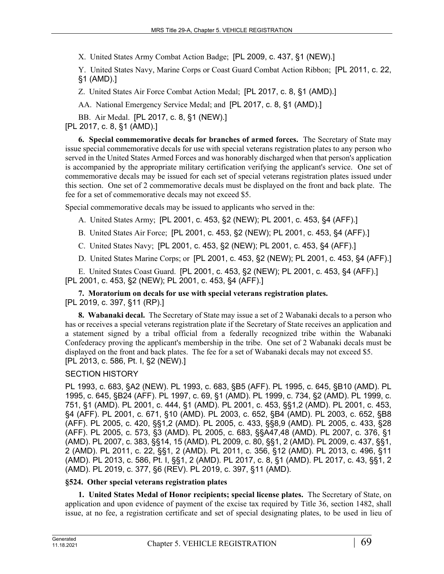X. United States Army Combat Action Badge; [PL 2009, c. 437, §1 (NEW).]

Y. United States Navy, Marine Corps or Coast Guard Combat Action Ribbon; [PL 2011, c. 22, §1 (AMD).]

Z. United States Air Force Combat Action Medal; [PL 2017, c. 8, §1 (AMD).]

AA. National Emergency Service Medal; and [PL 2017, c. 8, §1 (AMD).]

BB. Air Medal. [PL 2017, c. 8, §1 (NEW).]

[PL 2017, c. 8, §1 (AMD).]

**6. Special commemorative decals for branches of armed forces.** The Secretary of State may issue special commemorative decals for use with special veterans registration plates to any person who served in the United States Armed Forces and was honorably discharged when that person's application is accompanied by the appropriate military certification verifying the applicant's service. One set of commemorative decals may be issued for each set of special veterans registration plates issued under this section. One set of 2 commemorative decals must be displayed on the front and back plate. The fee for a set of commemorative decals may not exceed \$5.

Special commemorative decals may be issued to applicants who served in the:

- A. United States Army; [PL 2001, c. 453, §2 (NEW); PL 2001, c. 453, §4 (AFF).]
- B. United States Air Force; [PL 2001, c. 453, §2 (NEW); PL 2001, c. 453, §4 (AFF).]
- C. United States Navy; [PL 2001, c. 453, §2 (NEW); PL 2001, c. 453, §4 (AFF).]

D. United States Marine Corps; or [PL 2001, c. 453, §2 (NEW); PL 2001, c. 453, §4 (AFF).]

E. United States Coast Guard. [PL 2001, c. 453, §2 (NEW); PL 2001, c. 453, §4 (AFF).] [PL 2001, c. 453, §2 (NEW); PL 2001, c. 453, §4 (AFF).]

**7. Moratorium on decals for use with special veterans registration plates.**  [PL 2019, c. 397, §11 (RP).]

**8. Wabanaki decal.** The Secretary of State may issue a set of 2 Wabanaki decals to a person who has or receives a special veterans registration plate if the Secretary of State receives an application and a statement signed by a tribal official from a federally recognized tribe within the Wabanaki Confederacy proving the applicant's membership in the tribe. One set of 2 Wabanaki decals must be displayed on the front and back plates. The fee for a set of Wabanaki decals may not exceed \$5. [PL 2013, c. 586, Pt. I, §2 (NEW).]

# SECTION HISTORY

PL 1993, c. 683, §A2 (NEW). PL 1993, c. 683, §B5 (AFF). PL 1995, c. 645, §B10 (AMD). PL 1995, c. 645, §B24 (AFF). PL 1997, c. 69, §1 (AMD). PL 1999, c. 734, §2 (AMD). PL 1999, c. 751, §1 (AMD). PL 2001, c. 444, §1 (AMD). PL 2001, c. 453, §§1,2 (AMD). PL 2001, c. 453, §4 (AFF). PL 2001, c. 671, §10 (AMD). PL 2003, c. 652, §B4 (AMD). PL 2003, c. 652, §B8 (AFF). PL 2005, c. 420, §§1,2 (AMD). PL 2005, c. 433, §§8,9 (AMD). PL 2005, c. 433, §28 (AFF). PL 2005, c. 573, §3 (AMD). PL 2005, c. 683, §§A47,48 (AMD). PL 2007, c. 376, §1 (AMD). PL 2007, c. 383, §§14, 15 (AMD). PL 2009, c. 80, §§1, 2 (AMD). PL 2009, c. 437, §§1, 2 (AMD). PL 2011, c. 22, §§1, 2 (AMD). PL 2011, c. 356, §12 (AMD). PL 2013, c. 496, §11 (AMD). PL 2013, c. 586, Pt. I, §§1, 2 (AMD). PL 2017, c. 8, §1 (AMD). PL 2017, c. 43, §§1, 2 (AMD). PL 2019, c. 377, §6 (REV). PL 2019, c. 397, §11 (AMD).

# **§524. Other special veterans registration plates**

**1. United States Medal of Honor recipients; special license plates.** The Secretary of State, on application and upon evidence of payment of the excise tax required by Title 36, section 1482, shall issue, at no fee, a registration certificate and set of special designating plates, to be used in lieu of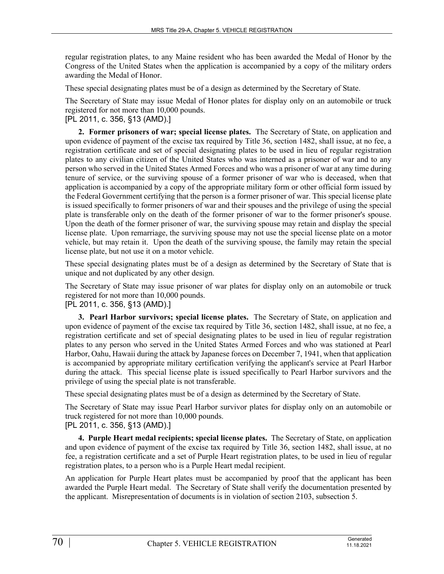regular registration plates, to any Maine resident who has been awarded the Medal of Honor by the Congress of the United States when the application is accompanied by a copy of the military orders awarding the Medal of Honor.

These special designating plates must be of a design as determined by the Secretary of State.

The Secretary of State may issue Medal of Honor plates for display only on an automobile or truck registered for not more than 10,000 pounds.

# [PL 2011, c. 356, §13 (AMD).]

**2. Former prisoners of war; special license plates.** The Secretary of State, on application and upon evidence of payment of the excise tax required by Title 36, section 1482, shall issue, at no fee, a registration certificate and set of special designating plates to be used in lieu of regular registration plates to any civilian citizen of the United States who was interned as a prisoner of war and to any person who served in the United States Armed Forces and who was a prisoner of war at any time during tenure of service, or the surviving spouse of a former prisoner of war who is deceased, when that application is accompanied by a copy of the appropriate military form or other official form issued by the Federal Government certifying that the person is a former prisoner of war. This special license plate is issued specifically to former prisoners of war and their spouses and the privilege of using the special plate is transferable only on the death of the former prisoner of war to the former prisoner's spouse. Upon the death of the former prisoner of war, the surviving spouse may retain and display the special license plate. Upon remarriage, the surviving spouse may not use the special license plate on a motor vehicle, but may retain it. Upon the death of the surviving spouse, the family may retain the special license plate, but not use it on a motor vehicle.

These special designating plates must be of a design as determined by the Secretary of State that is unique and not duplicated by any other design.

The Secretary of State may issue prisoner of war plates for display only on an automobile or truck registered for not more than 10,000 pounds.

# [PL 2011, c. 356, §13 (AMD).]

**3. Pearl Harbor survivors; special license plates.** The Secretary of State, on application and upon evidence of payment of the excise tax required by Title 36, section 1482, shall issue, at no fee, a registration certificate and set of special designating plates to be used in lieu of regular registration plates to any person who served in the United States Armed Forces and who was stationed at Pearl Harbor, Oahu, Hawaii during the attack by Japanese forces on December 7, 1941, when that application is accompanied by appropriate military certification verifying the applicant's service at Pearl Harbor during the attack. This special license plate is issued specifically to Pearl Harbor survivors and the privilege of using the special plate is not transferable.

These special designating plates must be of a design as determined by the Secretary of State.

The Secretary of State may issue Pearl Harbor survivor plates for display only on an automobile or truck registered for not more than 10,000 pounds.

# [PL 2011, c. 356, §13 (AMD).]

**4. Purple Heart medal recipients; special license plates.** The Secretary of State, on application and upon evidence of payment of the excise tax required by Title 36, section 1482, shall issue, at no fee, a registration certificate and a set of Purple Heart registration plates, to be used in lieu of regular registration plates, to a person who is a Purple Heart medal recipient.

An application for Purple Heart plates must be accompanied by proof that the applicant has been awarded the Purple Heart medal. The Secretary of State shall verify the documentation presented by the applicant. Misrepresentation of documents is in violation of section 2103, subsection 5.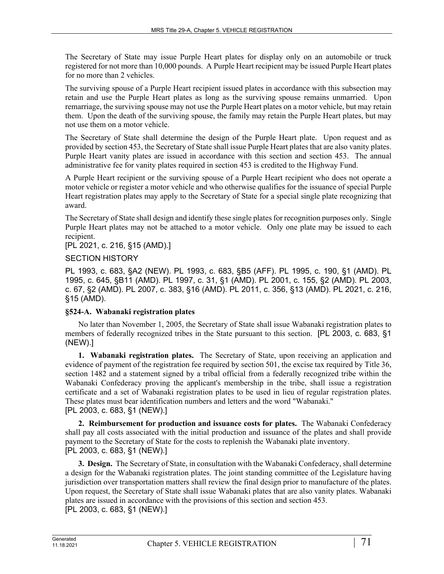The Secretary of State may issue Purple Heart plates for display only on an automobile or truck registered for not more than 10,000 pounds. A Purple Heart recipient may be issued Purple Heart plates for no more than 2 vehicles.

The surviving spouse of a Purple Heart recipient issued plates in accordance with this subsection may retain and use the Purple Heart plates as long as the surviving spouse remains unmarried. Upon remarriage, the surviving spouse may not use the Purple Heart plates on a motor vehicle, but may retain them. Upon the death of the surviving spouse, the family may retain the Purple Heart plates, but may not use them on a motor vehicle.

The Secretary of State shall determine the design of the Purple Heart plate. Upon request and as provided by section 453, the Secretary of State shall issue Purple Heart plates that are also vanity plates. Purple Heart vanity plates are issued in accordance with this section and section 453. The annual administrative fee for vanity plates required in section 453 is credited to the Highway Fund.

A Purple Heart recipient or the surviving spouse of a Purple Heart recipient who does not operate a motor vehicle or register a motor vehicle and who otherwise qualifies for the issuance of special Purple Heart registration plates may apply to the Secretary of State for a special single plate recognizing that award.

The Secretary of State shall design and identify these single plates for recognition purposes only. Single Purple Heart plates may not be attached to a motor vehicle. Only one plate may be issued to each recipient.

[PL 2021, c. 216, §15 (AMD).]

### SECTION HISTORY

PL 1993, c. 683, §A2 (NEW). PL 1993, c. 683, §B5 (AFF). PL 1995, c. 190, §1 (AMD). PL 1995, c. 645, §B11 (AMD). PL 1997, c. 31, §1 (AMD). PL 2001, c. 155, §2 (AMD). PL 2003, c. 67, §2 (AMD). PL 2007, c. 383, §16 (AMD). PL 2011, c. 356, §13 (AMD). PL 2021, c. 216, §15 (AMD).

# **§524-A. Wabanaki registration plates**

No later than November 1, 2005, the Secretary of State shall issue Wabanaki registration plates to members of federally recognized tribes in the State pursuant to this section. [PL 2003, c. 683, §1 (NEW).]

**1. Wabanaki registration plates.** The Secretary of State, upon receiving an application and evidence of payment of the registration fee required by section 501, the excise tax required by Title 36, section 1482 and a statement signed by a tribal official from a federally recognized tribe within the Wabanaki Confederacy proving the applicant's membership in the tribe, shall issue a registration certificate and a set of Wabanaki registration plates to be used in lieu of regular registration plates. These plates must bear identification numbers and letters and the word "Wabanaki." [PL 2003, c. 683, §1 (NEW).]

**2. Reimbursement for production and issuance costs for plates.** The Wabanaki Confederacy shall pay all costs associated with the initial production and issuance of the plates and shall provide payment to the Secretary of State for the costs to replenish the Wabanaki plate inventory. [PL 2003, c. 683, §1 (NEW).]

**3. Design.** The Secretary of State, in consultation with the Wabanaki Confederacy, shall determine a design for the Wabanaki registration plates. The joint standing committee of the Legislature having jurisdiction over transportation matters shall review the final design prior to manufacture of the plates. Upon request, the Secretary of State shall issue Wabanaki plates that are also vanity plates. Wabanaki plates are issued in accordance with the provisions of this section and section 453. [PL 2003, c. 683, §1 (NEW).]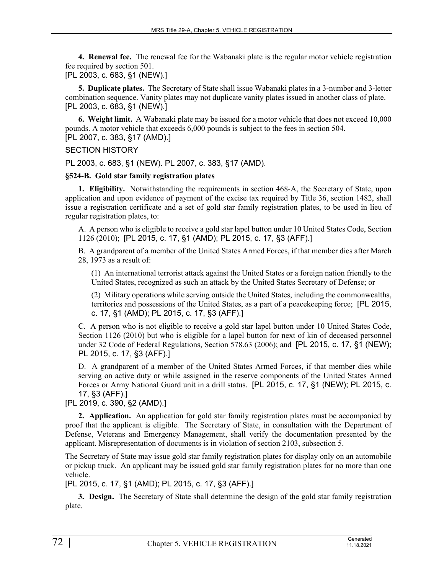**4. Renewal fee.** The renewal fee for the Wabanaki plate is the regular motor vehicle registration fee required by section 501.

[PL 2003, c. 683, §1 (NEW).]

**5. Duplicate plates.** The Secretary of State shall issue Wabanaki plates in a 3-number and 3-letter combination sequence. Vanity plates may not duplicate vanity plates issued in another class of plate. [PL 2003, c. 683, §1 (NEW).]

**6. Weight limit.** A Wabanaki plate may be issued for a motor vehicle that does not exceed 10,000 pounds. A motor vehicle that exceeds 6,000 pounds is subject to the fees in section 504. [PL 2007, c. 383, §17 (AMD).]

### SECTION HISTORY

PL 2003, c. 683, §1 (NEW). PL 2007, c. 383, §17 (AMD).

### **§524-B. Gold star family registration plates**

**1. Eligibility.** Notwithstanding the requirements in section 468‑A, the Secretary of State, upon application and upon evidence of payment of the excise tax required by Title 36, section 1482, shall issue a registration certificate and a set of gold star family registration plates, to be used in lieu of regular registration plates, to:

A. A person who is eligible to receive a gold star lapel button under 10 United States Code, Section 1126 (2010); [PL 2015, c. 17, §1 (AMD); PL 2015, c. 17, §3 (AFF).]

B. A grandparent of a member of the United States Armed Forces, if that member dies after March 28, 1973 as a result of:

(1) An international terrorist attack against the United States or a foreign nation friendly to the United States, recognized as such an attack by the United States Secretary of Defense; or

(2) Military operations while serving outside the United States, including the commonwealths, territories and possessions of the United States, as a part of a peacekeeping force; [PL 2015, c. 17, §1 (AMD); PL 2015, c. 17, §3 (AFF).]

C. A person who is not eligible to receive a gold star lapel button under 10 United States Code, Section 1126 (2010) but who is eligible for a lapel button for next of kin of deceased personnel under 32 Code of Federal Regulations, Section 578.63 (2006); and [PL 2015, c. 17, §1 (NEW); PL 2015, c. 17, §3 (AFF).]

D. A grandparent of a member of the United States Armed Forces, if that member dies while serving on active duty or while assigned in the reserve components of the United States Armed Forces or Army National Guard unit in a drill status. [PL 2015, c. 17, §1 (NEW); PL 2015, c. 17, §3 (AFF).]

[PL 2019, c. 390, §2 (AMD).]

**2. Application.** An application for gold star family registration plates must be accompanied by proof that the applicant is eligible. The Secretary of State, in consultation with the Department of Defense, Veterans and Emergency Management, shall verify the documentation presented by the applicant. Misrepresentation of documents is in violation of section 2103, subsection 5.

The Secretary of State may issue gold star family registration plates for display only on an automobile or pickup truck. An applicant may be issued gold star family registration plates for no more than one vehicle.

[PL 2015, c. 17, §1 (AMD); PL 2015, c. 17, §3 (AFF).]

**3. Design.** The Secretary of State shall determine the design of the gold star family registration plate.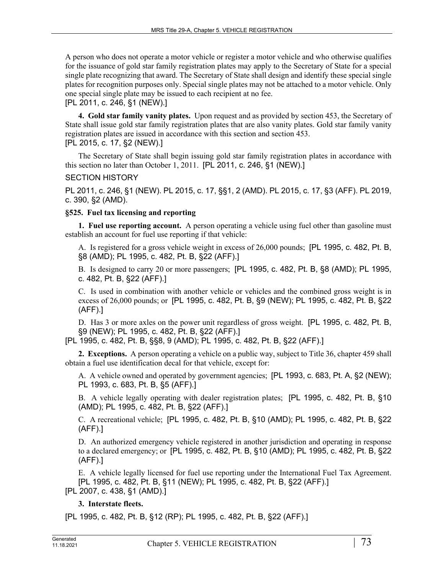A person who does not operate a motor vehicle or register a motor vehicle and who otherwise qualifies for the issuance of gold star family registration plates may apply to the Secretary of State for a special single plate recognizing that award. The Secretary of State shall design and identify these special single plates for recognition purposes only. Special single plates may not be attached to a motor vehicle. Only one special single plate may be issued to each recipient at no fee.

[PL 2011, c. 246, §1 (NEW).]

**4. Gold star family vanity plates.** Upon request and as provided by section 453, the Secretary of State shall issue gold star family registration plates that are also vanity plates. Gold star family vanity registration plates are issued in accordance with this section and section 453.

# [PL 2015, c. 17, §2 (NEW).]

The Secretary of State shall begin issuing gold star family registration plates in accordance with this section no later than October 1, 2011. [PL 2011, c. 246, §1 (NEW).]

# SECTION HISTORY

PL 2011, c. 246, §1 (NEW). PL 2015, c. 17, §§1, 2 (AMD). PL 2015, c. 17, §3 (AFF). PL 2019, c. 390, §2 (AMD).

### **§525. Fuel tax licensing and reporting**

**1. Fuel use reporting account.** A person operating a vehicle using fuel other than gasoline must establish an account for fuel use reporting if that vehicle:

A. Is registered for a gross vehicle weight in excess of 26,000 pounds; [PL 1995, c. 482, Pt. B, §8 (AMD); PL 1995, c. 482, Pt. B, §22 (AFF).]

B. Is designed to carry 20 or more passengers; [PL 1995, c. 482, Pt. B, §8 (AMD); PL 1995, c. 482, Pt. B, §22 (AFF).]

C. Is used in combination with another vehicle or vehicles and the combined gross weight is in excess of 26,000 pounds; or [PL 1995, c. 482, Pt. B, §9 (NEW); PL 1995, c. 482, Pt. B, §22 (AFF).]

D. Has 3 or more axles on the power unit regardless of gross weight. [PL 1995, c. 482, Pt. B, §9 (NEW); PL 1995, c. 482, Pt. B, §22 (AFF).]

[PL 1995, c. 482, Pt. B, §§8, 9 (AMD); PL 1995, c. 482, Pt. B, §22 (AFF).]

**2. Exceptions.** A person operating a vehicle on a public way, subject to Title 36, chapter 459 shall obtain a fuel use identification decal for that vehicle, except for:

A. A vehicle owned and operated by government agencies; [PL 1993, c. 683, Pt. A, §2 (NEW); PL 1993, c. 683, Pt. B, §5 (AFF).]

B. A vehicle legally operating with dealer registration plates; [PL 1995, c. 482, Pt. B, §10 (AMD); PL 1995, c. 482, Pt. B, §22 (AFF).]

C. A recreational vehicle; [PL 1995, c. 482, Pt. B, §10 (AMD); PL 1995, c. 482, Pt. B, §22 (AFF).]

D. An authorized emergency vehicle registered in another jurisdiction and operating in response to a declared emergency; or [PL 1995, c. 482, Pt. B, §10 (AMD); PL 1995, c. 482, Pt. B, §22 (AFF).]

E. A vehicle legally licensed for fuel use reporting under the International Fuel Tax Agreement. [PL 1995, c. 482, Pt. B, §11 (NEW); PL 1995, c. 482, Pt. B, §22 (AFF).] [PL 2007, c. 438, §1 (AMD).]

# **3. Interstate fleets.**

[PL 1995, c. 482, Pt. B, §12 (RP); PL 1995, c. 482, Pt. B, §22 (AFF).]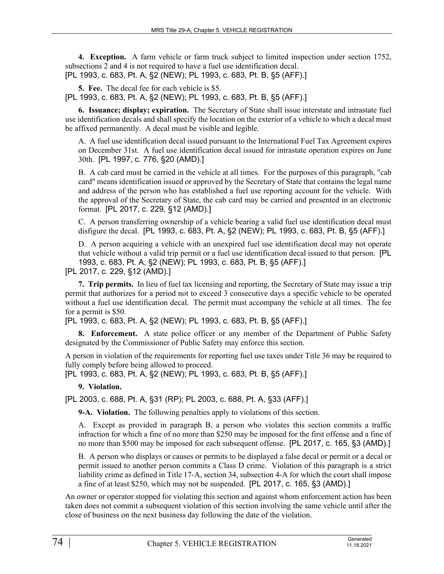**4. Exception.** A farm vehicle or farm truck subject to limited inspection under section 1752, subsections 2 and 4 is not required to have a fuel use identification decal. [PL 1993, c. 683, Pt. A, §2 (NEW); PL 1993, c. 683, Pt. B, §5 (AFF).]

**5. Fee.** The decal fee for each vehicle is \$5. [PL 1993, c. 683, Pt. A, §2 (NEW); PL 1993, c. 683, Pt. B, §5 (AFF).]

**6. Issuance; display; expiration.** The Secretary of State shall issue interstate and intrastate fuel use identification decals and shall specify the location on the exterior of a vehicle to which a decal must be affixed permanently. A decal must be visible and legible.

A. A fuel use identification decal issued pursuant to the International Fuel Tax Agreement expires on December 31st. A fuel use identification decal issued for intrastate operation expires on June 30th. [PL 1997, c. 776, §20 (AMD).]

B. A cab card must be carried in the vehicle at all times. For the purposes of this paragraph, "cab card" means identification issued or approved by the Secretary of State that contains the legal name and address of the person who has established a fuel use reporting account for the vehicle. With the approval of the Secretary of State, the cab card may be carried and presented in an electronic format. [PL 2017, c. 229, §12 (AMD).]

C. A person transferring ownership of a vehicle bearing a valid fuel use identification decal must disfigure the decal. [PL 1993, c. 683, Pt. A, §2 (NEW); PL 1993, c. 683, Pt. B, §5 (AFF).]

D. A person acquiring a vehicle with an unexpired fuel use identification decal may not operate that vehicle without a valid trip permit or a fuel use identification decal issued to that person. [PL 1993, c. 683, Pt. A, §2 (NEW); PL 1993, c. 683, Pt. B, §5 (AFF).]

[PL 2017, c. 229, §12 (AMD).]

**7. Trip permits.** In lieu of fuel tax licensing and reporting, the Secretary of State may issue a trip permit that authorizes for a period not to exceed 3 consecutive days a specific vehicle to be operated without a fuel use identification decal. The permit must accompany the vehicle at all times. The fee for a permit is \$50.

[PL 1993, c. 683, Pt. A, §2 (NEW); PL 1993, c. 683, Pt. B, §5 (AFF).]

**8. Enforcement.** A state police officer or any member of the Department of Public Safety designated by the Commissioner of Public Safety may enforce this section.

A person in violation of the requirements for reporting fuel use taxes under Title 36 may be required to fully comply before being allowed to proceed.

[PL 1993, c. 683, Pt. A, §2 (NEW); PL 1993, c. 683, Pt. B, §5 (AFF).]

# **9. Violation.**

[PL 2003, c. 688, Pt. A, §31 (RP); PL 2003, c. 688, Pt. A, §33 (AFF).]

**9-A. Violation.** The following penalties apply to violations of this section.

A. Except as provided in paragraph B, a person who violates this section commits a traffic infraction for which a fine of no more than \$250 may be imposed for the first offense and a fine of no more than \$500 may be imposed for each subsequent offense. [PL 2017, c. 165, §3 (AMD).]

B. A person who displays or causes or permits to be displayed a false decal or permit or a decal or permit issued to another person commits a Class D crime. Violation of this paragraph is a strict liability crime as defined in Title 17‑A, section 34, subsection 4-A for which the court shall impose a fine of at least \$250, which may not be suspended. [PL 2017, c. 165, §3 (AMD).]

An owner or operator stopped for violating this section and against whom enforcement action has been taken does not commit a subsequent violation of this section involving the same vehicle until after the close of business on the next business day following the date of the violation.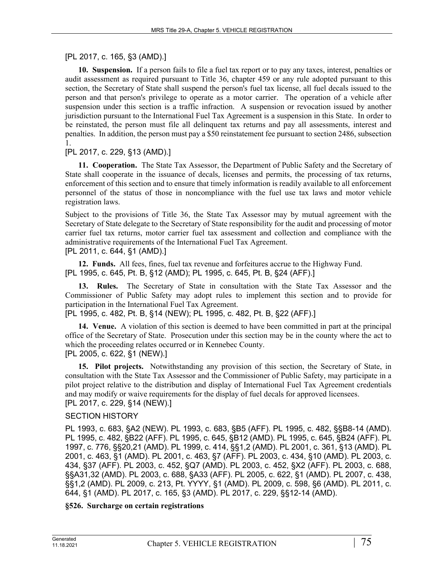# [PL 2017, c. 165, §3 (AMD).]

**10. Suspension.** If a person fails to file a fuel tax report or to pay any taxes, interest, penalties or audit assessment as required pursuant to Title 36, chapter 459 or any rule adopted pursuant to this section, the Secretary of State shall suspend the person's fuel tax license, all fuel decals issued to the person and that person's privilege to operate as a motor carrier. The operation of a vehicle after suspension under this section is a traffic infraction. A suspension or revocation issued by another jurisdiction pursuant to the International Fuel Tax Agreement is a suspension in this State. In order to be reinstated, the person must file all delinquent tax returns and pay all assessments, interest and penalties. In addition, the person must pay a \$50 reinstatement fee pursuant to section 2486, subsection 1.

# [PL 2017, c. 229, §13 (AMD).]

**11. Cooperation.** The State Tax Assessor, the Department of Public Safety and the Secretary of State shall cooperate in the issuance of decals, licenses and permits, the processing of tax returns, enforcement of this section and to ensure that timely information is readily available to all enforcement personnel of the status of those in noncompliance with the fuel use tax laws and motor vehicle registration laws.

Subject to the provisions of Title 36, the State Tax Assessor may by mutual agreement with the Secretary of State delegate to the Secretary of State responsibility for the audit and processing of motor carrier fuel tax returns, motor carrier fuel tax assessment and collection and compliance with the administrative requirements of the International Fuel Tax Agreement.

[PL 2011, c. 644, §1 (AMD).]

**12. Funds.** All fees, fines, fuel tax revenue and forfeitures accrue to the Highway Fund. [PL 1995, c. 645, Pt. B, §12 (AMD); PL 1995, c. 645, Pt. B, §24 (AFF).]

**13. Rules.** The Secretary of State in consultation with the State Tax Assessor and the Commissioner of Public Safety may adopt rules to implement this section and to provide for participation in the International Fuel Tax Agreement.

[PL 1995, c. 482, Pt. B, §14 (NEW); PL 1995, c. 482, Pt. B, §22 (AFF).]

**14. Venue.** A violation of this section is deemed to have been committed in part at the principal office of the Secretary of State. Prosecution under this section may be in the county where the act to which the proceeding relates occurred or in Kennebec County. [PL 2005, c. 622, §1 (NEW).]

**15. Pilot projects.** Notwithstanding any provision of this section, the Secretary of State, in consultation with the State Tax Assessor and the Commissioner of Public Safety, may participate in a pilot project relative to the distribution and display of International Fuel Tax Agreement credentials and may modify or waive requirements for the display of fuel decals for approved licensees. [PL 2017, c. 229, §14 (NEW).]

# SECTION HISTORY

PL 1993, c. 683, §A2 (NEW). PL 1993, c. 683, §B5 (AFF). PL 1995, c. 482, §§B8-14 (AMD). PL 1995, c. 482, §B22 (AFF). PL 1995, c. 645, §B12 (AMD). PL 1995, c. 645, §B24 (AFF). PL 1997, c. 776, §§20,21 (AMD). PL 1999, c. 414, §§1,2 (AMD). PL 2001, c. 361, §13 (AMD). PL 2001, c. 463, §1 (AMD). PL 2001, c. 463, §7 (AFF). PL 2003, c. 434, §10 (AMD). PL 2003, c. 434, §37 (AFF). PL 2003, c. 452, §Q7 (AMD). PL 2003, c. 452, §X2 (AFF). PL 2003, c. 688, §§A31,32 (AMD). PL 2003, c. 688, §A33 (AFF). PL 2005, c. 622, §1 (AMD). PL 2007, c. 438, §§1,2 (AMD). PL 2009, c. 213, Pt. YYYY, §1 (AMD). PL 2009, c. 598, §6 (AMD). PL 2011, c. 644, §1 (AMD). PL 2017, c. 165, §3 (AMD). PL 2017, c. 229, §§12-14 (AMD).

#### **§526. Surcharge on certain registrations**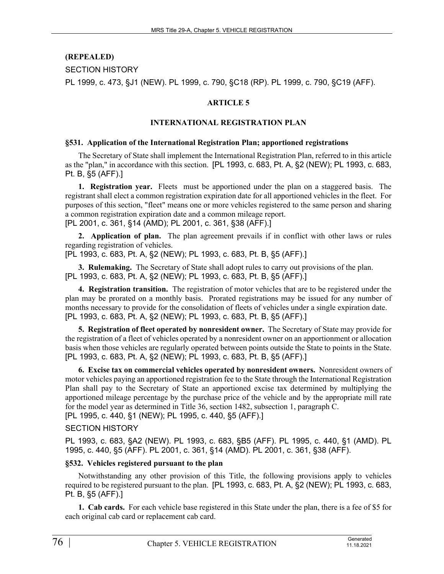# **(REPEALED)**

SECTION HISTORY

PL 1999, c. 473, §J1 (NEW). PL 1999, c. 790, §C18 (RP). PL 1999, c. 790, §C19 (AFF).

#### **ARTICLE 5**

#### **INTERNATIONAL REGISTRATION PLAN**

#### **§531. Application of the International Registration Plan; apportioned registrations**

The Secretary of State shall implement the International Registration Plan, referred to in this article as the "plan," in accordance with this section. [PL 1993, c. 683, Pt. A, §2 (NEW); PL 1993, c. 683, Pt. B, §5 (AFF).]

**1. Registration year.** Fleets must be apportioned under the plan on a staggered basis. The registrant shall elect a common registration expiration date for all apportioned vehicles in the fleet. For purposes of this section, "fleet" means one or more vehicles registered to the same person and sharing a common registration expiration date and a common mileage report. [PL 2001, c. 361, §14 (AMD); PL 2001, c. 361, §38 (AFF).]

**2. Application of plan.** The plan agreement prevails if in conflict with other laws or rules regarding registration of vehicles.

[PL 1993, c. 683, Pt. A, §2 (NEW); PL 1993, c. 683, Pt. B, §5 (AFF).]

**3. Rulemaking.** The Secretary of State shall adopt rules to carry out provisions of the plan. [PL 1993, c. 683, Pt. A, §2 (NEW); PL 1993, c. 683, Pt. B, §5 (AFF).]

**4. Registration transition.** The registration of motor vehicles that are to be registered under the plan may be prorated on a monthly basis. Prorated registrations may be issued for any number of months necessary to provide for the consolidation of fleets of vehicles under a single expiration date. [PL 1993, c. 683, Pt. A, §2 (NEW); PL 1993, c. 683, Pt. B, §5 (AFF).]

**5. Registration of fleet operated by nonresident owner.** The Secretary of State may provide for the registration of a fleet of vehicles operated by a nonresident owner on an apportionment or allocation basis when those vehicles are regularly operated between points outside the State to points in the State. [PL 1993, c. 683, Pt. A, §2 (NEW); PL 1993, c. 683, Pt. B, §5 (AFF).]

**6. Excise tax on commercial vehicles operated by nonresident owners.** Nonresident owners of motor vehicles paying an apportioned registration fee to the State through the International Registration Plan shall pay to the Secretary of State an apportioned excise tax determined by multiplying the apportioned mileage percentage by the purchase price of the vehicle and by the appropriate mill rate for the model year as determined in Title 36, section 1482, subsection 1, paragraph C.

[PL 1995, c. 440, §1 (NEW); PL 1995, c. 440, §5 (AFF).]

SECTION HISTORY

PL 1993, c. 683, §A2 (NEW). PL 1993, c. 683, §B5 (AFF). PL 1995, c. 440, §1 (AMD). PL 1995, c. 440, §5 (AFF). PL 2001, c. 361, §14 (AMD). PL 2001, c. 361, §38 (AFF).

#### **§532. Vehicles registered pursuant to the plan**

Notwithstanding any other provision of this Title, the following provisions apply to vehicles required to be registered pursuant to the plan. [PL 1993, c. 683, Pt. A, §2 (NEW); PL 1993, c. 683, Pt. B, §5 (AFF).]

**1. Cab cards.** For each vehicle base registered in this State under the plan, there is a fee of \$5 for each original cab card or replacement cab card.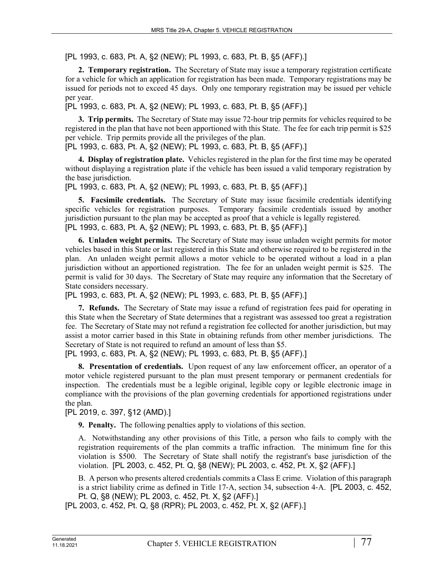[PL 1993, c. 683, Pt. A, §2 (NEW); PL 1993, c. 683, Pt. B, §5 (AFF).]

**2. Temporary registration.** The Secretary of State may issue a temporary registration certificate for a vehicle for which an application for registration has been made. Temporary registrations may be issued for periods not to exceed 45 days. Only one temporary registration may be issued per vehicle per year.

[PL 1993, c. 683, Pt. A, §2 (NEW); PL 1993, c. 683, Pt. B, §5 (AFF).]

**3. Trip permits.** The Secretary of State may issue 72-hour trip permits for vehicles required to be registered in the plan that have not been apportioned with this State. The fee for each trip permit is \$25 per vehicle. Trip permits provide all the privileges of the plan.

[PL 1993, c. 683, Pt. A, §2 (NEW); PL 1993, c. 683, Pt. B, §5 (AFF).]

**4. Display of registration plate.** Vehicles registered in the plan for the first time may be operated without displaying a registration plate if the vehicle has been issued a valid temporary registration by the base jurisdiction.

[PL 1993, c. 683, Pt. A, §2 (NEW); PL 1993, c. 683, Pt. B, §5 (AFF).]

**5. Facsimile credentials.** The Secretary of State may issue facsimile credentials identifying specific vehicles for registration purposes. Temporary facsimile credentials issued by another jurisdiction pursuant to the plan may be accepted as proof that a vehicle is legally registered. [PL 1993, c. 683, Pt. A, §2 (NEW); PL 1993, c. 683, Pt. B, §5 (AFF).]

**6. Unladen weight permits.** The Secretary of State may issue unladen weight permits for motor vehicles based in this State or last registered in this State and otherwise required to be registered in the plan. An unladen weight permit allows a motor vehicle to be operated without a load in a plan jurisdiction without an apportioned registration. The fee for an unladen weight permit is \$25. The permit is valid for 30 days. The Secretary of State may require any information that the Secretary of State considers necessary.

[PL 1993, c. 683, Pt. A, §2 (NEW); PL 1993, c. 683, Pt. B, §5 (AFF).]

**7. Refunds.** The Secretary of State may issue a refund of registration fees paid for operating in this State when the Secretary of State determines that a registrant was assessed too great a registration fee. The Secretary of State may not refund a registration fee collected for another jurisdiction, but may assist a motor carrier based in this State in obtaining refunds from other member jurisdictions. The Secretary of State is not required to refund an amount of less than \$5.

[PL 1993, c. 683, Pt. A, §2 (NEW); PL 1993, c. 683, Pt. B, §5 (AFF).]

**8. Presentation of credentials.** Upon request of any law enforcement officer, an operator of a motor vehicle registered pursuant to the plan must present temporary or permanent credentials for inspection. The credentials must be a legible original, legible copy or legible electronic image in compliance with the provisions of the plan governing credentials for apportioned registrations under the plan.

[PL 2019, c. 397, §12 (AMD).]

**9. Penalty.** The following penalties apply to violations of this section.

A. Notwithstanding any other provisions of this Title, a person who fails to comply with the registration requirements of the plan commits a traffic infraction. The minimum fine for this violation is \$500. The Secretary of State shall notify the registrant's base jurisdiction of the violation. [PL 2003, c. 452, Pt. Q, §8 (NEW); PL 2003, c. 452, Pt. X, §2 (AFF).]

B. A person who presents altered credentials commits a Class E crime. Violation of this paragraph is a strict liability crime as defined in Title 17‑A, section 34, subsection 4‑A. [PL 2003, c. 452, Pt. Q, §8 (NEW); PL 2003, c. 452, Pt. X, §2 (AFF).]

[PL 2003, c. 452, Pt. Q, §8 (RPR); PL 2003, c. 452, Pt. X, §2 (AFF).]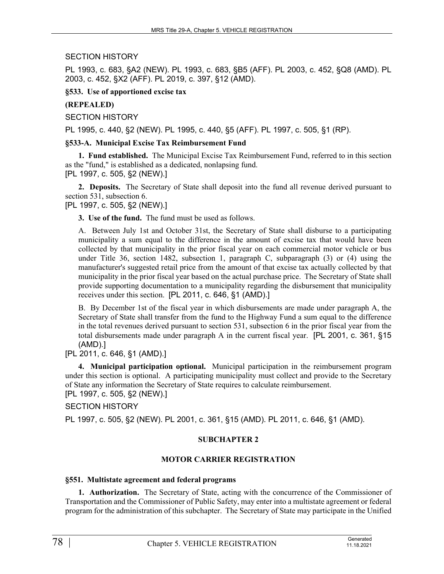# SECTION HISTORY

PL 1993, c. 683, §A2 (NEW). PL 1993, c. 683, §B5 (AFF). PL 2003, c. 452, §Q8 (AMD). PL 2003, c. 452, §X2 (AFF). PL 2019, c. 397, §12 (AMD).

**§533. Use of apportioned excise tax**

### **(REPEALED)**

SECTION HISTORY

PL 1995, c. 440, §2 (NEW). PL 1995, c. 440, §5 (AFF). PL 1997, c. 505, §1 (RP).

### **§533-A. Municipal Excise Tax Reimbursement Fund**

**1. Fund established.** The Municipal Excise Tax Reimbursement Fund, referred to in this section as the "fund," is established as a dedicated, nonlapsing fund. [PL 1997, c. 505, §2 (NEW).]

**2. Deposits.** The Secretary of State shall deposit into the fund all revenue derived pursuant to section 531, subsection 6.

[PL 1997, c. 505, §2 (NEW).]

**3. Use of the fund.** The fund must be used as follows.

A. Between July 1st and October 31st, the Secretary of State shall disburse to a participating municipality a sum equal to the difference in the amount of excise tax that would have been collected by that municipality in the prior fiscal year on each commercial motor vehicle or bus under Title 36, section 1482, subsection 1, paragraph C, subparagraph (3) or (4) using the manufacturer's suggested retail price from the amount of that excise tax actually collected by that municipality in the prior fiscal year based on the actual purchase price. The Secretary of State shall provide supporting documentation to a municipality regarding the disbursement that municipality receives under this section. [PL 2011, c. 646, §1 (AMD).]

B. By December 1st of the fiscal year in which disbursements are made under paragraph A, the Secretary of State shall transfer from the fund to the Highway Fund a sum equal to the difference in the total revenues derived pursuant to section 531, subsection 6 in the prior fiscal year from the total disbursements made under paragraph A in the current fiscal year. [PL 2001, c. 361, §15 (AMD).]

[PL 2011, c. 646, §1 (AMD).]

**4. Municipal participation optional.** Municipal participation in the reimbursement program under this section is optional. A participating municipality must collect and provide to the Secretary of State any information the Secretary of State requires to calculate reimbursement. [PL 1997, c. 505, §2 (NEW).]

SECTION HISTORY

PL 1997, c. 505, §2 (NEW). PL 2001, c. 361, §15 (AMD). PL 2011, c. 646, §1 (AMD).

# **SUBCHAPTER 2**

# **MOTOR CARRIER REGISTRATION**

#### **§551. Multistate agreement and federal programs**

**1. Authorization.** The Secretary of State, acting with the concurrence of the Commissioner of Transportation and the Commissioner of Public Safety, may enter into a multistate agreement or federal program for the administration of this subchapter. The Secretary of State may participate in the Unified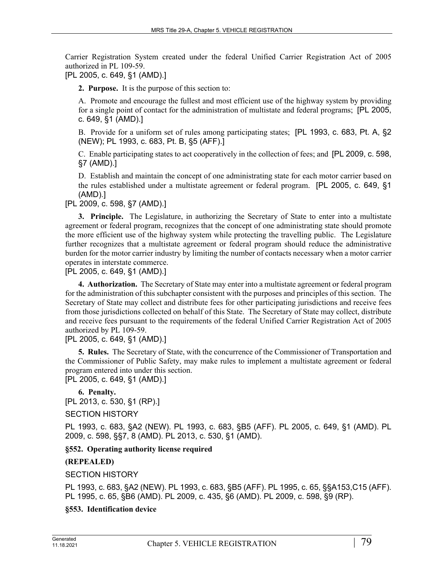Carrier Registration System created under the federal Unified Carrier Registration Act of 2005 authorized in PL 109-59.

[PL 2005, c. 649, §1 (AMD).]

**2. Purpose.** It is the purpose of this section to:

A. Promote and encourage the fullest and most efficient use of the highway system by providing for a single point of contact for the administration of multistate and federal programs; [PL 2005, c. 649, §1 (AMD).]

B. Provide for a uniform set of rules among participating states; [PL 1993, c. 683, Pt. A, §2 (NEW); PL 1993, c. 683, Pt. B, §5 (AFF).]

C. Enable participating states to act cooperatively in the collection of fees; and [PL 2009, c. 598, §7 (AMD).]

D. Establish and maintain the concept of one administrating state for each motor carrier based on the rules established under a multistate agreement or federal program. [PL 2005, c. 649, §1 (AMD).]

[PL 2009, c. 598, §7 (AMD).]

**3. Principle.** The Legislature, in authorizing the Secretary of State to enter into a multistate agreement or federal program, recognizes that the concept of one administrating state should promote the more efficient use of the highway system while protecting the travelling public. The Legislature further recognizes that a multistate agreement or federal program should reduce the administrative burden for the motor carrier industry by limiting the number of contacts necessary when a motor carrier operates in interstate commerce.

[PL 2005, c. 649, §1 (AMD).]

**4. Authorization.** The Secretary of State may enter into a multistate agreement or federal program for the administration of this subchapter consistent with the purposes and principles of this section. The Secretary of State may collect and distribute fees for other participating jurisdictions and receive fees from those jurisdictions collected on behalf of this State. The Secretary of State may collect, distribute and receive fees pursuant to the requirements of the federal Unified Carrier Registration Act of 2005 authorized by PL 109-59.

[PL 2005, c. 649, §1 (AMD).]

**5. Rules.** The Secretary of State, with the concurrence of the Commissioner of Transportation and the Commissioner of Public Safety, may make rules to implement a multistate agreement or federal program entered into under this section.

[PL 2005, c. 649, §1 (AMD).]

**6. Penalty.**  [PL 2013, c. 530, §1 (RP).]

SECTION HISTORY

PL 1993, c. 683, §A2 (NEW). PL 1993, c. 683, §B5 (AFF). PL 2005, c. 649, §1 (AMD). PL 2009, c. 598, §§7, 8 (AMD). PL 2013, c. 530, §1 (AMD).

**§552. Operating authority license required**

**(REPEALED)**

SECTION HISTORY

PL 1993, c. 683, §A2 (NEW). PL 1993, c. 683, §B5 (AFF). PL 1995, c. 65, §§A153,C15 (AFF). PL 1995, c. 65, §B6 (AMD). PL 2009, c. 435, §6 (AMD). PL 2009, c. 598, §9 (RP).

**§553. Identification device**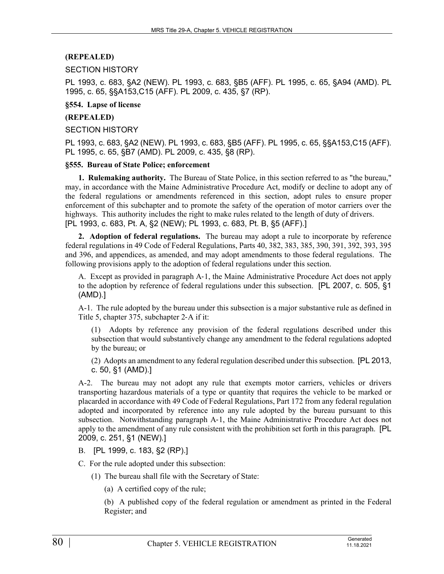# **(REPEALED)**

#### SECTION HISTORY

PL 1993, c. 683, §A2 (NEW). PL 1993, c. 683, §B5 (AFF). PL 1995, c. 65, §A94 (AMD). PL 1995, c. 65, §§A153,C15 (AFF). PL 2009, c. 435, §7 (RP).

#### **§554. Lapse of license**

#### **(REPEALED)**

SECTION HISTORY

PL 1993, c. 683, §A2 (NEW). PL 1993, c. 683, §B5 (AFF). PL 1995, c. 65, §§A153,C15 (AFF). PL 1995, c. 65, §B7 (AMD). PL 2009, c. 435, §8 (RP).

#### **§555. Bureau of State Police; enforcement**

**1. Rulemaking authority.** The Bureau of State Police, in this section referred to as "the bureau," may, in accordance with the Maine Administrative Procedure Act, modify or decline to adopt any of the federal regulations or amendments referenced in this section, adopt rules to ensure proper enforcement of this subchapter and to promote the safety of the operation of motor carriers over the highways. This authority includes the right to make rules related to the length of duty of drivers. [PL 1993, c. 683, Pt. A, §2 (NEW); PL 1993, c. 683, Pt. B, §5 (AFF).]

**2. Adoption of federal regulations.** The bureau may adopt a rule to incorporate by reference federal regulations in 49 Code of Federal Regulations, Parts 40, 382, 383, 385, 390, 391, 392, 393, 395 and 396, and appendices, as amended, and may adopt amendments to those federal regulations. The following provisions apply to the adoption of federal regulations under this section.

A. Except as provided in paragraph A‑1, the Maine Administrative Procedure Act does not apply to the adoption by reference of federal regulations under this subsection. [PL 2007, c. 505, §1 (AMD).]

A-1. The rule adopted by the bureau under this subsection is a major substantive rule as defined in Title 5, chapter 375, subchapter 2‑A if it:

(1) Adopts by reference any provision of the federal regulations described under this subsection that would substantively change any amendment to the federal regulations adopted by the bureau; or

(2) Adopts an amendment to any federal regulation described under this subsection. [PL 2013, c. 50, §1 (AMD).]

A-2. The bureau may not adopt any rule that exempts motor carriers, vehicles or drivers transporting hazardous materials of a type or quantity that requires the vehicle to be marked or placarded in accordance with 49 Code of Federal Regulations, Part 172 from any federal regulation adopted and incorporated by reference into any rule adopted by the bureau pursuant to this subsection. Notwithstanding paragraph A–1, the Maine Administrative Procedure Act does not apply to the amendment of any rule consistent with the prohibition set forth in this paragraph. [PL 2009, c. 251, §1 (NEW).]

#### B. [PL 1999, c. 183, §2 (RP).]

C. For the rule adopted under this subsection:

- (1) The bureau shall file with the Secretary of State:
	- (a) A certified copy of the rule;

(b) A published copy of the federal regulation or amendment as printed in the Federal Register; and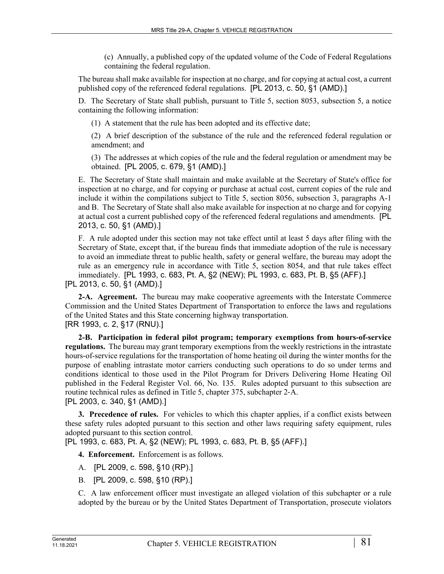(c) Annually, a published copy of the updated volume of the Code of Federal Regulations containing the federal regulation.

The bureau shall make available for inspection at no charge, and for copying at actual cost, a current published copy of the referenced federal regulations. [PL 2013, c. 50, §1 (AMD).]

D. The Secretary of State shall publish, pursuant to Title 5, section 8053, subsection 5, a notice containing the following information:

(1) A statement that the rule has been adopted and its effective date;

(2) A brief description of the substance of the rule and the referenced federal regulation or amendment; and

(3) The addresses at which copies of the rule and the federal regulation or amendment may be obtained. [PL 2005, c. 679, §1 (AMD).]

E. The Secretary of State shall maintain and make available at the Secretary of State's office for inspection at no charge, and for copying or purchase at actual cost, current copies of the rule and include it within the compilations subject to Title 5, section 8056, subsection 3, paragraphs A-1 and B. The Secretary of State shall also make available for inspection at no charge and for copying at actual cost a current published copy of the referenced federal regulations and amendments. [PL 2013, c. 50, §1 (AMD).]

F. A rule adopted under this section may not take effect until at least 5 days after filing with the Secretary of State, except that, if the bureau finds that immediate adoption of the rule is necessary to avoid an immediate threat to public health, safety or general welfare, the bureau may adopt the rule as an emergency rule in accordance with Title 5, section 8054, and that rule takes effect immediately. [PL 1993, c. 683, Pt. A, §2 (NEW); PL 1993, c. 683, Pt. B, §5 (AFF).] [PL 2013, c. 50, §1 (AMD).]

**2-A. Agreement.** The bureau may make cooperative agreements with the Interstate Commerce Commission and the United States Department of Transportation to enforce the laws and regulations of the United States and this State concerning highway transportation. [RR 1993, c. 2, §17 (RNU).]

**2-B. Participation in federal pilot program; temporary exemptions from hours-of-service regulations.** The bureau may grant temporary exemptions from the weekly restrictions in the intrastate hours-of-service regulations for the transportation of home heating oil during the winter months for the purpose of enabling intrastate motor carriers conducting such operations to do so under terms and conditions identical to those used in the Pilot Program for Drivers Delivering Home Heating Oil published in the Federal Register Vol. 66, No. 135. Rules adopted pursuant to this subsection are routine technical rules as defined in Title 5, chapter 375, subchapter 2‑A. [PL 2003, c. 340, §1 (AMD).]

**3. Precedence of rules.** For vehicles to which this chapter applies, if a conflict exists between these safety rules adopted pursuant to this section and other laws requiring safety equipment, rules adopted pursuant to this section control.

[PL 1993, c. 683, Pt. A, §2 (NEW); PL 1993, c. 683, Pt. B, §5 (AFF).]

**4. Enforcement.** Enforcement is as follows.

- A. [PL 2009, c. 598, §10 (RP).]
- B. [PL 2009, c. 598, §10 (RP).]

C. A law enforcement officer must investigate an alleged violation of this subchapter or a rule adopted by the bureau or by the United States Department of Transportation, prosecute violators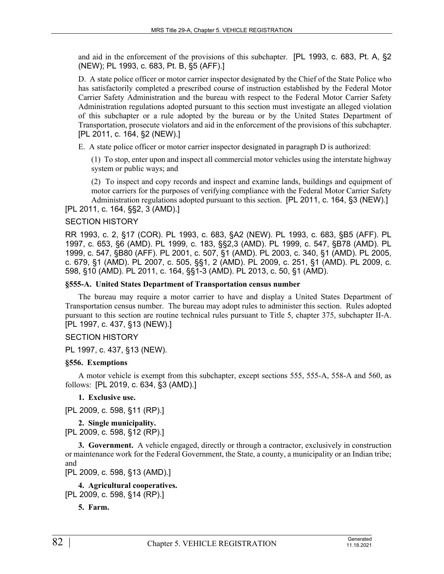and aid in the enforcement of the provisions of this subchapter. [PL 1993, c. 683, Pt. A, §2 (NEW); PL 1993, c. 683, Pt. B, §5 (AFF).]

D. A state police officer or motor carrier inspector designated by the Chief of the State Police who has satisfactorily completed a prescribed course of instruction established by the Federal Motor Carrier Safety Administration and the bureau with respect to the Federal Motor Carrier Safety Administration regulations adopted pursuant to this section must investigate an alleged violation of this subchapter or a rule adopted by the bureau or by the United States Department of Transportation, prosecute violators and aid in the enforcement of the provisions of this subchapter. [PL 2011, c. 164, §2 (NEW).]

E. A state police officer or motor carrier inspector designated in paragraph D is authorized:

(1) To stop, enter upon and inspect all commercial motor vehicles using the interstate highway system or public ways; and

(2) To inspect and copy records and inspect and examine lands, buildings and equipment of motor carriers for the purposes of verifying compliance with the Federal Motor Carrier Safety Administration regulations adopted pursuant to this section. [PL 2011, c. 164, §3 (NEW).]

[PL 2011, c. 164, §§2, 3 (AMD).]

#### SECTION HISTORY

RR 1993, c. 2, §17 (COR). PL 1993, c. 683, §A2 (NEW). PL 1993, c. 683, §B5 (AFF). PL 1997, c. 653, §6 (AMD). PL 1999, c. 183, §§2,3 (AMD). PL 1999, c. 547, §B78 (AMD). PL 1999, c. 547, §B80 (AFF). PL 2001, c. 507, §1 (AMD). PL 2003, c. 340, §1 (AMD). PL 2005, c. 679, §1 (AMD). PL 2007, c. 505, §§1, 2 (AMD). PL 2009, c. 251, §1 (AMD). PL 2009, c. 598, §10 (AMD). PL 2011, c. 164, §§1-3 (AMD). PL 2013, c. 50, §1 (AMD).

#### **§555-A. United States Department of Transportation census number**

The bureau may require a motor carrier to have and display a United States Department of Transportation census number. The bureau may adopt rules to administer this section. Rules adopted pursuant to this section are routine technical rules pursuant to Title 5, chapter 375, subchapter II-A. [PL 1997, c. 437, §13 (NEW).]

#### SECTION HISTORY

PL 1997, c. 437, §13 (NEW).

#### **§556. Exemptions**

A motor vehicle is exempt from this subchapter, except sections 555, 555-A, 558-A and 560, as follows: [PL 2019, c. 634, §3 (AMD).]

**1. Exclusive use.** 

[PL 2009, c. 598, §11 (RP).]

**2. Single municipality.**  [PL 2009, c. 598, §12 (RP).]

**3. Government.** A vehicle engaged, directly or through a contractor, exclusively in construction or maintenance work for the Federal Government, the State, a county, a municipality or an Indian tribe; and

[PL 2009, c. 598, §13 (AMD).]

**4. Agricultural cooperatives.**  [PL 2009, c. 598, §14 (RP).]

**5. Farm.**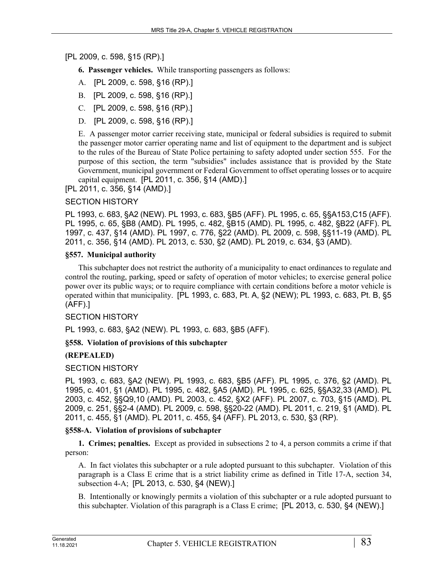[PL 2009, c. 598, §15 (RP).]

**6. Passenger vehicles.** While transporting passengers as follows:

- A. [PL 2009, c. 598, §16 (RP).]
- B. [PL 2009, c. 598, §16 (RP).]
- C. [PL 2009, c. 598, §16 (RP).]
- D. [PL 2009, c. 598, §16 (RP).]

E. A passenger motor carrier receiving state, municipal or federal subsidies is required to submit the passenger motor carrier operating name and list of equipment to the department and is subject to the rules of the Bureau of State Police pertaining to safety adopted under section 555. For the purpose of this section, the term "subsidies" includes assistance that is provided by the State Government, municipal government or Federal Government to offset operating losses or to acquire capital equipment. [PL 2011, c. 356, §14 (AMD).]

[PL 2011, c. 356, §14 (AMD).]

### SECTION HISTORY

PL 1993, c. 683, §A2 (NEW). PL 1993, c. 683, §B5 (AFF). PL 1995, c. 65, §§A153,C15 (AFF). PL 1995, c. 65, §B8 (AMD). PL 1995, c. 482, §B15 (AMD). PL 1995, c. 482, §B22 (AFF). PL 1997, c. 437, §14 (AMD). PL 1997, c. 776, §22 (AMD). PL 2009, c. 598, §§11-19 (AMD). PL 2011, c. 356, §14 (AMD). PL 2013, c. 530, §2 (AMD). PL 2019, c. 634, §3 (AMD).

### **§557. Municipal authority**

This subchapter does not restrict the authority of a municipality to enact ordinances to regulate and control the routing, parking, speed or safety of operation of motor vehicles; to exercise general police power over its public ways; or to require compliance with certain conditions before a motor vehicle is operated within that municipality. [PL 1993, c. 683, Pt. A, §2 (NEW); PL 1993, c. 683, Pt. B, §5 (AFF).]

# SECTION HISTORY

PL 1993, c. 683, §A2 (NEW). PL 1993, c. 683, §B5 (AFF).

# **§558. Violation of provisions of this subchapter**

# **(REPEALED)**

#### SECTION HISTORY

PL 1993, c. 683, §A2 (NEW). PL 1993, c. 683, §B5 (AFF). PL 1995, c. 376, §2 (AMD). PL 1995, c. 401, §1 (AMD). PL 1995, c. 482, §A5 (AMD). PL 1995, c. 625, §§A32,33 (AMD). PL 2003, c. 452, §§Q9,10 (AMD). PL 2003, c. 452, §X2 (AFF). PL 2007, c. 703, §15 (AMD). PL 2009, c. 251, §§2-4 (AMD). PL 2009, c. 598, §§20-22 (AMD). PL 2011, c. 219, §1 (AMD). PL 2011, c. 455, §1 (AMD). PL 2011, c. 455, §4 (AFF). PL 2013, c. 530, §3 (RP).

#### **§558-A. Violation of provisions of subchapter**

**1. Crimes; penalties.** Except as provided in subsections 2 to 4, a person commits a crime if that person:

A. In fact violates this subchapter or a rule adopted pursuant to this subchapter. Violation of this paragraph is a Class E crime that is a strict liability crime as defined in Title 17-A, section 34, subsection 4-A; [PL 2013, c. 530, §4 (NEW).]

B. Intentionally or knowingly permits a violation of this subchapter or a rule adopted pursuant to this subchapter. Violation of this paragraph is a Class E crime; [PL 2013, c. 530, §4 (NEW).]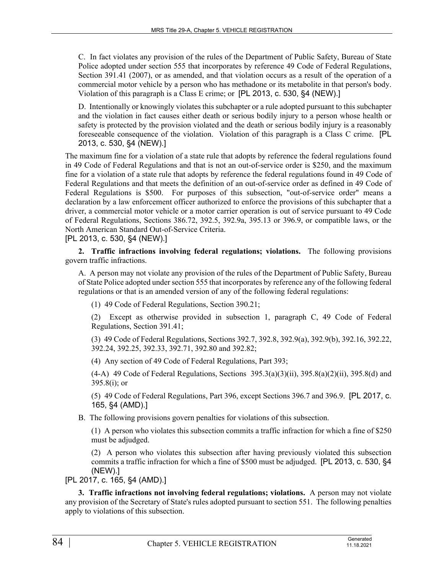C. In fact violates any provision of the rules of the Department of Public Safety, Bureau of State Police adopted under section 555 that incorporates by reference 49 Code of Federal Regulations, Section 391.41 (2007), or as amended, and that violation occurs as a result of the operation of a commercial motor vehicle by a person who has methadone or its metabolite in that person's body. Violation of this paragraph is a Class E crime; or [PL 2013, c. 530, §4 (NEW).]

D. Intentionally or knowingly violates this subchapter or a rule adopted pursuant to this subchapter and the violation in fact causes either death or serious bodily injury to a person whose health or safety is protected by the provision violated and the death or serious bodily injury is a reasonably foreseeable consequence of the violation. Violation of this paragraph is a Class C crime. [PL 2013, c. 530, §4 (NEW).]

The maximum fine for a violation of a state rule that adopts by reference the federal regulations found in 49 Code of Federal Regulations and that is not an out-of-service order is \$250, and the maximum fine for a violation of a state rule that adopts by reference the federal regulations found in 49 Code of Federal Regulations and that meets the definition of an out-of-service order as defined in 49 Code of Federal Regulations is \$500. For purposes of this subsection, "out-of-service order" means a declaration by a law enforcement officer authorized to enforce the provisions of this subchapter that a driver, a commercial motor vehicle or a motor carrier operation is out of service pursuant to 49 Code of Federal Regulations, Sections 386.72, 392.5, 392.9a, 395.13 or 396.9, or compatible laws, or the North American Standard Out-of-Service Criteria.

[PL 2013, c. 530, §4 (NEW).]

**2. Traffic infractions involving federal regulations; violations.** The following provisions govern traffic infractions.

A. A person may not violate any provision of the rules of the Department of Public Safety, Bureau of State Police adopted under section 555 that incorporates by reference any of the following federal regulations or that is an amended version of any of the following federal regulations:

(1) 49 Code of Federal Regulations, Section 390.21;

(2) Except as otherwise provided in subsection 1, paragraph C, 49 Code of Federal Regulations, Section 391.41;

(3) 49 Code of Federal Regulations, Sections 392.7, 392.8, 392.9(a), 392.9(b), 392.16, 392.22, 392.24, 392.25, 392.33, 392.71, 392.80 and 392.82;

(4) Any section of 49 Code of Federal Regulations, Part 393;

 $(4-A)$  49 Code of Federal Regulations, Sections 395.3(a)(3)(ii), 395.8(a)(2)(ii), 395.8(d) and  $395.8(i)$ ; or

(5) 49 Code of Federal Regulations, Part 396, except Sections 396.7 and 396.9. [PL 2017, c. 165, §4 (AMD).]

B. The following provisions govern penalties for violations of this subsection.

(1) A person who violates this subsection commits a traffic infraction for which a fine of \$250 must be adjudged.

(2) A person who violates this subsection after having previously violated this subsection commits a traffic infraction for which a fine of \$500 must be adjudged. [PL 2013, c. 530, §4 (NEW).]

[PL 2017, c. 165, §4 (AMD).]

**3. Traffic infractions not involving federal regulations; violations.** A person may not violate any provision of the Secretary of State's rules adopted pursuant to section 551. The following penalties apply to violations of this subsection.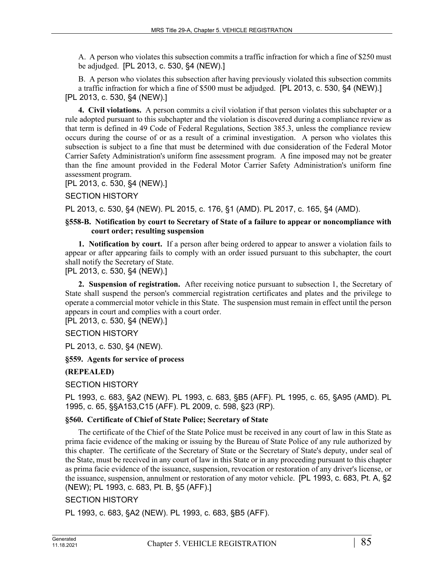A. A person who violates this subsection commits a traffic infraction for which a fine of \$250 must be adjudged. [PL 2013, c. 530, §4 (NEW).]

B. A person who violates this subsection after having previously violated this subsection commits a traffic infraction for which a fine of \$500 must be adjudged. [PL 2013, c. 530, §4 (NEW).] [PL 2013, c. 530, §4 (NEW).]

**4. Civil violations.** A person commits a civil violation if that person violates this subchapter or a rule adopted pursuant to this subchapter and the violation is discovered during a compliance review as that term is defined in 49 Code of Federal Regulations, Section 385.3, unless the compliance review occurs during the course of or as a result of a criminal investigation. A person who violates this subsection is subject to a fine that must be determined with due consideration of the Federal Motor Carrier Safety Administration's uniform fine assessment program. A fine imposed may not be greater than the fine amount provided in the Federal Motor Carrier Safety Administration's uniform fine assessment program.

[PL 2013, c. 530, §4 (NEW).]

### SECTION HISTORY

PL 2013, c. 530, §4 (NEW). PL 2015, c. 176, §1 (AMD). PL 2017, c. 165, §4 (AMD).

### **§558-B. Notification by court to Secretary of State of a failure to appear or noncompliance with court order; resulting suspension**

**1. Notification by court.** If a person after being ordered to appear to answer a violation fails to appear or after appearing fails to comply with an order issued pursuant to this subchapter, the court shall notify the Secretary of State.

[PL 2013, c. 530, §4 (NEW).]

**2. Suspension of registration.** After receiving notice pursuant to subsection 1, the Secretary of State shall suspend the person's commercial registration certificates and plates and the privilege to operate a commercial motor vehicle in this State. The suspension must remain in effect until the person appears in court and complies with a court order.

[PL 2013, c. 530, §4 (NEW).]

# SECTION HISTORY

PL 2013, c. 530, §4 (NEW).

#### **§559. Agents for service of process**

#### **(REPEALED)**

SECTION HISTORY

PL 1993, c. 683, §A2 (NEW). PL 1993, c. 683, §B5 (AFF). PL 1995, c. 65, §A95 (AMD). PL 1995, c. 65, §§A153,C15 (AFF). PL 2009, c. 598, §23 (RP).

#### **§560. Certificate of Chief of State Police; Secretary of State**

The certificate of the Chief of the State Police must be received in any court of law in this State as prima facie evidence of the making or issuing by the Bureau of State Police of any rule authorized by this chapter. The certificate of the Secretary of State or the Secretary of State's deputy, under seal of the State, must be received in any court of law in this State or in any proceeding pursuant to this chapter as prima facie evidence of the issuance, suspension, revocation or restoration of any driver's license, or the issuance, suspension, annulment or restoration of any motor vehicle. [PL 1993, c. 683, Pt. A, §2 (NEW); PL 1993, c. 683, Pt. B, §5 (AFF).]

#### SECTION HISTORY

PL 1993, c. 683, §A2 (NEW). PL 1993, c. 683, §B5 (AFF).